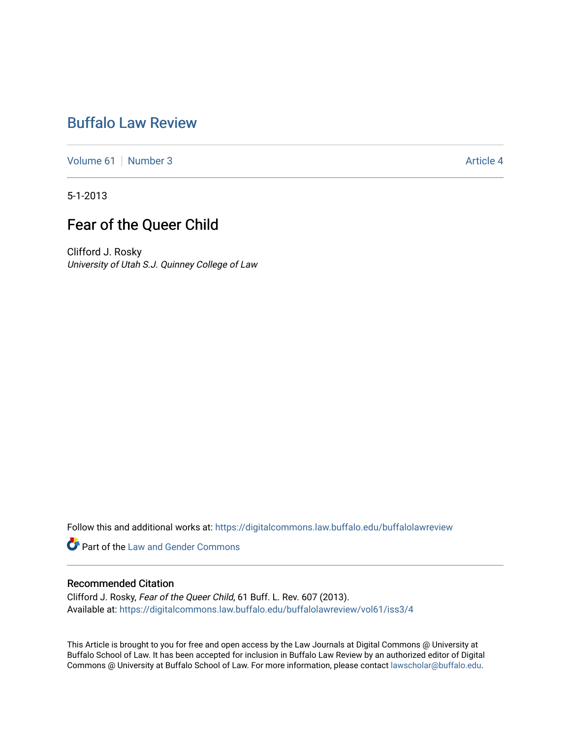# [Buffalo Law Review](https://digitalcommons.law.buffalo.edu/buffalolawreview)

[Volume 61](https://digitalcommons.law.buffalo.edu/buffalolawreview/vol61) [Number 3](https://digitalcommons.law.buffalo.edu/buffalolawreview/vol61/iss3) Article 4

5-1-2013

# Fear of the Queer Child

Clifford J. Rosky University of Utah S.J. Quinney College of Law

Follow this and additional works at: [https://digitalcommons.law.buffalo.edu/buffalolawreview](https://digitalcommons.law.buffalo.edu/buffalolawreview?utm_source=digitalcommons.law.buffalo.edu%2Fbuffalolawreview%2Fvol61%2Fiss3%2F4&utm_medium=PDF&utm_campaign=PDFCoverPages) 

**Part of the Law and Gender Commons** 

# Recommended Citation

Clifford J. Rosky, Fear of the Queer Child, 61 Buff. L. Rev. 607 (2013). Available at: [https://digitalcommons.law.buffalo.edu/buffalolawreview/vol61/iss3/4](https://digitalcommons.law.buffalo.edu/buffalolawreview/vol61/iss3/4?utm_source=digitalcommons.law.buffalo.edu%2Fbuffalolawreview%2Fvol61%2Fiss3%2F4&utm_medium=PDF&utm_campaign=PDFCoverPages) 

This Article is brought to you for free and open access by the Law Journals at Digital Commons @ University at Buffalo School of Law. It has been accepted for inclusion in Buffalo Law Review by an authorized editor of Digital Commons @ University at Buffalo School of Law. For more information, please contact [lawscholar@buffalo.edu](mailto:lawscholar@buffalo.edu).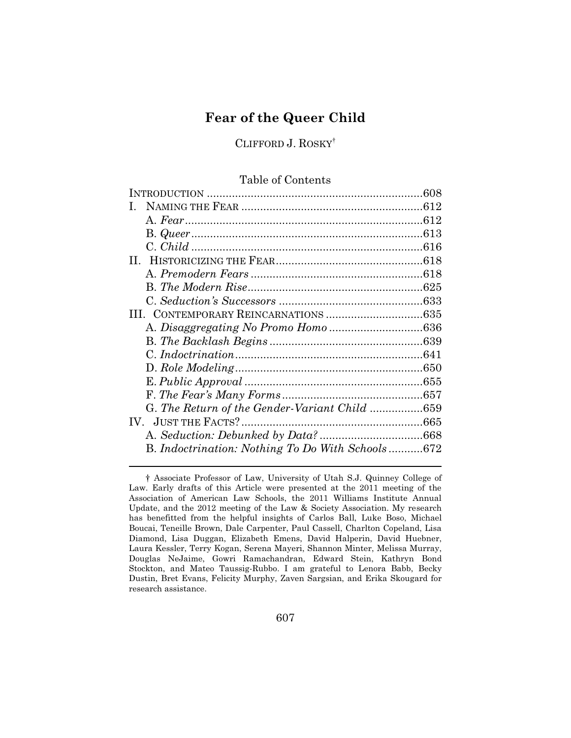# **Fear of the Queer Child**

CLIFFORD J. ROSKY†

# Table of Contents

|                                                  | 608 |
|--------------------------------------------------|-----|
|                                                  |     |
|                                                  |     |
|                                                  |     |
|                                                  |     |
|                                                  |     |
|                                                  |     |
|                                                  |     |
|                                                  |     |
|                                                  |     |
|                                                  |     |
|                                                  |     |
|                                                  |     |
|                                                  |     |
|                                                  |     |
|                                                  |     |
| G. The Return of the Gender-Variant Child 659    |     |
|                                                  |     |
|                                                  |     |
| B. Indoctrination: Nothing To Do With Schools672 |     |
|                                                  |     |

 Douglas NeJaime, Gowri Ramachandran, Edward Stein, Kathryn Bond Stockton, and Mateo Taussig-Rubbo. I am grateful to Lenora Babb, Becky † Associate Professor of Law, University of Utah S.J. Quinney College of Law. Early drafts of this Article were presented at the 2011 meeting of the Association of American Law Schools, the 2011 Williams Institute Annual Update, and the 2012 meeting of the Law & Society Association. My research has benefitted from the helpful insights of Carlos Ball, Luke Boso, Michael Boucai, Teneille Brown, Dale Carpenter, Paul Cassell, Charlton Copeland, Lisa Diamond, Lisa Duggan, Elizabeth Emens, David Halperin, David Huebner, Laura Kessler, Terry Kogan, Serena Mayeri, Shannon Minter, Melissa Murray, Dustin, Bret Evans, Felicity Murphy, Zaven Sargsian, and Erika Skougard for research assistance.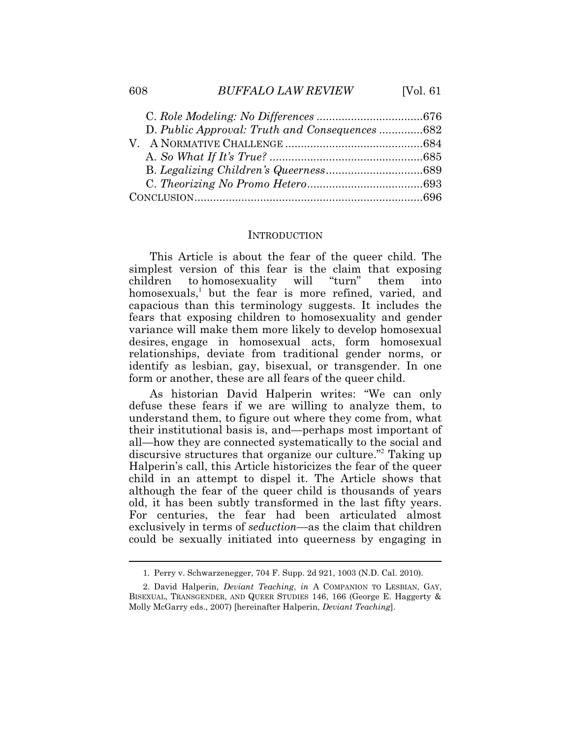### 608 *BUFFALO LAW REVIEW* [Vol. 61

| D. Public Approval: Truth and Consequences 682 |  |
|------------------------------------------------|--|
|                                                |  |
|                                                |  |
|                                                |  |
|                                                |  |
|                                                |  |

# **INTRODUCTION**

This Article is about the fear of the queer child. The simplest version of this fear is the claim that exposing children to homosexuality will "turn" them into homosexuals,<sup>1</sup> but the fear is more refined, varied, and capacious than this terminology suggests. It includes the fears that exposing children to homosexuality and gender variance will make them more likely to develop homosexual desires, engage in homosexual acts, form homosexual relationships, deviate from traditional gender norms, or identify as lesbian, gay, bisexual, or transgender. In one form or another, these are all fears of the queer child.

As historian David Halperin writes: "We can only defuse these fears if we are willing to analyze them, to understand them, to figure out where they come from, what their institutional basis is, and—perhaps most important of all—how they are connected systematically to the social and discursive structures that organize our culture."<sup>2</sup> Taking up Halperin's call, this Article historicizes the fear of the queer child in an attempt to dispel it. The Article shows that although the fear of the queer child is thousands of years old, it has been subtly transformed in the last fifty years. For centuries, the fear had been articulated almost exclusively in terms of *seduction*—as the claim that children could be sexually initiated into queerness by engaging in

<sup>1.</sup> Perry v. Schwarzenegger, 704 F. Supp. 2d 921, 1003 (N.D. Cal. 2010).

 2. David Halperin, *Deviant Teaching*, *in* A COMPANION TO LESBIAN, GAY, BISEXUAL, TRANSGENDER, AND QUEER STUDIES 146, 166 (George E. Haggerty & Molly McGarry eds., 2007) [hereinafter Halperin, *Deviant Teaching*].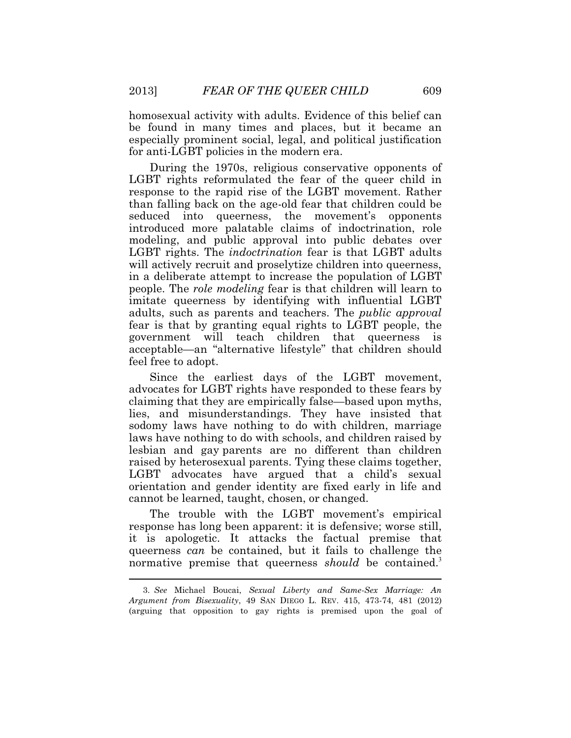homosexual activity with adults. Evidence of this belief can be found in many times and places, but it became an especially prominent social, legal, and political justification for anti-LGBT policies in the modern era.

 LGBT rights. The *indoctrination* fear is that LGBT adults During the 1970s, religious conservative opponents of LGBT rights reformulated the fear of the queer child in response to the rapid rise of the LGBT movement. Rather than falling back on the age-old fear that children could be seduced into queerness, the movement's opponents introduced more palatable claims of indoctrination, role modeling, and public approval into public debates over will actively recruit and proselytize children into queerness, in a deliberate attempt to increase the population of LGBT people. The *role modeling* fear is that children will learn to imitate queerness by identifying with influential LGBT adults, such as parents and teachers. The *public approval* fear is that by granting equal rights to LGBT people, the government will teach children that queerness is acceptable—an "alternative lifestyle" that children should feel free to adopt.

Since the earliest days of the LGBT movement, advocates for LGBT rights have responded to these fears by claiming that they are empirically false—based upon myths, lies, and misunderstandings. They have insisted that sodomy laws have nothing to do with children, marriage laws have nothing to do with schools, and children raised by lesbian and gay parents are no different than children raised by heterosexual parents. Tying these claims together, LGBT advocates have argued that a child's sexual orientation and gender identity are fixed early in life and cannot be learned, taught, chosen, or changed.

 $\ddot{\phantom{a}}$ The trouble with the LGBT movement's empirical response has long been apparent: it is defensive; worse still, it is apologetic. It attacks the factual premise that queerness *can* be contained, but it fails to challenge the normative premise that queerness *should* be contained.<sup>3</sup>

<sup>3.</sup> *See* Michael Boucai, *Sexual Liberty and Same-Sex Marriage: An Argument from Bisexuality*, 49 SAN DIEGO L. REV. 415, 473-74, 481 (2012) (arguing that opposition to gay rights is premised upon the goal of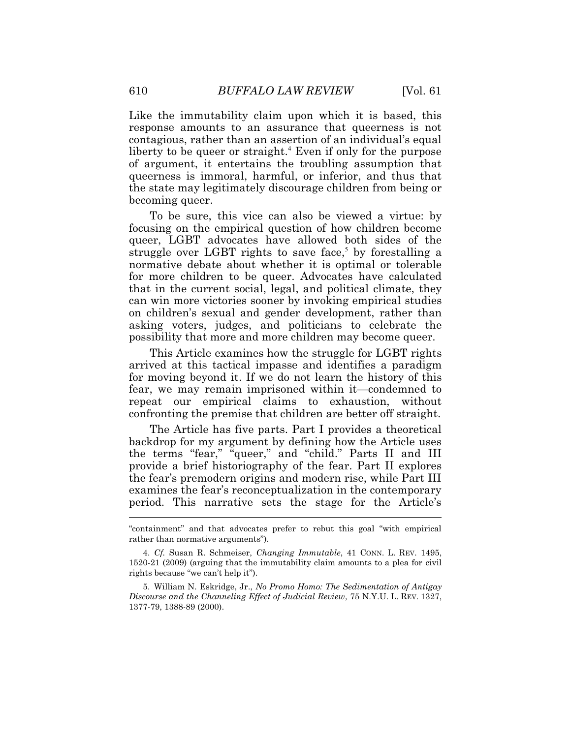becoming queer. Like the immutability claim upon which it is based, this response amounts to an assurance that queerness is not contagious, rather than an assertion of an individual's equal liberty to be queer or straight.<sup>4</sup> Even if only for the purpose of argument, it entertains the troubling assumption that queerness is immoral, harmful, or inferior, and thus that the state may legitimately discourage children from being or

 that in the current social, legal, and political climate, they possibility that more and more children may become queer. To be sure, this vice can also be viewed a virtue: by focusing on the empirical question of how children become queer, LGBT advocates have allowed both sides of the struggle over LGBT rights to save face,<sup>5</sup> by forestalling a normative debate about whether it is optimal or tolerable for more children to be queer. Advocates have calculated can win more victories sooner by invoking empirical studies on children's sexual and gender development, rather than asking voters, judges, and politicians to celebrate the

This Article examines how the struggle for LGBT rights arrived at this tactical impasse and identifies a paradigm for moving beyond it. If we do not learn the history of this fear, we may remain imprisoned within it—condemned to repeat our empirical claims to exhaustion, without confronting the premise that children are better off straight.

 $\overline{\phantom{a}}$ The Article has five parts. Part I provides a theoretical backdrop for my argument by defining how the Article uses the terms "fear," "queer," and "child." Parts II and III provide a brief historiography of the fear. Part II explores the fear's premodern origins and modern rise, while Part III examines the fear's reconceptualization in the contemporary period. This narrative sets the stage for the Article's

<sup>&</sup>quot;containment" and that advocates prefer to rebut this goal "with empirical rather than normative arguments").

 4. *Cf.* Susan R. Schmeiser, *Changing Immutable*, 41 CONN. L. REV. 1495, 1520-21 (2009) (arguing that the immutability claim amounts to a plea for civil rights because "we can't help it").

 *Discourse and the Channeling Effect of Judicial Review*, 75 N.Y.U. L. REV. 1327, 5. William N. Eskridge, Jr., *No Promo Homo: The Sedimentation of Antigay*  1377-79, 1388-89 (2000).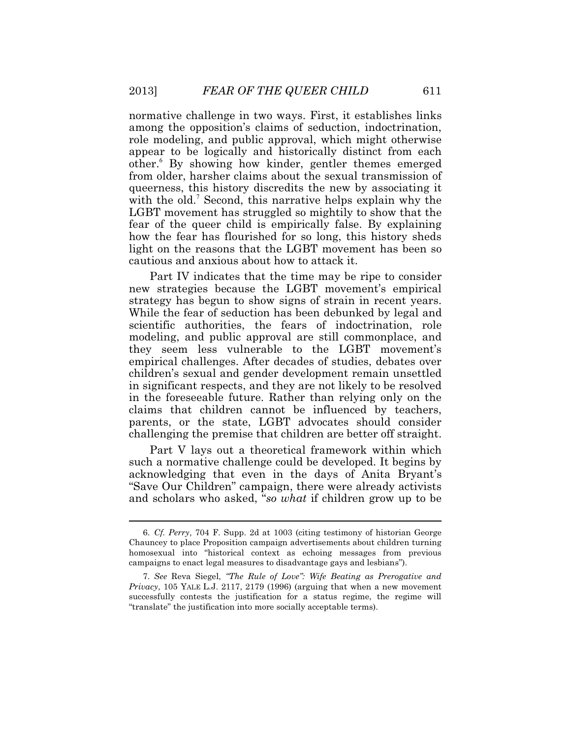normative challenge in two ways. First, it establishes links among the opposition's claims of seduction, indoctrination, role modeling, and public approval, which might otherwise appear to be logically and historically distinct from each other.<sup>6</sup> By showing how kinder, gentler themes emerged from older, harsher claims about the sexual transmission of queerness, this history discredits the new by associating it with the old.<sup>7</sup> Second, this narrative helps explain why the LGBT movement has struggled so mightily to show that the fear of the queer child is empirically false. By explaining how the fear has flourished for so long, this history sheds light on the reasons that the LGBT movement has been so cautious and anxious about how to attack it.

Part IV indicates that the time may be ripe to consider new strategies because the LGBT movement's empirical strategy has begun to show signs of strain in recent years. While the fear of seduction has been debunked by legal and scientific authorities, the fears of indoctrination, role modeling, and public approval are still commonplace, and they seem less vulnerable to the LGBT movement's empirical challenges. After decades of studies, debates over children's sexual and gender development remain unsettled in significant respects, and they are not likely to be resolved in the foreseeable future. Rather than relying only on the claims that children cannot be influenced by teachers, parents, or the state, LGBT advocates should consider challenging the premise that children are better off straight.

Part V lays out a theoretical framework within which such a normative challenge could be developed. It begins by acknowledging that even in the days of Anita Bryant's "Save Our Children" campaign, there were already activists and scholars who asked, "*so what* if children grow up to be

 Chauncey to place Proposition campaign advertisements about children turning 6. *Cf. Perry*, 704 F. Supp. 2d at 1003 (citing testimony of historian George homosexual into "historical context as echoing messages from previous campaigns to enact legal measures to disadvantage gays and lesbians").

 7. *See* Reva Siegel, *"The Rule of Love": Wife Beating as Prerogative and Privacy*, 105 YALE L.J. 2117, 2179 (1996) (arguing that when a new movement successfully contests the justification for a status regime, the regime will "translate" the justification into more socially acceptable terms).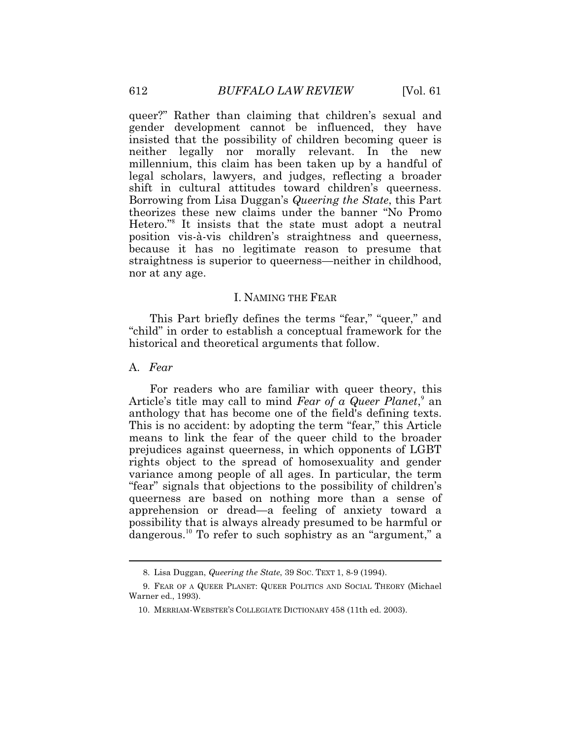queer?" Rather than claiming that children's sexual and gender development cannot be influenced, they have insisted that the possibility of children becoming queer is neither legally nor morally relevant. In the new millennium, this claim has been taken up by a handful of legal scholars, lawyers, and judges, reflecting a broader shift in cultural attitudes toward children's queerness. Borrowing from Lisa Duggan's *Queering the State*, this Part theorizes these new claims under the banner "No Promo Hetero."<sup>8</sup> It insists that the state must adopt a neutral position vis-à-vis children's straightness and queerness, because it has no legitimate reason to presume that straightness is superior to queerness—neither in childhood, nor at any age.

## I. NAMING THE FEAR

 historical and theoretical arguments that follow. This Part briefly defines the terms "fear," "queer," and "child" in order to establish a conceptual framework for the

#### A. *Fear*

 $\overline{a}$ 

For readers who are familiar with queer theory, this Article's title may call to mind *Fear of a Queer Planet*,<sup>9</sup> an anthology that has become one of the field's defining texts. This is no accident: by adopting the term "fear," this Article means to link the fear of the queer child to the broader prejudices against queerness, in which opponents of LGBT rights object to the spread of homosexuality and gender variance among people of all ages. In particular, the term "fear" signals that objections to the possibility of children's queerness are based on nothing more than a sense of apprehension or dread—a feeling of anxiety toward a possibility that is always already presumed to be harmful or [dangerous.](https://dangerous.10)<sup>10</sup> To refer to such sophistry as an "argument," a

<sup>8.</sup> Lisa Duggan, *Queering the State*, 39 SOC. TEXT 1, 8-9 (1994).

<sup>9.</sup> FEAR OF A QUEER PLANET: QUEER POLITICS AND SOCIAL THEORY (Michael Warner ed., 1993).

 <sup>10.</sup> MERRIAM-WEBSTER'S COLLEGIATE DICTIONARY 458 (11th ed. 2003).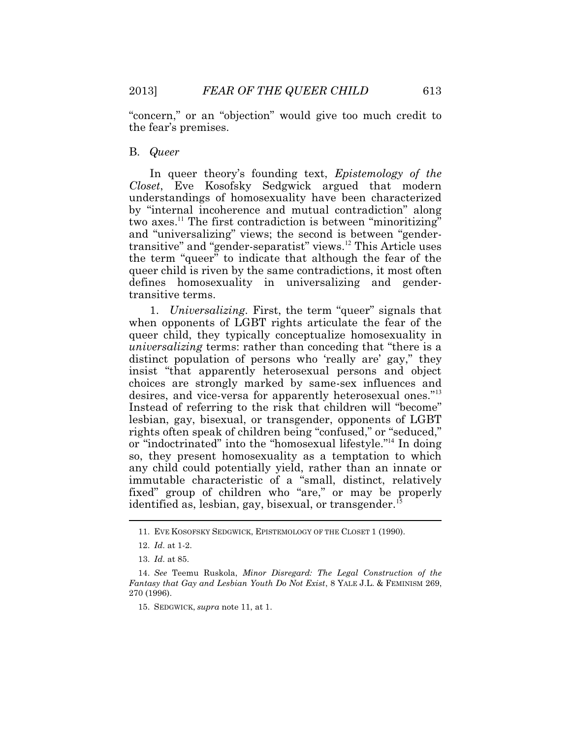"concern," or an "objection" would give too much credit to the fear's premises.

#### B. *Queer*

In queer theory's founding text, *Epistemology of the Closet*, Eve Kosofsky Sedgwick argued that modern understandings of homosexuality have been characterized by "internal incoherence and mutual contradiction" along two axes.<sup>11</sup> The first contradiction is between "minoritizing" and "universalizing" views; the second is between "gendertransitive" and "gender-separatist" [views.](https://views.12)<sup>12</sup> This Article uses the term "queer" to indicate that although the fear of the queer child is riven by the same contradictions, it most often defines homosexuality in universalizing and gendertransitive terms.

 $\overline{a}$ 1. *Universalizing.* First, the term "queer" signals that when opponents of LGBT rights articulate the fear of the queer child, they typically conceptualize homosexuality in *universalizing* terms: rather than conceding that "there is a distinct population of persons who 'really are' gay," they insist "that apparently heterosexual persons and object choices are strongly marked by same-sex influences and desires, and vice-versa for apparently heterosexual ones."<sup>13</sup> Instead of referring to the risk that children will "become" lesbian, gay, bisexual, or transgender, opponents of LGBT rights often speak of children being "confused," or "seduced," or "indoctrinated" into the "homosexual lifestyle."<sup>14</sup> In doing so, they present homosexuality as a temptation to which any child could potentially yield, rather than an innate or immutable characteristic of a "small, distinct, relatively fixed" group of children who "are," or may be properly identified as, lesbian, gay, bisexual, or [transgender.](https://transgender.15)<sup>1</sup>

<sup>11.</sup> EVE KOSOFSKY SEDGWICK, EPISTEMOLOGY OF THE CLOSET 1 (1990).

 <sup>12.</sup> *Id*. at 1-2.

 <sup>13.</sup> *Id*. at 85.

 *Fantasy that Gay and Lesbian Youth Do Not Exist*, 8 YALE J.L. & FEMINISM 269, 14. *See* Teemu Ruskola, *Minor Disregard: The Legal Construction of the*  270 (1996).

 <sup>15.</sup> SEDGWICK, *supra* note 11, at 1.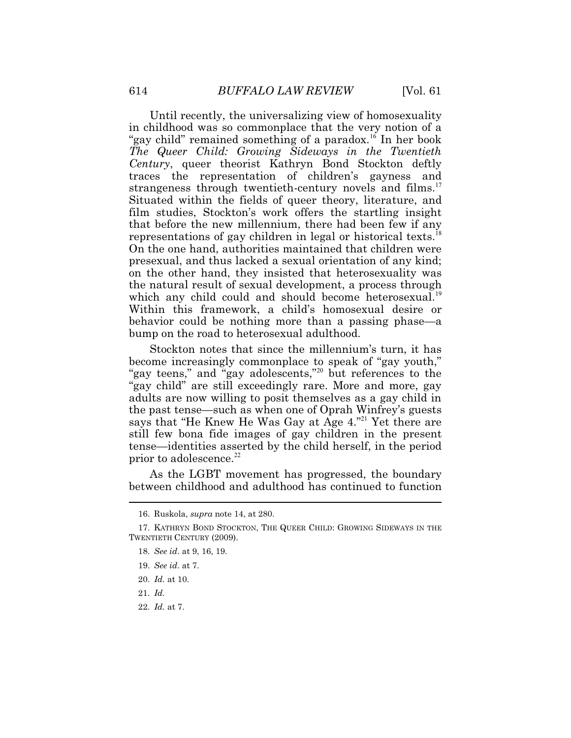Until recently, the universalizing view of homosexuality in childhood was so commonplace that the very notion of a "gay child" remained something of a [paradox.](https://paradox.16)<sup>16</sup> In her book *The Queer Child: Growing Sideways in the Twentieth Century*, queer theorist Kathryn Bond Stockton deftly traces the representation of children's gayness and strangeness through twentieth-century novels and [films.](https://films.17)<sup>17</sup> Situated within the fields of queer theory, literature, and film studies, Stockton's work offers the startling insight that before the new millennium, there had been few if any representations of gay children in legal or historical [texts.](https://texts.18)<sup>18</sup> On the one hand, authorities maintained that children were presexual, and thus lacked a sexual orientation of any kind; on the other hand, they insisted that heterosexuality was the natural result of sexual development, a process through which any child could and should become [heterosexual.](https://heterosexual.19)<sup>19</sup> Within this framework, a child's homosexual desire or behavior could be nothing more than a passing phase—a bump on the road to heterosexual adulthood.

Stockton notes that since the millennium's turn, it has become increasingly commonplace to speak of "gay youth," "gay teens," and "gay adolescents,"<sup>20</sup> but references to the "gay child" are still exceedingly rare. More and more, gay adults are now willing to posit themselves as a gay child in the past tense—such as when one of Oprah Winfrey's guests says that "He Knew He Was Gay at Age 4."<sup>21</sup> Yet there are still few bona fide images of gay children in the present tense—identities asserted by the child herself, in the period prior to [adolescence.](https://adolescence.22)<sup>22</sup>

 $\ddot{\phantom{a}}$ As the LGBT movement has progressed, the boundary between childhood and adulthood has continued to function

19. *See id*. at 7.

- 21. *Id.*
- 22. *Id.* at 7.

<sup>16.</sup> Ruskola, *supra* note 14, at 280.

<sup>17.</sup> KATHRYN BOND STOCKTON, THE QUEER CHILD: GROWING SIDEWAYS IN THE TWENTIETH CENTURY (2009).

 <sup>18.</sup> *See id*. at 9, 16, 19.

 <sup>20.</sup> *Id.* at 10.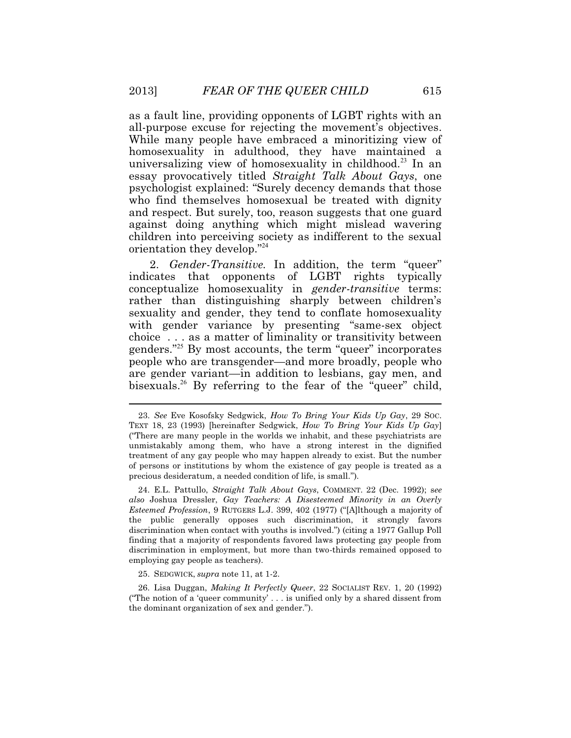as a fault line, providing opponents of LGBT rights with an all-purpose excuse for rejecting the movement's objectives. While many people have embraced a minoritizing view of homosexuality in adulthood, they have maintained a universalizing view of homosexuality in [childhood.](https://childhood.23)<sup>23</sup> In an essay provocatively titled *Straight Talk About Gays*, one psychologist explained: "Surely decency demands that those who find themselves homosexual be treated with dignity and respect. But surely, too, reason suggests that one guard against doing anything which might mislead wavering children into perceiving society as indifferent to the sexual orientation they develop."<sup>24</sup>

2. *Gender-Transitive.* In addition, the term "queer" indicates that opponents of LGBT rights typically conceptualize homosexuality in *gender-transitive* terms: rather than distinguishing sharply between children's sexuality and gender, they tend to conflate homosexuality with gender variance by presenting "same-sex object choice . . . as a matter of liminality or transitivity between genders."<sup>25</sup> By most accounts, the term "queer" incorporates people who are transgender—and more broadly, people who are gender variant—in addition to lesbians, gay men, and [bisexuals.](https://bisexuals.26)<sup>26</sup> By referring to the fear of the "queer" child,

 24. E.L. Pattullo, *Straight Talk About Gays*, COMMENT. 22 (Dec. 1992); s*ee also* Joshua Dressler, *Gay Teachers: A Disesteemed Minority in an Overly Esteemed Profession*, 9 RUTGERS L.J. 399, 402 (1977) ("[A]lthough a majority of the public generally opposes such discrimination, it strongly favors discrimination when contact with youths is involved.") (citing a 1977 Gallup Poll finding that a majority of respondents favored laws protecting gay people from discrimination in employment, but more than two-thirds remained opposed to employing gay people as teachers).

25. SEDGWICK, *supra* note 11, at 1-2.

 26. Lisa Duggan, *Making It Perfectly Queer*, 22 SOCIALIST REV. 1, 20 (1992) ("The notion of a 'queer community'  $\ldots$  is unified only by a shared dissent from the dominant organization of sex and gender.").

 precious desideratum, a needed condition of life, is small."). 23. *See* Eve Kosofsky Sedgwick, *How To Bring Your Kids Up Gay*, 29 SOC. TEXT 18, 23 (1993) [hereinafter Sedgwick, *How To Bring Your Kids Up Gay*] ("There are many people in the worlds we inhabit, and these psychiatrists are unmistakably among them, who have a strong interest in the dignified treatment of any gay people who may happen already to exist. But the number of persons or institutions by whom the existence of gay people is treated as a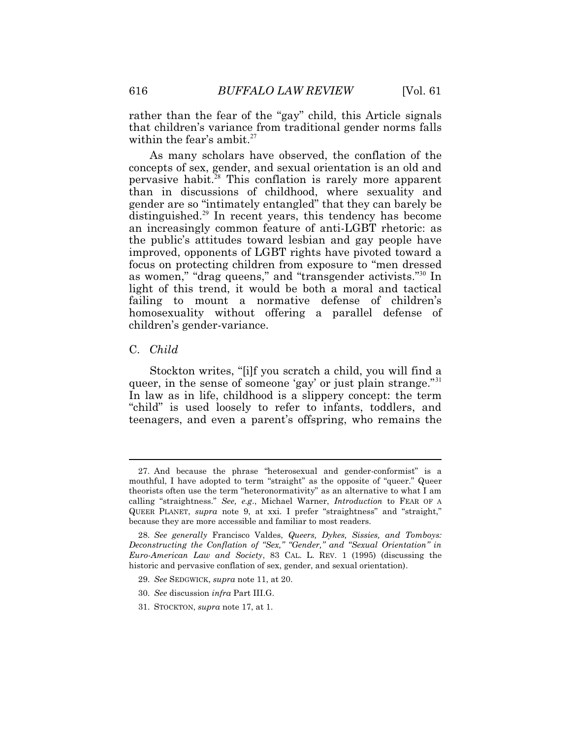within the fear's [ambit.](https://ambit.27)<sup>27</sup> rather than the fear of the "gay" child, this Article signals that children's variance from traditional gender norms falls

As many scholars have observed, the conflation of the concepts of sex, gender, and sexual orientation is an old and pervasive [habit.](https://habit.28)<sup>28</sup> This conflation is rarely more apparent than in discussions of childhood, where sexuality and gender are so "intimately entangled" that they can barely be [distinguished.](https://distinguished.29)<sup>29</sup> In recent years, this tendency has become an increasingly common feature of anti-LGBT rhetoric: as the public's attitudes toward lesbian and gay people have improved, opponents of LGBT rights have pivoted toward a focus on protecting children from exposure to "men dressed as women," "drag queens," and "transgender activists."<sup>30</sup> In light of this trend, it would be both a moral and tactical failing to mount a normative defense of children's homosexuality without offering a parallel defense of children's gender-variance.

### C. *Child*

 $\overline{a}$ 

Stockton writes, "[i]f you scratch a child, you will find a queer, in the sense of someone 'gay' or just plain strange."<sup>31</sup> In law as in life, childhood is a slippery concept: the term "child" is used loosely to refer to infants, toddlers, and teenagers, and even a parent's offspring, who remains the

<sup>27.</sup> And because the phrase "heterosexual and gender-conformist" is a mouthful, I have adopted to term "straight" as the opposite of "queer." Queer theorists often use the term "heteronormativity" as an alternative to what I am calling "straightness." *See, e.g*., Michael Warner, *Introduction* to FEAR OF A QUEER PLANET, *supra* note 9, at xxi. I prefer "straightness" and "straight," because they are more accessible and familiar to most readers.

 *Euro-American Law and Society*, 83 CAL. L. REV. 1 (1995) (discussing the historic and pervasive conflation of sex, gender, and sexual orientation). 28. *See generally* Francisco Valdes, *Queers, Dykes, Sissies, and Tomboys: Deconstructing the Conflation of "Sex," "Gender," and "Sexual Orientation" in* 

 <sup>29.</sup> *See* SEDGWICK, *supra* note 11, at 20.

 <sup>30.</sup> *See* discussion *infra* Part III.G.

<sup>31.</sup> STOCKTON, *supra* note 17, at 1.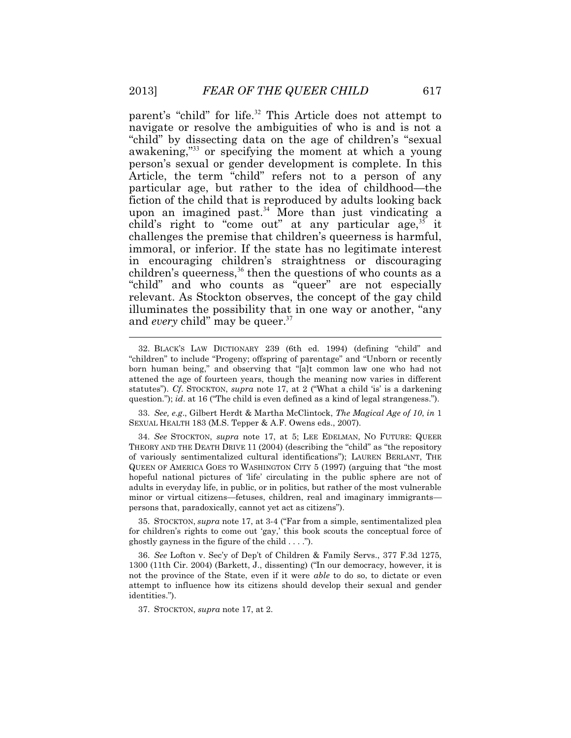parent's "child" for life.<sup>32</sup> This Article does not attempt to navigate or resolve the ambiguities of who is and is not a "child" by dissecting data on the age of children's "sexual awakening,"<sup>33</sup> or specifying the moment at which a young person's sexual or gender development is complete. In this Article, the term "child" refers not to a person of any particular age, but rather to the idea of childhood—the fiction of the child that is reproduced by adults looking back upon an imagined past.<sup>34</sup> More than just vindicating a child's right to "come out" at any particular age,  $35$  it challenges the premise that children's queerness is harmful, immoral, or inferior. If the state has no legitimate interest in encouraging children's straightness or discouraging children's queerness,  $36$  then the questions of who counts as a "child" and who counts as "queer" are not especially relevant. As Stockton observes, the concept of the gay child illuminates the possibility that in one way or another, "any and *every* child" may be [queer.](https://queer.37)<sup>37</sup>

 33. *See, e.g*., Gilbert Herdt & Martha McClintock, *The Magical Age of 10*, *in* 1 SEXUAL HEALTH 183 (M.S. Tepper & A.F. Owens eds., 2007).

 THEORY AND THE DEATH DRIVE 11 (2004) (describing the "child" as "the repository hopeful national pictures of 'life' circulating in the public sphere are not of 34. *See* STOCKTON, *supra* note 17, at 5; LEE EDELMAN, NO FUTURE: QUEER of variously sentimentalized cultural identifications"); LAUREN BERLANT, THE QUEEN OF AMERICA GOES TO WASHINGTON CITY 5 (1997) (arguing that "the most adults in everyday life, in public, or in politics, but rather of the most vulnerable minor or virtual citizens—fetuses, children, real and imaginary immigrants persons that, paradoxically, cannot yet act as citizens").

 35. STOCKTON, *supra* note 17, at 3-4 ("Far from a simple, sentimentalized plea for children's rights to come out 'gay,' this book scouts the conceptual force of ghostly gayness in the figure of the child  $\dots$ .

 not the province of the State, even if it were *able* to do so, to dictate or even 36. *See* Lofton v. Sec'y of Dep't of Children & Family Servs., 377 F.3d 1275, 1300 (11th Cir. 2004) (Barkett, J., dissenting) ("In our democracy, however, it is attempt to influence how its citizens should develop their sexual and gender identities.").

37. STOCKTON, *supra* note 17, at 2.

<sup>32.</sup> BLACK'S LAW DICTIONARY 239 (6th ed. 1994) (defining "child" and "children" to include "Progeny; offspring of parentage" and "Unborn or recently born human being," and observing that "[a]t common law one who had not attened the age of fourteen years, though the meaning now varies in different statutes"). *Cf*. STOCKTON, *supra* note 17, at 2 ("What a child 'is' is a darkening question."); *id*. at 16 ("The child is even defined as a kind of legal strangeness.").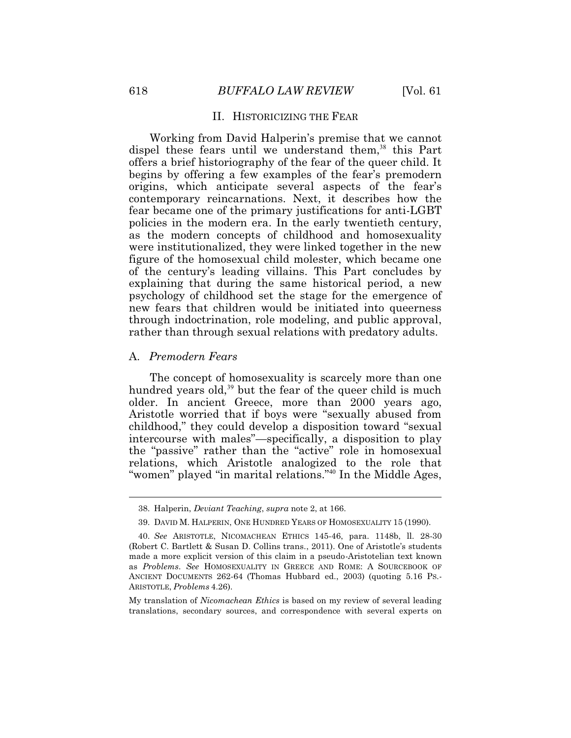#### II. HISTORICIZING THE FEAR

Working from David Halperin's premise that we cannot dispel these fears until we understand them,<sup>38</sup> this Part offers a brief historiography of the fear of the queer child. It begins by offering a few examples of the fear's premodern origins, which anticipate several aspects of the fear's contemporary reincarnations. Next, it describes how the fear became one of the primary justifications for anti-LGBT policies in the modern era. In the early twentieth century, as the modern concepts of childhood and homosexuality were institutionalized, they were linked together in the new figure of the homosexual child molester, which became one of the century's leading villains. This Part concludes by explaining that during the same historical period, a new psychology of childhood set the stage for the emergence of new fears that children would be initiated into queerness through indoctrination, role modeling, and public approval, rather than through sexual relations with predatory adults.

#### A. *Premodern Fears*

 $\ddot{\phantom{a}}$ 

The concept of homosexuality is scarcely more than one hundred years old,<sup>39</sup> but the fear of the queer child is much older. In ancient Greece, more than 2000 years ago, Aristotle worried that if boys were "sexually abused from childhood," they could develop a disposition toward "sexual intercourse with males"—specifically, a disposition to play the "passive" rather than the "active" role in homosexual relations, which Aristotle analogized to the role that "women" played "in marital relations."<sup>40</sup> In the Middle Ages,

<sup>38.</sup> Halperin, *Deviant Teaching*, *supra* note 2, at 166.

 <sup>39.</sup> DAVID M. HALPERIN, ONE HUNDRED YEARS OF HOMOSEXUALITY 15 (1990).

 as *Problems*. *See* HOMOSEXUALITY IN GREECE AND ROME: A SOURCEBOOK OF 40. *See* ARISTOTLE, NICOMACHEAN ETHICS 145-46, para. 1148b, ll. 28-30 (Robert C. Bartlett & Susan D. Collins trans., 2011). One of Aristotle's students made a more explicit version of this claim in a pseudo-Aristotelian text known ANCIENT DOCUMENTS 262-64 (Thomas Hubbard ed., 2003) (quoting 5.16 PS.- ARISTOTLE, *Problems* 4.26).

My translation of *Nicomachean Ethics* is based on my review of several leading translations, secondary sources, and correspondence with several experts on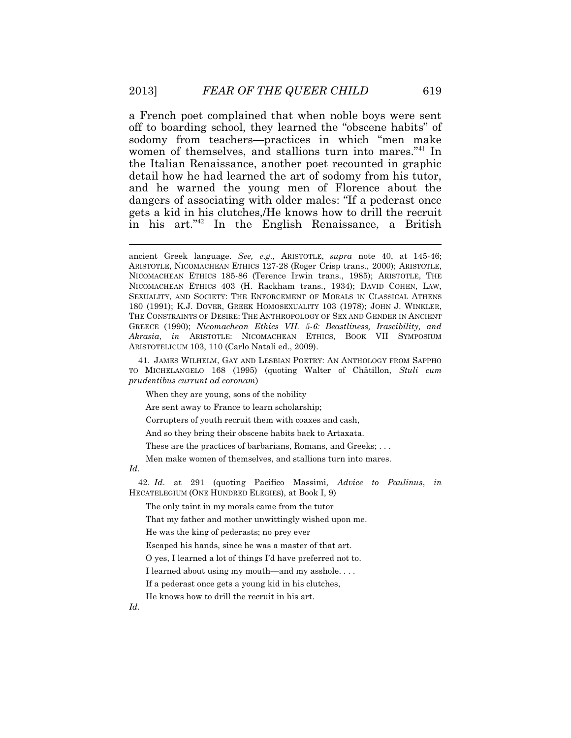a French poet complained that when noble boys were sent off to boarding school, they learned the "obscene habits" of sodomy from teachers—practices in which "men make women of themselves, and stallions turn into mares.<sup>"41</sup> In the Italian Renaissance, another poet recounted in graphic detail how he had learned the art of sodomy from his tutor, and he warned the young men of Florence about the dangers of associating with older males: "If a pederast once gets a kid in his clutches,/He knows how to drill the recruit in his art."<sup>42</sup> In the English Renaissance, a British

 41. JAMES WILHELM, GAY AND LESBIAN POETRY: AN ANTHOLOGY FROM SAPPHO TO MICHELANGELO 168 (1995) (quoting Walter of Châtillon, *Stuli cum prudentibus currunt ad coronam*)

When they are young, sons of the nobility

Are sent away to France to learn scholarship;

Corrupters of youth recruit them with coaxes and cash,

And so they bring their obscene habits back to Artaxata.

These are the practices of barbarians, Romans, and Greeks; . . .

Men make women of themselves, and stallions turn into mares.

#### *Id.*

 $\overline{a}$ 

 42. *Id*. at 291 (quoting Pacifico Massimi, *Advice to Paulinus*, *in*  HECATELEGIUM (ONE HUNDRED ELEGIES), at Book I, 9)

The only taint in my morals came from the tutor

That my father and mother unwittingly wished upon me.

He was the king of pederasts; no prey ever

Escaped his hands, since he was a master of that art.

O yes, I learned a lot of things I'd have preferred not to.

I learned about using my mouth—and my asshole....

If a pederast once gets a young kid in his clutches,

He knows how to drill the recruit in his art.

 NICOMACHEAN ETHICS 403 (H. Rackham trans., 1934); DAVID COHEN, LAW, 180 (1991); K.J. DOVER, GREEK HOMOSEXUALITY 103 (1978); JOHN J. WINKLER,  GREECE (1990); *Nicomachean Ethics VII. 5-6: Beastliness, Irascibility, and*  ancient Greek language. *See, e.g.*, ARISTOTLE, *supra* note 40, at 145-46; ARISTOTLE, NICOMACHEAN ETHICS 127-28 (Roger Crisp trans., 2000); ARISTOTLE, NICOMACHEAN ETHICS 185-86 (Terence Irwin trans., 1985); ARISTOTLE, THE SEXUALITY, AND SOCIETY: THE ENFORCEMENT OF MORALS IN CLASSICAL ATHENS THE CONSTRAINTS OF DESIRE: THE ANTHROPOLOGY OF SEX AND GENDER IN ANCIENT *Akrasia*, *in* ARISTOTLE: NICOMACHEAN ETHICS, BOOK VII SYMPOSIUM ARISTOTELICUM 103, 110 (Carlo Natali ed., 2009).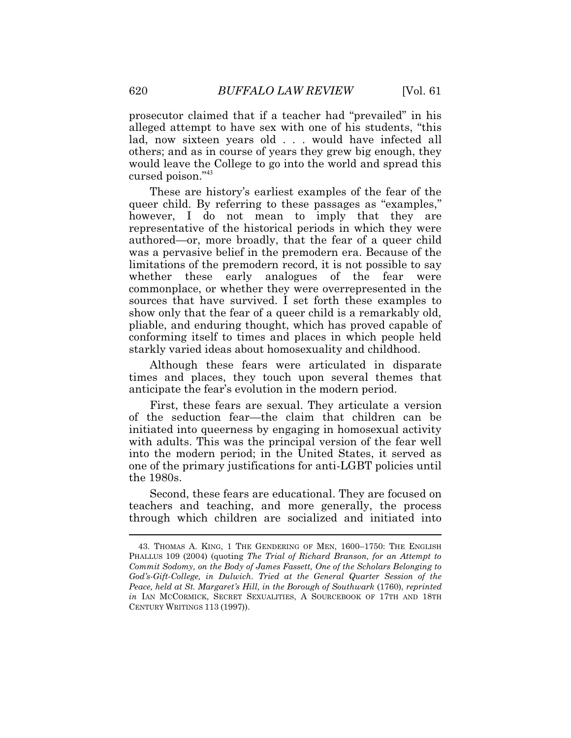prosecutor claimed that if a teacher had "prevailed" in his alleged attempt to have sex with one of his students, "this lad, now sixteen years old . . . would have infected all others; and as in course of years they grew big enough, they would leave the College to go into the world and spread this cursed poison."<sup>43</sup>

These are history's earliest examples of the fear of the queer child. By referring to these passages as "examples," however, I do not mean to imply that they are representative of the historical periods in which they were authored—or, more broadly, that the fear of a queer child was a pervasive belief in the premodern era. Because of the limitations of the premodern record, it is not possible to say whether these early analogues of the fear were commonplace, or whether they were overrepresented in the sources that have survived. I set forth these examples to show only that the fear of a queer child is a remarkably old, pliable, and enduring thought, which has proved capable of conforming itself to times and places in which people held starkly varied ideas about homosexuality and childhood.

Although these fears were articulated in disparate times and places, they touch upon several themes that anticipate the fear's evolution in the modern period.

First, these fears are sexual. They articulate a version of the seduction fear—the claim that children can be initiated into queerness by engaging in homosexual activity with adults. This was the principal version of the fear well into the modern period; in the United States, it served as one of the primary justifications for anti-LGBT policies until the 1980s.

 teachers and teaching, and more generally, the process Second, these fears are educational. They are focused on through which children are socialized and initiated into

 43. THOMAS A. KING, 1 THE GENDERING OF MEN, 1600–1750: THE ENGLISH  *God's-Gift-College, in Dulwich. Tried at the General Quarter Session of the in* IAN MCCORMICK, SECRET SEXUALITIES, A SOURCEBOOK OF 17TH AND 18TH PHALLUS 109 (2004) (quoting *The Trial of Richard Branson, for an Attempt to Commit Sodomy, on the Body of James Fassett, One of the Scholars Belonging to Peace, held at St. Margaret's Hill, in the Borough of Southwark* (1760), *reprinted*  CENTURY WRITINGS 113 (1997)).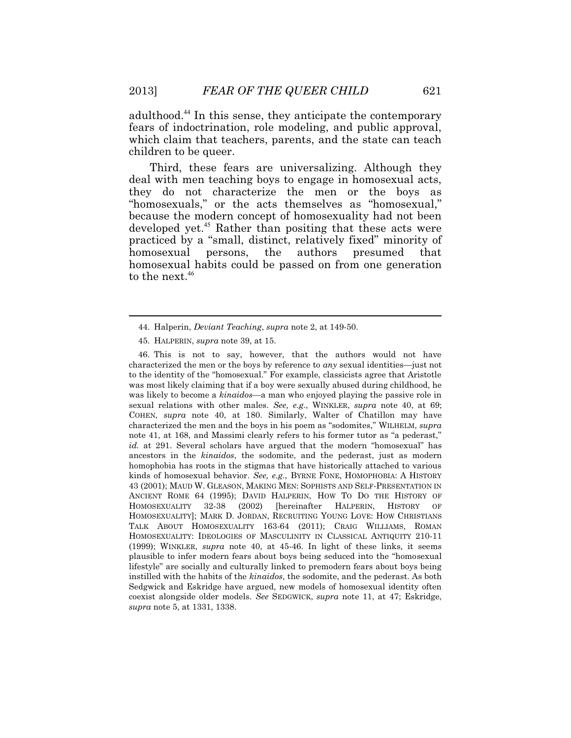[adulthood.](https://adulthood.44)<sup>44</sup> In this sense, they anticipate the contemporary fears of indoctrination, role modeling, and public approval, which claim that teachers, parents, and the state can teach children to be queer.

Third, these fears are universalizing. Although they deal with men teaching boys to engage in homosexual acts, they do not characterize the men or the boys as "homosexuals," or the acts themselves as "homosexual." because the modern concept of homosexuality had not been developed yet.<sup>45</sup> Rather than positing that these acts were practiced by a "small, distinct, relatively fixed" minority of homosexual persons, the authors presumed that homosexual habits could be passed on from one generation to the next.<sup>46</sup>

 kinds of homosexual behavior. *See, e.g.*, BYRNE FONE, HOMOPHOBIA: A HISTORY 46. This is not to say, however, that the authors would not have characterized the men or the boys by reference to *any* sexual identities—just not to the identity of the "homosexual." For example, classicists agree that Aristotle was most likely claiming that if a boy were sexually abused during childhood, he was likely to become a *kinaidos*—a man who enjoyed playing the passive role in sexual relations with other males. *See, e.g.*, WINKLER, *supra* note 40, at 69; COHEN, *supra* note 40, at 180. Similarly, Walter of Chatillon may have characterized the men and the boys in his poem as "sodomites," WILHELM, *supra* note 41, at 168, and Massimi clearly refers to his former tutor as "a pederast," *id.* at 291. Several scholars have argued that the modern "homosexual" has ancestors in the *kinaidos*, the sodomite, and the pederast, just as modern homophobia has roots in the stigmas that have historically attached to various 43 (2001); MAUD W. GLEASON, MAKING MEN: SOPHISTS AND SELF-PRESENTATION IN ANCIENT ROME 64 (1995); DAVID HALPERIN, HOW TO DO THE HISTORY OF HOMOSEXUALITY 32-38 (2002) [hereinafter HALPERIN, HISTORY OF HOMOSEXUALITY]; MARK D. JORDAN, RECRUITING YOUNG LOVE: HOW CHRISTIANS TALK ABOUT HOMOSEXUALITY 163-64 (2011); CRAIG WILLIAMS, ROMAN HOMOSEXUALITY: IDEOLOGIES OF MASCULINITY IN CLASSICAL ANTIQUITY 210-11 (1999); WINKLER, *supra* note 40, at 45-46. In light of these links, it seems plausible to infer modern fears about boys being seduced into the "homosexual lifestyle" are socially and culturally linked to premodern fears about boys being instilled with the habits of the *kinaidos*, the sodomite, and the pederast. As both Sedgwick and Eskridge have argued, new models of homosexual identity often coexist alongside older models. *See* SEDGWICK, *supra* note 11, at 47; Eskridge, *supra* note 5, at 1331, 1338.

<sup>44.</sup> Halperin, *Deviant Teaching*, *supra* note 2, at 149-50.

 <sup>45.</sup> HALPERIN, *supra* note 39, at 15.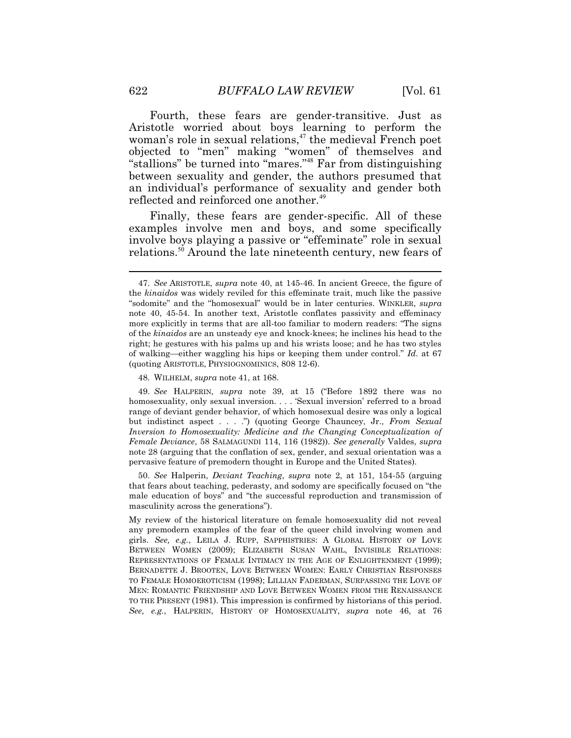Fourth, these fears are gender-transitive. Just as Aristotle worried about boys learning to perform the woman's role in sexual relations,<sup>47</sup> the medieval French poet objected to "men" making "women" of themselves and "stallions" be turned into "mares."<sup>48</sup> Far from distinguishing between sexuality and gender, the authors presumed that an individual's performance of sexuality and gender both reflected and reinforced one [another.](https://another.49)<sup>49</sup>

Finally, these fears are gender-specific. All of these examples involve men and boys, and some specifically involve boys playing a passive or "effeminate" role in sexual [relations.](https://relations.50)<sup>50</sup> Around the late nineteenth century, new fears of

48. WILHELM, *supra* note 41, at 168.

 homosexuality, only sexual inversion. . . . 'Sexual inversion' referred to a broad 49. *See* HALPERIN, *supra* note 39, at 15 ("Before 1892 there was no range of deviant gender behavior, of which homosexual desire was only a logical but indistinct aspect . . . .") (quoting George Chauncey, Jr., *From Sexual Inversion to Homosexuality: Medicine and the Changing Conceptualization of Female Deviance*, 58 SALMAGUNDI 114, 116 (1982)). *See generally* Valdes, *supra* note 28 (arguing that the conflation of sex, gender, and sexual orientation was a pervasive feature of premodern thought in Europe and the United States).

masculinity across the generations"). 50. *See* Halperin, *Deviant Teaching*, *supra* note 2, at 151, 154-55 (arguing that fears about teaching, pederasty, and sodomy are specifically focused on "the male education of boys" and "the successful reproduction and transmission of

 girls. *See, e.g.*, LEILA J. RUPP, SAPPHISTRIES: A GLOBAL HISTORY OF LOVE *See, e.g.*, HALPERIN, HISTORY OF HOMOSEXUALITY, *supra* note 46, at 76 My review of the historical literature on female homosexuality did not reveal any premodern examples of the fear of the queer child involving women and BETWEEN WOMEN (2009); ELIZABETH SUSAN WAHL, INVISIBLE RELATIONS: REPRESENTATIONS OF FEMALE INTIMACY IN THE AGE OF ENLIGHTENMENT (1999); BERNADETTE J. BROOTEN, LOVE BETWEEN WOMEN: EARLY CHRISTIAN RESPONSES TO FEMALE HOMOEROTICISM (1998); LILLIAN FADERMAN, SURPASSING THE LOVE OF MEN: ROMANTIC FRIENDSHIP AND LOVE BETWEEN WOMEN FROM THE RENAISSANCE TO THE PRESENT (1981). This impression is confirmed by historians of this period.

 more explicitly in terms that are all-too familiar to modern readers: "The signs 47. *See* ARISTOTLE, *supra* note 40, at 145-46. In ancient Greece, the figure of the *kinaidos* was widely reviled for this effeminate trait, much like the passive "sodomite" and the "homosexual" would be in later centuries. WINKLER, *supra*  note 40, 45-54. In another text, Aristotle conflates passivity and effeminacy of the *kinaidos* are an unsteady eye and knock-knees; he inclines his head to the right; he gestures with his palms up and his wrists loose; and he has two styles of walking—either waggling his hips or keeping them under control." *Id.* at 67 (quoting ARISTOTLE, PHYSIOGNOMINICS, 808 12-6).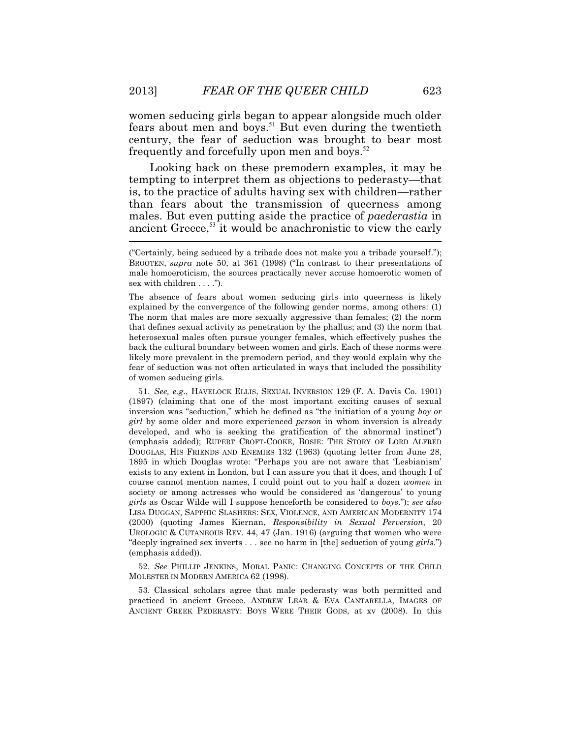women seducing girls began to appear alongside much older fears about men and boys.<sup>51</sup> But even during the twentieth century, the fear of seduction was brought to bear most frequently and forcefully upon men and boys. $52$ 

 $\overline{\phantom{a}}$ Looking back on these premodern examples, it may be tempting to interpret them as objections to pederasty—that is, to the practice of adults having sex with children—rather than fears about the transmission of queerness among males. But even putting aside the practice of *paederastia* in ancient Greece,<sup>53</sup> it would be anachronistic to view the early

The absence of fears about women seducing girls into queerness is likely explained by the convergence of the following gender norms, among others: (1) The norm that males are more sexually aggressive than females; (2) the norm that defines sexual activity as penetration by the phallus; and (3) the norm that heterosexual males often pursue younger females, which effectively pushes the back the cultural boundary between women and girls. Each of these norms were likely more prevalent in the premodern period, and they would explain why the fear of seduction was not often articulated in ways that included the possibility of women seducing girls.

 51. *See, e.g*., HAVELOCK ELLIS, SEXUAL INVERSION 129 (F. A. Davis Co. 1901) (emphasis added); RUPERT CROFT-COOKE, BOSIE: THE STORY OF LORD ALFRED LISA DUGGAN, SAPPHIC SLASHERS: SEX, VIOLENCE, AND AMERICAN MODERNITY 174 UROLOGIC & CUTANEOUS REV. 44, 47 (Jan. 1916) (arguing that women who were (1897) (claiming that one of the most important exciting causes of sexual inversion was "seduction," which he defined as "the initiation of a young *boy or girl* by some older and more experienced *person* in whom inversion is already developed, and who is seeking the gratification of the abnormal instinct") DOUGLAS, HIS FRIENDS AND ENEMIES 132 (1963) (quoting letter from June 28, 1895 in which Douglas wrote: "Perhaps you are not aware that 'Lesbianism' exists to any extent in London, but I can assure you that it does, and though I of course cannot mention names, I could point out to you half a dozen *women* in society or among actresses who would be considered as 'dangerous' to young *girls* as Oscar Wilde will I suppose henceforth be considered to *boys*."); *see also*  (2000) (quoting James Kiernan, *Responsibility in Sexual Perversion*, 20 "deeply ingrained sex inverts . . . see no harm in [the] seduction of young *girls*.") (emphasis added)).

52. *See* PHILLIP JENKINS, MORAL PANIC: CHANGING CONCEPTS OF THE CHILD MOLESTER IN MODERN AMERICA 62 (1998).

 ANCIENT GREEK PEDERASTY: BOYS WERE THEIR GODS, at xv (2008). In this 53. Classical scholars agree that male pederasty was both permitted and practiced in ancient Greece. ANDREW LEAR & EVA CANTARELLA, IMAGES OF

<sup>(&</sup>quot;Certainly, being seduced by a tribade does not make you a tribade yourself."); BROOTEN, *supra* note 50, at 361 (1998) ("In contrast to their presentations of male homoeroticism, the sources practically never accuse homoerotic women of sex with children . . . .").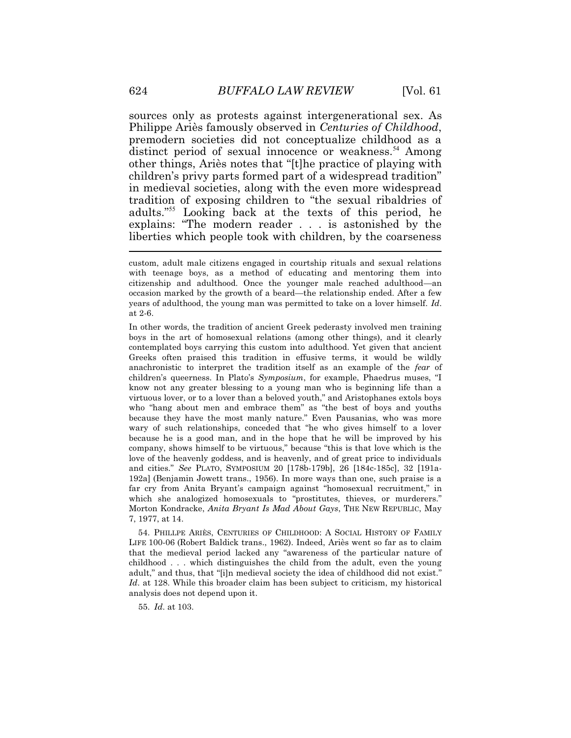$\overline{a}$ sources only as protests against intergenerational sex. As Philippe Ariès famously observed in *Centuries of Childhood*, premodern societies did not conceptualize childhood as a distinct period of sexual innocence or [weakness.](https://weakness.54)<sup>54</sup> Among other things, Ariès notes that "[t]he practice of playing with children's privy parts formed part of a widespread tradition" in medieval societies, along with the even more widespread tradition of exposing children to "the sexual ribaldries of adults."<sup>55</sup> Looking back at the texts of this period, he explains: "The modern reader . . . is astonished by the liberties which people took with children, by the coarseness

 54. PHILLPE ARIÈS, CENTURIES OF CHILDHOOD: A SOCIAL HISTORY OF FAMILY that the medieval period lacked any "awareness of the particular nature of adult," and thus, that "[i]n medieval society the idea of childhood did not exist." LIFE 100-06 (Robert Baldick trans., 1962). Indeed, Ariès went so far as to claim childhood . . . which distinguishes the child from the adult, even the young *Id*. at 128. While this broader claim has been subject to criticism, my historical analysis does not depend upon it.

55. *Id*. at 103.

custom, adult male citizens engaged in courtship rituals and sexual relations with teenage boys, as a method of educating and mentoring them into citizenship and adulthood. Once the younger male reached adulthood—an occasion marked by the growth of a beard—the relationship ended. After a few years of adulthood, the young man was permitted to take on a lover himself. *Id*. at 2-6.

 anachronistic to interpret the tradition itself as an example of the *fear* of In other words, the tradition of ancient Greek pederasty involved men training boys in the art of homosexual relations (among other things), and it clearly contemplated boys carrying this custom into adulthood. Yet given that ancient Greeks often praised this tradition in effusive terms, it would be wildly children's queerness. In Plato's *Symposium*, for example, Phaedrus muses, "I know not any greater blessing to a young man who is beginning life than a virtuous lover, or to a lover than a beloved youth," and Aristophanes extols boys who "hang about men and embrace them" as "the best of boys and youths because they have the most manly nature." Even Pausanias, who was more wary of such relationships, conceded that "he who gives himself to a lover because he is a good man, and in the hope that he will be improved by his company, shows himself to be virtuous," because "this is that love which is the love of the heavenly goddess, and is heavenly, and of great price to individuals and cities." *See* PLATO, SYMPOSIUM 20 [178b-179b], 26 [184c-185c], 32 [191a-192a] (Benjamin Jowett trans., 1956). In more ways than one, such praise is a far cry from Anita Bryant's campaign against "homosexual recruitment," in which she analogized homosexuals to "prostitutes, thieves, or murderers." Morton Kondracke, *Anita Bryant Is Mad About Gays*, THE NEW REPUBLIC, May 7, 1977, at 14.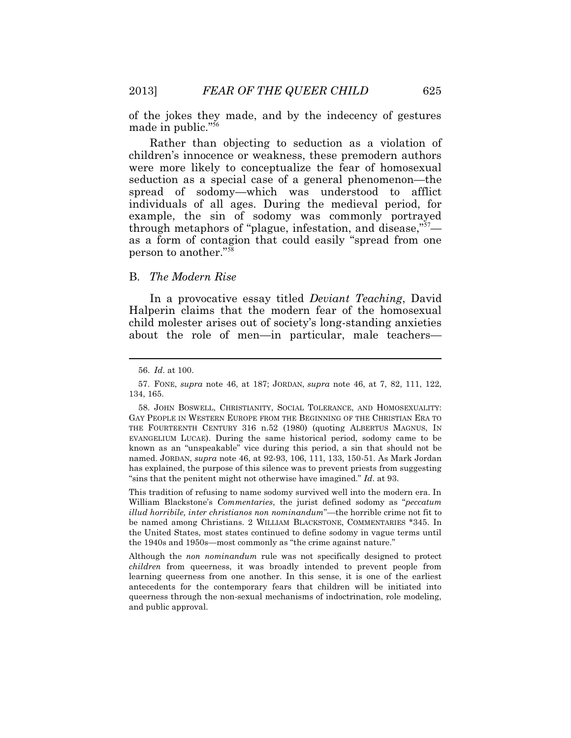of the jokes they made, and by the indecency of gestures made in public."<sup>56</sup>

Rather than objecting to seduction as a violation of children's innocence or weakness, these premodern authors were more likely to conceptualize the fear of homosexual seduction as a special case of a general phenomenon—the spread of sodomy—which was understood to afflict individuals of all ages. During the medieval period, for example, the sin of sodomy was commonly portrayed through metaphors of "plague, infestation, and disease,"<sup>57</sup> as a form of contagion that could easily "spread from one person to another."<sup>58</sup>

# B. *The Modern Rise*

In a provocative essay titled *Deviant Teaching*, David Halperin claims that the modern fear of the homosexual child molester arises out of society's long-standing anxieties about the role of men—in particular, male teachers—

<sup>56.</sup> *Id*. at 100.

 <sup>57.</sup> FONE, *supra* note 46, at 187; JORDAN, *supra* note 46, at 7, 82, 111, 122, 134, 165.

 58. JOHN BOSWELL, CHRISTIANITY, SOCIAL TOLERANCE, AND HOMOSEXUALITY: has explained, the purpose of this silence was to prevent priests from suggesting GAY PEOPLE IN WESTERN EUROPE FROM THE BEGINNING OF THE CHRISTIAN ERA TO THE FOURTEENTH CENTURY 316 n.52 (1980) (quoting ALBERTUS MAGNUS, IN EVANGELIUM LUCAE). During the same historical period, sodomy came to be known as an "unspeakable" vice during this period, a sin that should not be named. JORDAN, *supra* note 46, at 92-93, 106, 111, 133, 150-51. As Mark Jordan "sins that the penitent might not otherwise have imagined." *Id*. at 93.

This tradition of refusing to name sodomy survived well into the modern era. In William Blackstone's *Commentaries*, the jurist defined sodomy as "*peccatum illud horribile, inter christianos non nominandum*"—the horrible crime not fit to be named among Christians. 2 WILLIAM BLACKSTONE, COMMENTARIES \*345. In the United States, most states continued to define sodomy in vague terms until the 1940s and 1950s—most commonly as "the crime against nature."

 antecedents for the contemporary fears that children will be initiated into Although the *non nominandum* rule was not specifically designed to protect *children* from queerness, it was broadly intended to prevent people from learning queerness from one another. In this sense, it is one of the earliest queerness through the non-sexual mechanisms of indoctrination, role modeling, and public approval.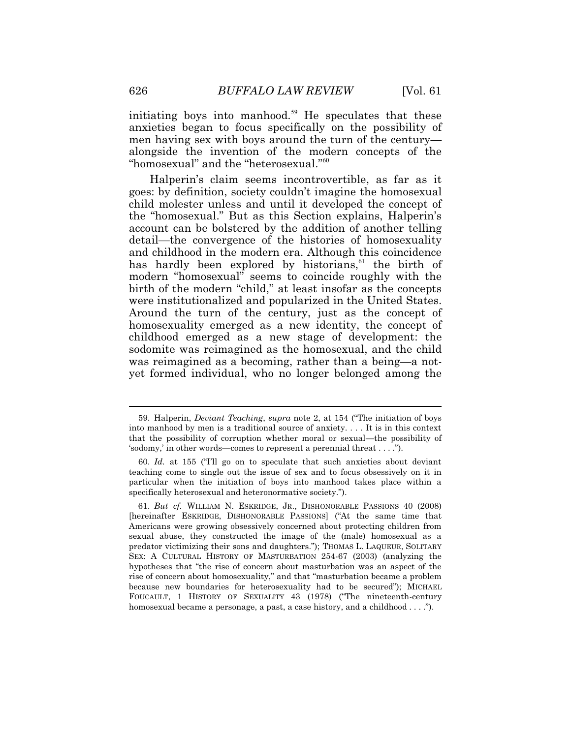alongside the invention of the modern concepts of the initiating boys into [manhood.](https://manhood.59)<sup>59</sup> He speculates that these anxieties began to focus specifically on the possibility of men having sex with boys around the turn of the century— "homosexual" and the "heterosexual."<sup>60</sup>

Halperin's claim seems incontrovertible, as far as it goes: by definition, society couldn't imagine the homosexual child molester unless and until it developed the concept of the "homosexual." But as this Section explains, Halperin's account can be bolstered by the addition of another telling detail—the convergence of the histories of homosexuality and childhood in the modern era. Although this coincidence has hardly been explored by historians,<sup>61</sup> the birth of modern "homosexual" seems to coincide roughly with the birth of the modern "child," at least insofar as the concepts were institutionalized and popularized in the United States. Around the turn of the century, just as the concept of homosexuality emerged as a new identity, the concept of childhood emerged as a new stage of development: the sodomite was reimagined as the homosexual, and the child was reimagined as a becoming, rather than a being—a notyet formed individual, who no longer belonged among the

 59. Halperin, *Deviant Teaching*, *supra* note 2, at 154 ("The initiation of boys into manhood by men is a traditional source of anxiety. . . . It is in this context that the possibility of corruption whether moral or sexual—the possibility of 'sodomy,' in other words—comes to represent a perennial threat . . . .").

<sup>60.</sup> *Id.* at 155 ("I'll go on to speculate that such anxieties about deviant teaching come to single out the issue of sex and to focus obsessively on it in particular when the initiation of boys into manhood takes place within a specifically heterosexual and heteronormative society.").

 61. *But cf.* WILLIAM N. ESKRIDGE, JR., DISHONORABLE PASSIONS 40 (2008) SEX: A CULTURAL HISTORY OF MASTURBATION 254-67 (2003) (analyzing the FOUCAULT, 1 HISTORY OF SEXUALITY 43 (1978) ("The nineteenth-century homosexual became a personage, a past, a case history, and a childhood . . . ."). [hereinafter ESKRIDGE, DISHONORABLE PASSIONS] ("At the same time that Americans were growing obsessively concerned about protecting children from sexual abuse, they constructed the image of the (male) homosexual as a predator victimizing their sons and daughters."); THOMAS L. LAQUEUR, SOLITARY hypotheses that "the rise of concern about masturbation was an aspect of the rise of concern about homosexuality," and that "masturbation became a problem because new boundaries for heterosexuality had to be secured"); MICHAEL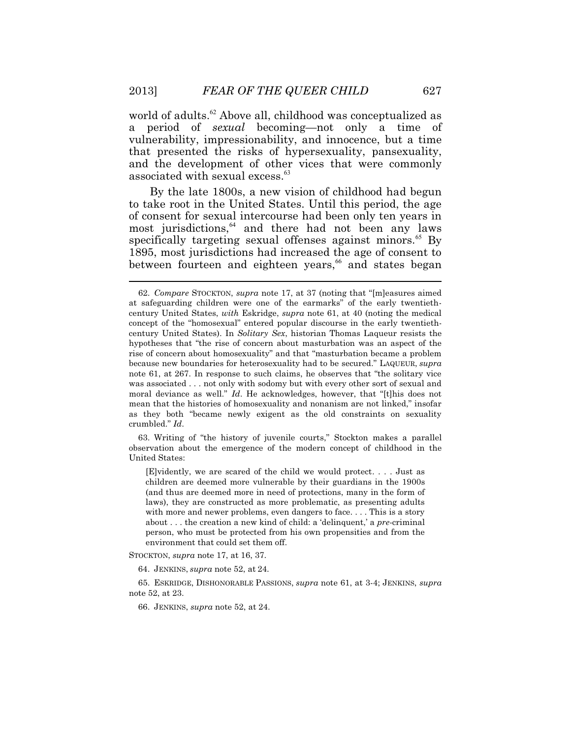world of [adults.](https://adults.62)<sup>62</sup> Above all, childhood was conceptualized as a period of *sexual* becoming—not only a time of vulnerability, impressionability, and innocence, but a time that presented the risks of hypersexuality, pansexuality, and the development of other vices that were commonly associated with sexual [excess.](https://excess.63)<sup>63</sup>

most jurisdictions,<sup>64</sup> and there had not been any laws By the late 1800s, a new vision of childhood had begun to take root in the United States. Until this period, the age of consent for sexual intercourse had been only ten years in specifically targeting sexual offenses against [minors.](https://minors.65)<sup>65</sup> By 1895, most jurisdictions had increased the age of consent to between fourteen and eighteen years,<sup>66</sup> and states began

 observation about the emergence of the modern concept of childhood in the 63. Writing of "the history of juvenile courts," Stockton makes a parallel United States:

 laws), they are constructed as more problematic, as presenting adults [E]vidently, we are scared of the child we would protect. . . . Just as children are deemed more vulnerable by their guardians in the 1900s (and thus are deemed more in need of protections, many in the form of with more and newer problems, even dangers to face. . . . This is a story about . . . the creation a new kind of child: a 'delinquent,' a *pre*-criminal person, who must be protected from his own propensities and from the environment that could set them off.

STOCKTON, *supra* note 17, at 16, 37.

64. JENKINS, *supra* note 52, at 24.

65. ESKRIDGE, DISHONORABLE PASSIONS, *supra* note 61, at 3-4; JENKINS, *supra* note 52, at 23.

66. JENKINS, *supra* note 52, at 24.

 century United States, *with* Eskridge, *supra* note 61, at 40 (noting the medical 62. *Compare* STOCKTON, *supra* note 17, at 37 (noting that "[m]easures aimed at safeguarding children were one of the earmarks" of the early twentiethconcept of the "homosexual" entered popular discourse in the early twentiethcentury United States). In *Solitary Sex*, historian Thomas Laqueur resists the hypotheses that "the rise of concern about masturbation was an aspect of the rise of concern about homosexuality" and that "masturbation became a problem because new boundaries for heterosexuality had to be secured." LAQUEUR, *supra* note 61, at 267. In response to such claims, he observes that "the solitary vice was associated . . . not only with sodomy but with every other sort of sexual and moral deviance as well." *Id*. He acknowledges, however, that "[t]his does not mean that the histories of homosexuality and nonanism are not linked," insofar as they both "became newly exigent as the old constraints on sexuality crumbled." *Id*.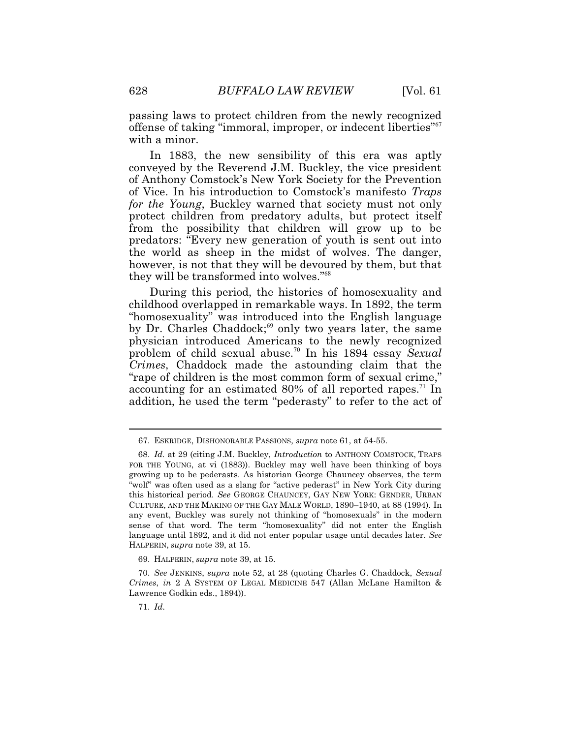passing laws to protect children from the newly recognized offense of taking "immoral, improper, or indecent liberties"<sup>67</sup> with a minor.

In 1883, the new sensibility of this era was aptly conveyed by the Reverend J.M. Buckley, the vice president of Anthony Comstock's New York Society for the Prevention of Vice. In his introduction to Comstock's manifesto *Traps for the Young*, Buckley warned that society must not only protect children from predatory adults, but protect itself from the possibility that children will grow up to be predators: "Every new generation of youth is sent out into the world as sheep in the midst of wolves. The danger, however, is not that they will be devoured by them, but that they will be transformed into wolves."<sup>68</sup>

During this period, the histories of homosexuality and childhood overlapped in remarkable ways. In 1892, the term "homosexuality" was introduced into the English language by Dr. Charles Chaddock;<sup>69</sup> only two years later, the same physician introduced Americans to the newly recognized problem of child sexual [abuse.](https://abuse.70)<sup>70</sup> In his 1894 essay *Sexual Crimes*, Chaddock made the astounding claim that the "rape of children is the most common form of sexual crime," accounting for an estimated 80% of all reported [rapes.](https://rapes.71)<sup>71</sup> In addition, he used the term "pederasty" to refer to the act of

<sup>67.</sup> ESKRIDGE, DISHONORABLE PASSIONS, *supra* note 61, at 54-55.

 FOR THE YOUNG, at vi (1883)). Buckley may well have been thinking of boys 68. *Id.* at 29 (citing J.M. Buckley, *Introduction* to ANTHONY COMSTOCK, TRAPS growing up to be pederasts. As historian George Chauncey observes, the term "wolf" was often used as a slang for "active pederast" in New York City during this historical period. *See* GEORGE CHAUNCEY, GAY NEW YORK: GENDER, URBAN CULTURE, AND THE MAKING OF THE GAY MALE WORLD, 1890–1940, at 88 (1994). In any event, Buckley was surely not thinking of "homosexuals" in the modern sense of that word. The term "homosexuality" did not enter the English language until 1892, and it did not enter popular usage until decades later. *See*  HALPERIN, *supra* note 39, at 15.

 <sup>69.</sup> HALPERIN, *supra* note 39, at 15.

<sup>70.</sup> *See* JENKINS, *supra* note 52, at 28 (quoting Charles G. Chaddock, *Sexual Crimes*, *in* 2 A SYSTEM OF LEGAL MEDICINE 547 (Allan McLane Hamilton & Lawrence Godkin eds., 1894)).

<sup>71.</sup> *Id*.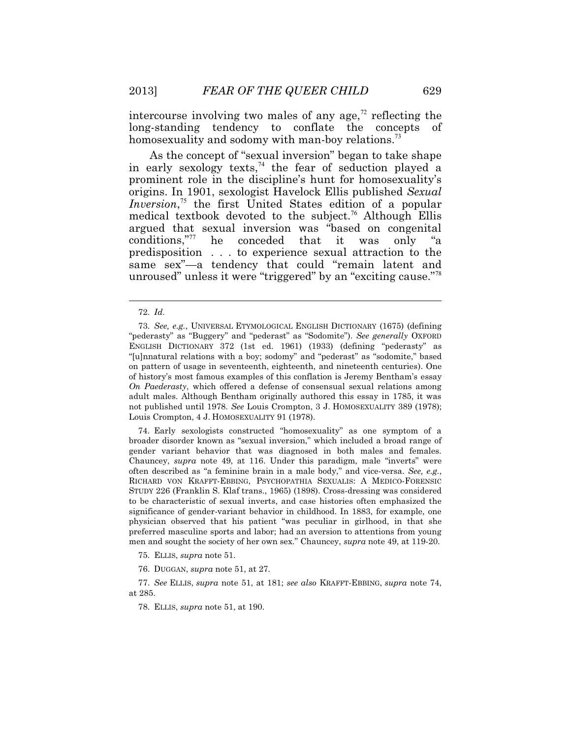intercourse involving two males of any age,<sup> $\frac{7}{2}$ </sup> reflecting the long-standing tendency to conflate the concepts homosexuality and sodomy with man-boy [relations.](https://relations.73)<sup>73</sup>

As the concept of "sexual inversion" began to take shape in early sexology texts,<sup> $74$ </sup> the fear of seduction played a prominent role in the discipline's hunt for homosexuality's origins. In 1901, sexologist Havelock Ellis published *Sexual Inversion*,<sup>75</sup> the first United States edition of a popular medical textbook devoted to the [subject.](https://subject.76)<sup>76</sup> Although Ellis argued that sexual inversion was "based on congenital conditions,"<sup>77</sup> he conceded that it was only "a predisposition . . . to experience sexual attraction to the same sex"—a tendency that could "remain latent and unroused" unless it were "triggered" by an "exciting cause."<sup>78</sup>

 $\overline{a}$ 

 RICHARD VON KRAFFT-EBBING, PSYCHOPATHIA SEXUALIS: A MEDICO-FORENSIC 74. Early sexologists constructed "homosexuality" as one symptom of a broader disorder known as "sexual inversion," which included a broad range of gender variant behavior that was diagnosed in both males and females. Chauncey, *supra* note 49, at 116. Under this paradigm, male "inverts" were often described as "a feminine brain in a male body," and vice-versa. *See, e.g.*, STUDY 226 (Franklin S. Klaf trans., 1965) (1898). Cross-dressing was considered to be characteristic of sexual inverts, and case histories often emphasized the significance of gender-variant behavior in childhood. In 1883, for example, one physician observed that his patient "was peculiar in girlhood, in that she preferred masculine sports and labor; had an aversion to attentions from young men and sought the society of her own sex." Chauncey, *supra* note 49, at 119-20.

75. ELLIS, *supra* note 51.

76. DUGGAN, *supra* note 51, at 27.

 77. *See* ELLIS, *supra* note 51, at 181; *see also* KRAFFT-EBBING, *supra* note 74, at 285.

78. ELLIS, *supra* note 51, at 190.

<sup>72.</sup> *Id*.

 ENGLISH DICTIONARY 372 (1st ed. 1961) (1933) (defining "pederasty" as 73. *See, e.g.*, UNIVERSAL ETYMOLOGICAL ENGLISH DICTIONARY (1675) (defining "pederasty" as "Buggery" and "pederast" as "Sodomite"). *See generally* OXFORD "[u]nnatural relations with a boy; sodomy" and "pederast" as "sodomite," based on pattern of usage in seventeenth, eighteenth, and nineteenth centuries). One of history's most famous examples of this conflation is Jeremy Bentham's essay *On Paederasty*, which offered a defense of consensual sexual relations among adult males. Although Bentham originally authored this essay in 1785, it was not published until 1978. *See* Louis Crompton, 3 J. HOMOSEXUALITY 389 (1978); Louis Crompton, 4 J. HOMOSEXUALITY 91 (1978).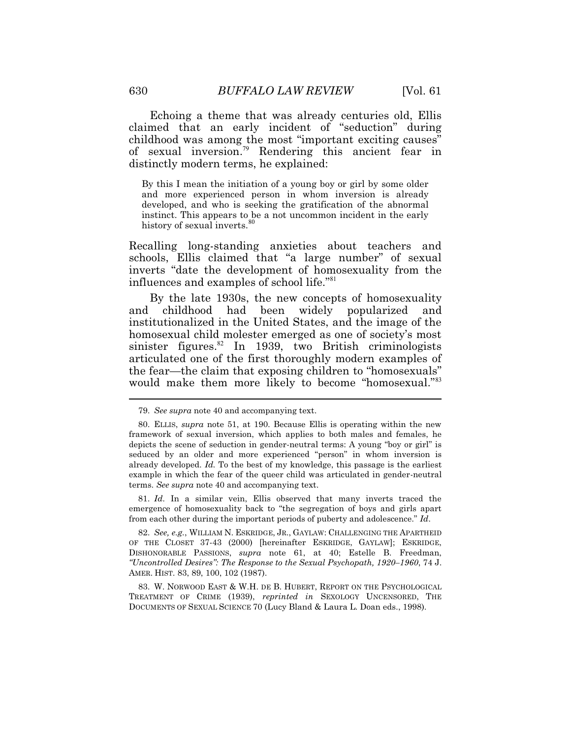Echoing a theme that was already centuries old, Ellis claimed that an early incident of "seduction" during childhood was among the most "important exciting causes" of sexual [inversion.](https://inversion.79)<sup>79</sup> Rendering this ancient fear in distinctly modern terms, he explained:

By this I mean the initiation of a young boy or girl by some older and more experienced person in whom inversion is already developed, and who is seeking the gratification of the abnormal instinct. This appears to be a not uncommon incident in the early history of sexual [inverts.](https://inverts.80)<sup>80</sup>

Recalling long-standing anxieties about teachers and schools, Ellis claimed that "a large number" of sexual inverts "date the development of homosexuality from the influences and examples of school life."<sup>81</sup>

 $\overline{a}$ By the late 1930s, the new concepts of homosexuality and childhood had been widely popularized and institutionalized in the United States, and the image of the homosexual child molester emerged as one of society's most sinister [figures.](https://figures.82) $82$  In 1939, two British criminologists articulated one of the first thoroughly modern examples of the fear—the claim that exposing children to "homosexuals" would make them more likely to become "homosexual."<sup>83</sup>

81. *Id*. In a similar vein, Ellis observed that many inverts traced the emergence of homosexuality back to "the segregation of boys and girls apart from each other during the important periods of puberty and adolescence." *Id*.

 82. *See, e.g.*, WILLIAM N. ESKRIDGE, JR., GAYLAW: CHALLENGING THE APARTHEID OF THE CLOSET 37-43 (2000) [hereinafter ESKRIDGE, GAYLAW]; ESKRIDGE, DISHONORABLE PASSIONS, *supra* note 61, at 40; Estelle B. Freedman, *"Uncontrolled Desires": The Response to the Sexual Psychopath, 1920–1960*, 74 J. AMER. HIST. 83, 89, 100, 102 (1987).

83. W. NORWOOD EAST & W.H. DE B. HUBERT, REPORT ON THE PSYCHOLOGICAL TREATMENT OF CRIME (1939), *reprinted in* SEXOLOGY UNCENSORED, THE DOCUMENTS OF SEXUAL SCIENCE 70 (Lucy Bland & Laura L. Doan eds., 1998).

<sup>79.</sup> *See supra* note 40 and accompanying text.

 <sup>80.</sup> ELLIS, *supra* note 51, at 190. Because Ellis is operating within the new framework of sexual inversion, which applies to both males and females, he depicts the scene of seduction in gender-neutral terms: A young "boy or girl" is seduced by an older and more experienced "person" in whom inversion is already developed. *Id.* To the best of my knowledge, this passage is the earliest example in which the fear of the queer child was articulated in gender-neutral terms. *See supra* note 40 and accompanying text.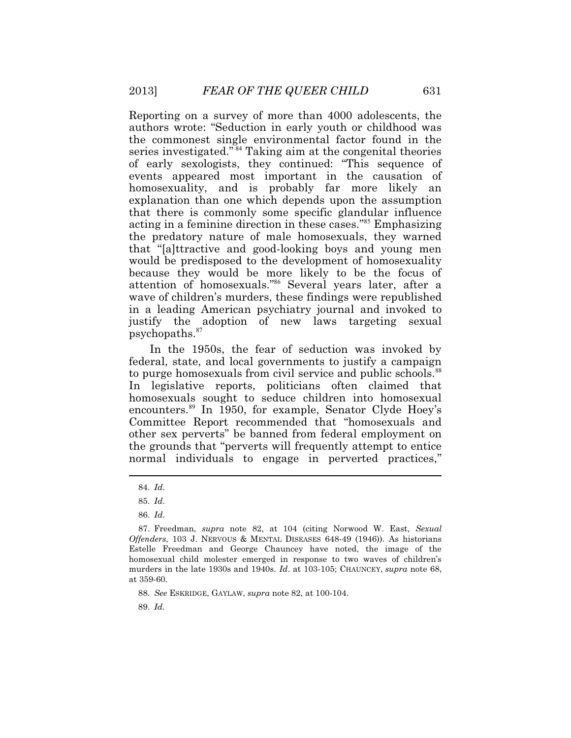attention of homosexuals."<sup>86</sup> Several years later, after a [psychopaths.](https://psychopaths.87)<sup>87</sup> Reporting on a survey of more than 4000 adolescents, the authors wrote: "Seduction in early youth or childhood was the commonest single environmental factor found in the series investigated."<sup>84</sup> Taking aim at the congenital theories of early sexologists, they continued: "This sequence of events appeared most important in the causation of homosexuality, and is probably far more likely an explanation than one which depends upon the assumption that there is commonly some specific glandular influence acting in a feminine direction in these cases."<sup>85</sup> Emphasizing the predatory nature of male homosexuals, they warned that "[a]ttractive and good-looking boys and young men would be predisposed to the development of homosexuality because they would be more likely to be the focus of wave of children's murders, these findings were republished in a leading American psychiatry journal and invoked to justify the adoption of new laws targeting sexual

In the 1950s, the fear of seduction was invoked by federal, state, and local governments to justify a campaign to purge homosexuals from civil service and public [schools.](https://schools.88)<sup>88</sup> In legislative reports, politicians often claimed that homosexuals sought to seduce children into homosexual [encounters.](https://encounters.89)<sup>89</sup> In 1950, for example, Senator Clyde Hoey's Committee Report recommended that "homosexuals and other sex perverts" be banned from federal employment on the grounds that "perverts will frequently attempt to entice normal individuals to engage in perverted practices,"

 $\overline{a}$ 

88. *See* ESKRIDGE, GAYLAW, *supra* note 82, at 100-104.

89. *Id.* 

<sup>84.</sup> *Id*.

<sup>85.</sup> *Id*.

<sup>86.</sup> *Id*.

 87. Freedman, *supra* note 82, at 104 (citing Norwood W. East, *Sexual Offenders*, 103 J. NERVOUS & MENTAL DISEASES 648-49 (1946)). As historians Estelle Freedman and George Chauncey have noted, the image of the homosexual child molester emerged in response to two waves of children's murders in the late 1930s and 1940s. *Id*. at 103-105; CHAUNCEY, *supra* note 68, at 359-60.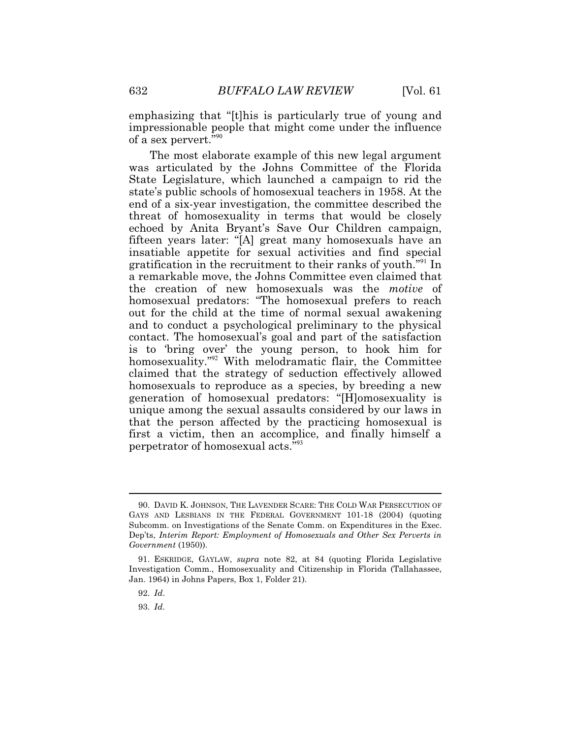of a sex pervert."<sup>90</sup> emphasizing that "[t]his is particularly true of young and impressionable people that might come under the influence

 that the person affected by the practicing homosexual is The most elaborate example of this new legal argument was articulated by the Johns Committee of the Florida State Legislature, which launched a campaign to rid the state's public schools of homosexual teachers in 1958. At the end of a six-year investigation, the committee described the threat of homosexuality in terms that would be closely echoed by Anita Bryant's Save Our Children campaign, fifteen years later: "[A] great many homosexuals have an insatiable appetite for sexual activities and find special gratification in the recruitment to their ranks of youth."<sup>91</sup> In a remarkable move, the Johns Committee even claimed that the creation of new homosexuals was the *motive* of homosexual predators: "The homosexual prefers to reach out for the child at the time of normal sexual awakening and to conduct a psychological preliminary to the physical contact. The homosexual's goal and part of the satisfaction is to 'bring over' the young person, to hook him for homosexuality."<sup>92</sup> With melodramatic flair, the Committee claimed that the strategy of seduction effectively allowed homosexuals to reproduce as a species, by breeding a new generation of homosexual predators: "[H]omosexuality is unique among the sexual assaults considered by our laws in first a victim, then an accomplice, and finally himself a perpetrator of homosexual acts."<sup>93</sup>

92. *Id*.

 $\overline{a}$ 

93. *Id*.

<sup>90.</sup> DAVID K. JOHNSON, THE LAVENDER SCARE: THE COLD WAR PERSECUTION OF GAYS AND LESBIANS IN THE FEDERAL GOVERNMENT 101-18 (2004) (quoting Subcomm. on Investigations of the Senate Comm. on Expenditures in the Exec. Dep'ts, *Interim Report: Employment of Homosexuals and Other Sex Perverts in Government* (1950)).

 <sup>91.</sup> ESKRIDGE, GAYLAW, *supra* note 82, at 84 (quoting Florida Legislative Investigation Comm., Homosexuality and Citizenship in Florida (Tallahassee, Jan. 1964) in Johns Papers, Box 1, Folder 21).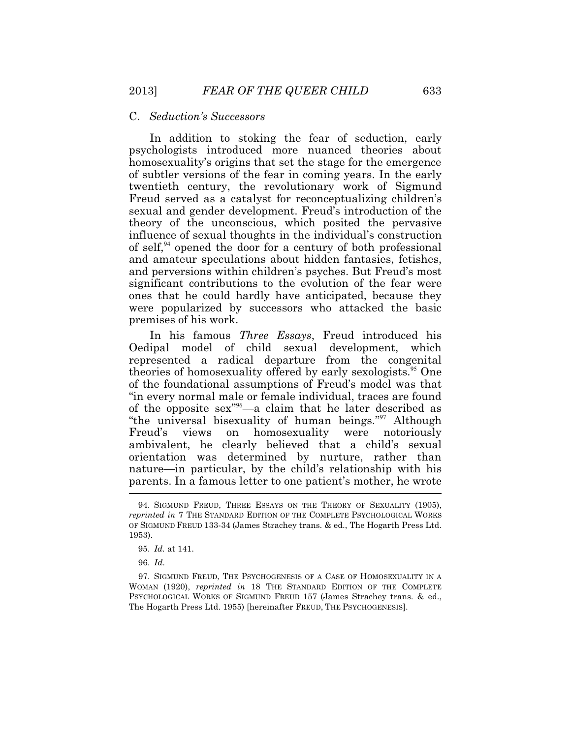#### C. *Seduction's Successors*

In addition to stoking the fear of seduction, early psychologists introduced more nuanced theories about homosexuality's origins that set the stage for the emergence of subtler versions of the fear in coming years. In the early twentieth century, the revolutionary work of Sigmund Freud served as a catalyst for reconceptualizing children's sexual and gender development. Freud's introduction of the theory of the unconscious, which posited the pervasive influence of sexual thoughts in the individual's construction of self, $94}$  opened the door for a century of both professional and amateur speculations about hidden fantasies, fetishes, and perversions within children's psyches. But Freud's most significant contributions to the evolution of the fear were ones that he could hardly have anticipated, because they were popularized by successors who attacked the basic premises of his work.

 parents. In a famous letter to one patient's mother, he wrote In his famous *Three Essays*, Freud introduced his Oedipal model of child sexual development, which represented a radical departure from the congenital theories of homosexuality offered by early [sexologists.](https://sexologists.95)<sup>95</sup> One of the foundational assumptions of Freud's model was that "in every normal male or female individual, traces are found of the opposite sex"<sup>96</sup>—a claim that he later described as "the universal bisexuality of human beings."<sup>97</sup> Although Freud's views on homosexuality were notoriously ambivalent, he clearly believed that a child's sexual orientation was determined by nurture, rather than nature—in particular, by the child's relationship with his

 <sup>94.</sup> SIGMUND FREUD, THREE ESSAYS ON THE THEORY OF SEXUALITY (1905), *reprinted in* 7 THE STANDARD EDITION OF THE COMPLETE PSYCHOLOGICAL WORKS OF SIGMUND FREUD 133-34 (James Strachey trans. & ed., The Hogarth Press Ltd. 1953).

 <sup>95.</sup> *Id.* at 141.

 <sup>96.</sup> *Id*.

<sup>97.</sup> SIGMUND FREUD, THE PSYCHOGENESIS OF A CASE OF HOMOSEXUALITY IN A WOMAN (1920), *reprinted in* 18 THE STANDARD EDITION OF THE COMPLETE PSYCHOLOGICAL WORKS OF SIGMUND FREUD 157 (James Strachey trans. & ed., The Hogarth Press Ltd. 1955) [hereinafter FREUD, THE PSYCHOGENESIS].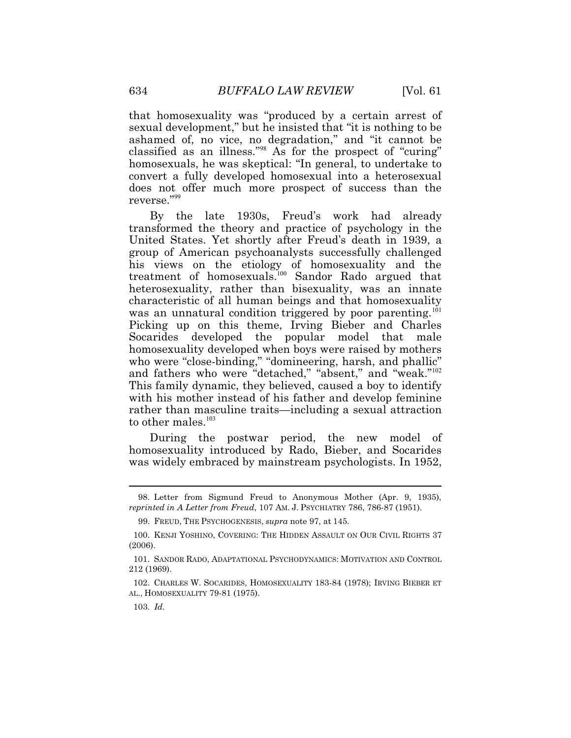that homosexuality was "produced by a certain arrest of sexual development," but he insisted that "it is nothing to be ashamed of, no vice, no degradation," and "it cannot be classified as an illness."<sup>98</sup> As for the prospect of "curing" homosexuals, he was skeptical: "In general, to undertake to convert a fully developed homosexual into a heterosexual does not offer much more prospect of success than the reverse."<sup>99</sup>

to other males.<sup>103</sup> By the late 1930s, Freud's work had already transformed the theory and practice of psychology in the United States. Yet shortly after Freud's death in 1939, a group of American psychoanalysts successfully challenged his views on the etiology of homosexuality and the treatment of homosexuals.<sup>100</sup> Sandor Rado argued that heterosexuality, rather than bisexuality, was an innate characteristic of all human beings and that homosexuality was an unnatural condition triggered by poor parenting.<sup>101</sup> Picking up on this theme, Irving Bieber and Charles Socarides developed the popular model that male homosexuality developed when boys were raised by mothers who were "close-binding," "domineering, harsh, and phallic" and fathers who were "detached," "absent," and "weak."<sup>102</sup> This family dynamic, they believed, caused a boy to identify with his mother instead of his father and develop feminine rather than masculine traits—including a sexual attraction

During the postwar period, the new model of homosexuality introduced by Rado, Bieber, and Socarides was widely embraced by mainstream psychologists. In 1952,

 $\ddot{\phantom{a}}$ 

 *reprinted in A Letter from Freud*, 107 AM. J. PSYCHIATRY 786, 786-87 (1951). 98. Letter from Sigmund Freud to Anonymous Mother (Apr. 9, 1935),

 <sup>99.</sup> FREUD, THE PSYCHOGENESIS, *supra* note 97, at 145.

 <sup>100.</sup> KENJI YOSHINO, COVERING: THE HIDDEN ASSAULT ON OUR CIVIL RIGHTS 37 (2006).

 <sup>101.</sup> SANDOR RADO, ADAPTATIONAL PSYCHODYNAMICS: MOTIVATION AND CONTROL 212 (1969).

 <sup>102.</sup> CHARLES W. SOCARIDES, HOMOSEXUALITY 183-84 (1978); IRVING BIEBER ET AL., HOMOSEXUALITY 79-81 (1975).

 <sup>103.</sup> *Id.*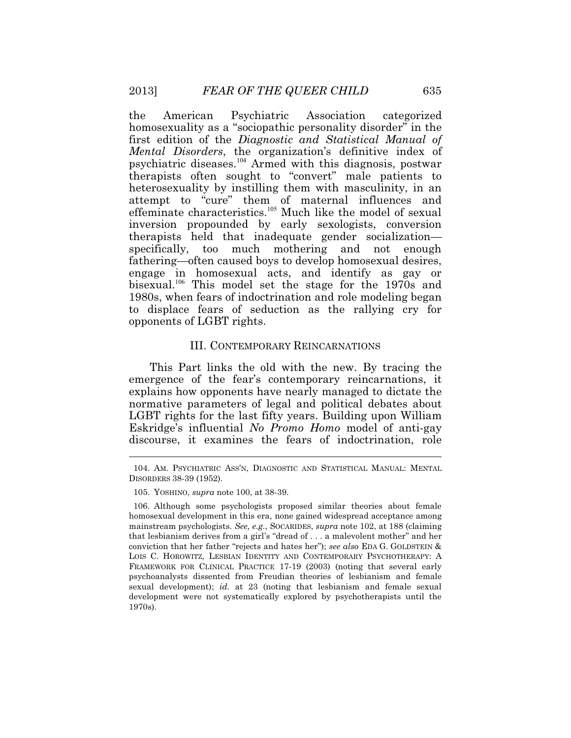heterosexuality by instilling them with masculinity, in an the American Psychiatric Association categorized homosexuality as a "sociopathic personality disorder" in the first edition of the *Diagnostic and Statistical Manual of Mental Disorders*, the organization's definitive index of psychiatric diseases.<sup>104</sup> Armed with this diagnosis, postwar therapists often sought to "convert" male patients to attempt to "cure" them of maternal influences and effeminate characteristics.<sup>105</sup> Much like the model of sexual inversion propounded by early sexologists, conversion therapists held that inadequate gender socialization specifically, too much mothering and not enough fathering—often caused boys to develop homosexual desires, engage in homosexual acts, and identify as gay or bisexual.<sup>106</sup> This model set the stage for the 1970s and 1980s, when fears of indoctrination and role modeling began to displace fears of seduction as the rallying cry for opponents of LGBT rights.

# III. CONTEMPORARY REINCARNATIONS

 $\overline{a}$ This Part links the old with the new. By tracing the emergence of the fear's contemporary reincarnations, it explains how opponents have nearly managed to dictate the normative parameters of legal and political debates about LGBT rights for the last fifty years. Building upon William Eskridge's influential *No Promo Homo* model of anti-gay discourse, it examines the fears of indoctrination, role

<sup>104.</sup> AM. PSYCHIATRIC ASS'N, DIAGNOSTIC AND STATISTICAL MANUAL: MENTAL DISORDERS 38-39 (1952).

 <sup>105.</sup> YOSHINO, *supra* note 100, at 38-39.

 LOIS C. HOROWITZ, LESBIAN IDENTITY AND CONTEMPORARY PSYCHOTHERAPY: A 106. Although some psychologists proposed similar theories about female homosexual development in this era, none gained widespread acceptance among mainstream psychologists. *See, e.g.*, SOCARIDES, *supra* note 102, at 188 (claiming that lesbianism derives from a girl's "dread of . . . a malevolent mother" and her conviction that her father "rejects and hates her"); *see also* EDA G. GOLDSTEIN & FRAMEWORK FOR CLINICAL PRACTICE 17-19 (2003) (noting that several early psychoanalysts dissented from Freudian theories of lesbianism and female sexual development); *id*. at 23 (noting that lesbianism and female sexual development were not systematically explored by psychotherapists until the 1970s).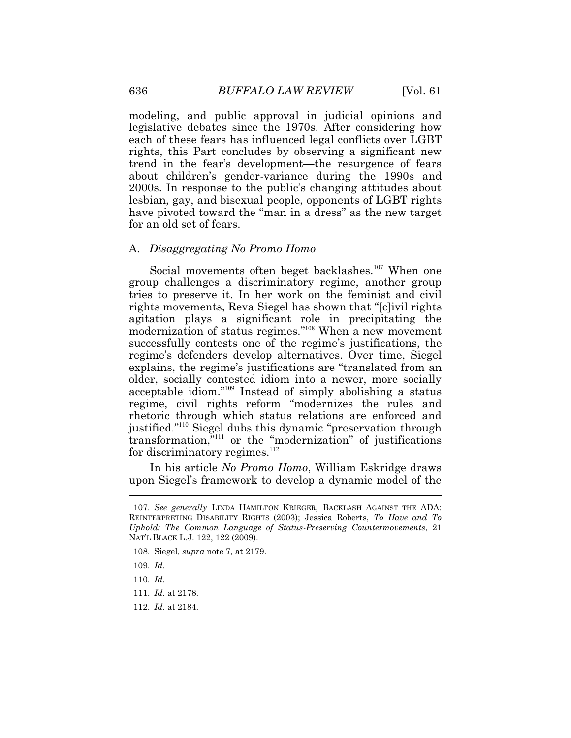modeling, and public approval in judicial opinions and legislative debates since the 1970s. After considering how each of these fears has influenced legal conflicts over LGBT rights, this Part concludes by observing a significant new trend in the fear's development—the resurgence of fears about children's gender-variance during the 1990s and 2000s. In response to the public's changing attitudes about lesbian, gay, and bisexual people, opponents of LGBT rights have pivoted toward the "man in a dress" as the new target for an old set of fears.

#### A. *Disaggregating No Promo Homo*

Social movements often beget backlashes.<sup>107</sup> When one group challenges a discriminatory regime, another group tries to preserve it. In her work on the feminist and civil rights movements, Reva Siegel has shown that "[c]ivil rights agitation plays a significant role in precipitating the modernization of status regimes."<sup>108</sup> When a new movement successfully contests one of the regime's justifications, the regime's defenders develop alternatives. Over time, Siegel explains, the regime's justifications are "translated from an older, socially contested idiom into a newer, more socially acceptable idiom."<sup>109</sup> Instead of simply abolishing a status regime, civil rights reform "modernizes the rules and rhetoric through which status relations are enforced and justified."<sup>110</sup> Siegel dubs this dynamic "preservation through transformation,"<sup>111</sup> or the "modernization" of justifications for discriminatory regimes.<sup>112</sup>

 $\overline{a}$ In his article *No Promo Homo*, William Eskridge draws upon Siegel's framework to develop a dynamic model of the

<sup>107.</sup> *See generally* LINDA HAMILTON KRIEGER, BACKLASH AGAINST THE ADA: REINTERPRETING DISABILITY RIGHTS (2003); Jessica Roberts, *To Have and To Uphold: The Common Language of Status-Preserving Countermovements*, 21 NAT'L BLACK L.J. 122, 122 (2009).

 <sup>108.</sup> Siegel, *supra* note 7, at 2179.

 <sup>109.</sup> *Id*.

<sup>110.</sup> *Id*.

<sup>111.</sup> *Id*. at 2178.

 <sup>112.</sup> *Id*. at 2184.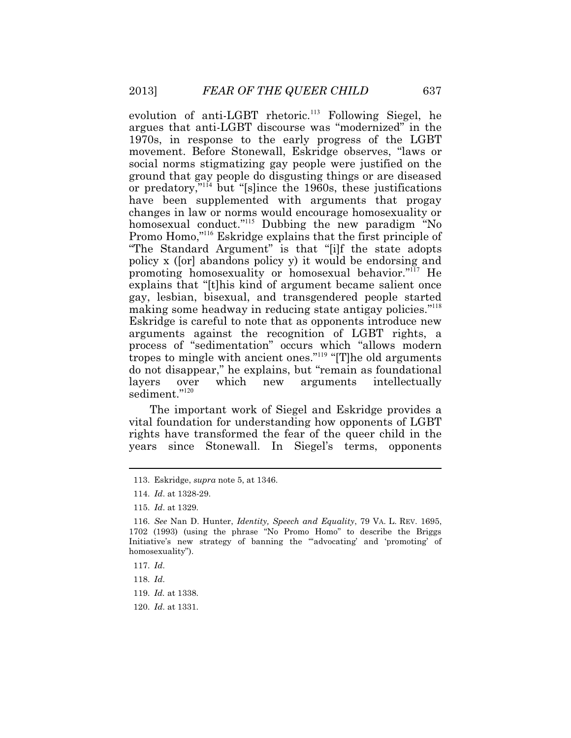evolution of anti-LGBT rhetoric.<sup>113</sup> Following Siegel, he argues that anti-LGBT discourse was "modernized" in the 1970s, in response to the early progress of the LGBT movement. Before Stonewall, Eskridge observes, "laws or social norms stigmatizing gay people were justified on the ground that gay people do disgusting things or are diseased or predatory," $^{114}$  but "[s]ince the 1960s, these justifications have been supplemented with arguments that progay changes in law or norms would encourage homosexuality or homosexual conduct."<sup>115</sup> Dubbing the new paradigm "No Promo Homo,"<sup>116</sup> Eskridge explains that the first principle of "The Standard Argument" is that "[i]f the state adopts policy x ([or] abandons policy y) it would be endorsing and promoting homosexuality or homosexual behavior."<sup>117</sup> He explains that "[t]his kind of argument became salient once gay, lesbian, bisexual, and transgendered people started making some headway in reducing state antigay policies."<sup>118</sup> Eskridge is careful to note that as opponents introduce new arguments against the recognition of LGBT rights, a process of "sedimentation" occurs which "allows modern tropes to mingle with ancient ones."<sup>119</sup> "[T]he old arguments do not disappear," he explains, but "remain as foundational layers over which new arguments intellectually sediment."<sup>120</sup>

The important work of Siegel and Eskridge provides a vital foundation for understanding how opponents of LGBT rights have transformed the fear of the queer child in the years since Stonewall. In Siegel's terms, opponents

<sup>113.</sup> Eskridge, *supra* note 5, at 1346.

 <sup>114.</sup> *Id*. at 1328-29.

 <sup>115.</sup> *Id*. at 1329.

 116. *See* Nan D. Hunter, *Identity, Speech and Equality*, 79 VA. L. REV. 1695, 1702 (1993) (using the phrase "No Promo Homo" to describe the Briggs Initiative's new strategy of banning the "'advocating' and 'promoting' of homosexuality").

<sup>117.</sup> *Id*.

<sup>118.</sup> *Id*.

<sup>119.</sup> *Id.* at 1338.

 <sup>120.</sup> *Id*. at 1331.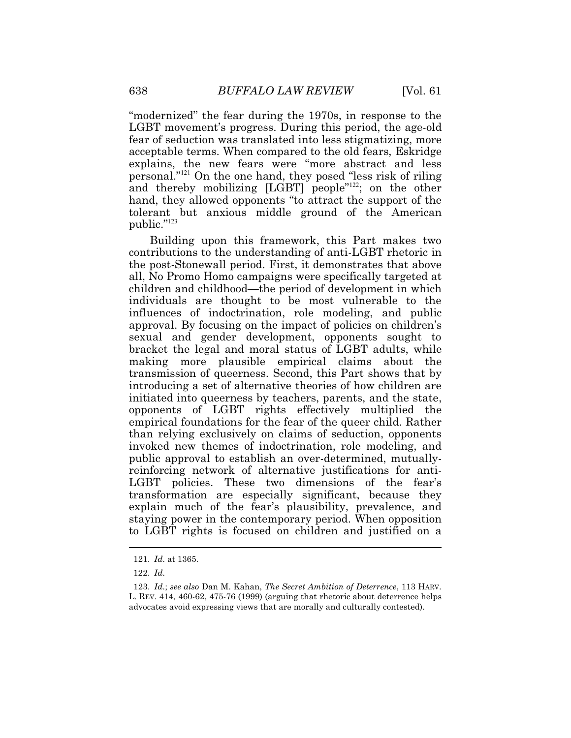"modernized" the fear during the 1970s, in response to the LGBT movement's progress. During this period, the age-old fear of seduction was translated into less stigmatizing, more acceptable terms. When compared to the old fears, Eskridge explains, the new fears were "more abstract and less personal."<sup>121</sup> On the one hand, they posed "less risk of riling and thereby mobilizing [LGBT] people<sup>"122</sup>; on the other hand, they allowed opponents "to attract the support of the tolerant but anxious middle ground of the American public."<sup>123</sup>

Building upon this framework, this Part makes two contributions to the understanding of anti-LGBT rhetoric in the post-Stonewall period. First, it demonstrates that above all, No Promo Homo campaigns were specifically targeted at children and childhood—the period of development in which individuals are thought to be most vulnerable to the influences of indoctrination, role modeling, and public approval. By focusing on the impact of policies on children's sexual and gender development, opponents sought to bracket the legal and moral status of LGBT adults, while making more plausible empirical claims about the transmission of queerness. Second, this Part shows that by introducing a set of alternative theories of how children are initiated into queerness by teachers, parents, and the state, opponents of LGBT rights effectively multiplied the empirical foundations for the fear of the queer child. Rather than relying exclusively on claims of seduction, opponents invoked new themes of indoctrination, role modeling, and public approval to establish an over-determined, mutuallyreinforcing network of alternative justifications for anti-LGBT policies. These two dimensions of the fear's transformation are especially significant, because they explain much of the fear's plausibility, prevalence, and staying power in the contemporary period. When opposition to LGBT rights is focused on children and justified on a

<sup>121.</sup> *Id*. at 1365.

 <sup>122.</sup> *Id*.

<sup>123.</sup> *Id*.; *see also* Dan M. Kahan, *The Secret Ambition of Deterrence*, 113 HARV. L. REV. 414, 460-62, 475-76 (1999) (arguing that rhetoric about deterrence helps advocates avoid expressing views that are morally and culturally contested).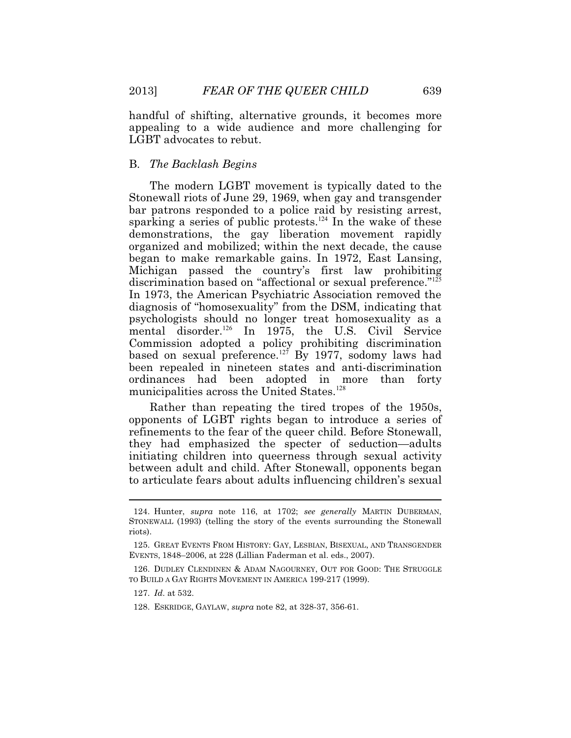handful of shifting, alternative grounds, it becomes more appealing to a wide audience and more challenging for LGBT advocates to rebut.

## B. *The Backlash Begins*

The modern LGBT movement is typically dated to the Stonewall riots of June 29, 1969, when gay and transgender bar patrons responded to a police raid by resisting arrest, sparking a series of public protests.<sup>124</sup> In the wake of these demonstrations, the gay liberation movement rapidly organized and mobilized; within the next decade, the cause began to make remarkable gains. In 1972, East Lansing, Michigan passed the country's first law prohibiting discrimination based on "affectional or sexual preference."<sup>125</sup> In 1973, the American Psychiatric Association removed the diagnosis of "homosexuality" from the DSM, indicating that psychologists should no longer treat homosexuality as a mental disorder.<sup>126</sup> In 1975, the U.S. Civil Service Commission adopted a policy prohibiting discrimination based on sexual preference.<sup>127</sup> By 1977, sodomy laws had been repealed in nineteen states and anti-discrimination ordinances had been adopted in more than forty municipalities across the United States.<sup>128</sup>

Rather than repeating the tired tropes of the 1950s, opponents of LGBT rights began to introduce a series of refinements to the fear of the queer child. Before Stonewall, they had emphasized the specter of seduction—adults initiating children into queerness through sexual activity between adult and child. After Stonewall, opponents began to articulate fears about adults influencing children's sexual

<sup>124.</sup> Hunter, *supra* note 116, at 1702; *see generally* MARTIN DUBERMAN, STONEWALL (1993) (telling the story of the events surrounding the Stonewall riots).

 125. GREAT EVENTS FROM HISTORY: GAY, LESBIAN, BISEXUAL, AND TRANSGENDER EVENTS, 1848–2006, at 228 (Lillian Faderman et al. eds., 2007).

 126. DUDLEY CLENDINEN & ADAM NAGOURNEY, OUT FOR GOOD: THE STRUGGLE TO BUILD A GAY RIGHTS MOVEMENT IN AMERICA 199-217 (1999).

 <sup>127.</sup> *Id*. at 532.

 <sup>128.</sup> ESKRIDGE, GAYLAW, *supra* note 82, at 328-37, 356-61.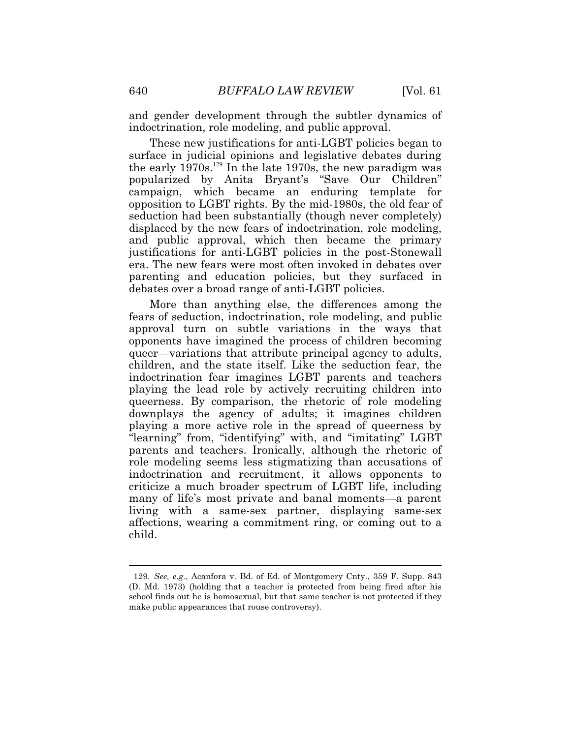indoctrination, role modeling, and public approval. and gender development through the subtler dynamics of

debates over a broad range of anti-LGBT policies. These new justifications for anti-LGBT policies began to surface in judicial opinions and legislative debates during the early  $1970s$ .<sup>129</sup> In the late 1970s, the new paradigm was popularized by Anita Bryant's "Save Our Children" campaign, which became an enduring template for opposition to LGBT rights. By the mid-1980s, the old fear of seduction had been substantially (though never completely) displaced by the new fears of indoctrination, role modeling, and public approval, which then became the primary justifications for anti-LGBT policies in the post-Stonewall era. The new fears were most often invoked in debates over parenting and education policies, but they surfaced in

 "learning" from, "identifying" with, and "imitating" LGBT child. More than anything else, the differences among the fears of seduction, indoctrination, role modeling, and public approval turn on subtle variations in the ways that opponents have imagined the process of children becoming queer—variations that attribute principal agency to adults, children, and the state itself. Like the seduction fear, the indoctrination fear imagines LGBT parents and teachers playing the lead role by actively recruiting children into queerness. By comparison, the rhetoric of role modeling downplays the agency of adults; it imagines children playing a more active role in the spread of queerness by parents and teachers. Ironically, although the rhetoric of role modeling seems less stigmatizing than accusations of indoctrination and recruitment, it allows opponents to criticize a much broader spectrum of LGBT life, including many of life's most private and banal moments—a parent living with a same-sex partner, displaying same-sex affections, wearing a commitment ring, or coming out to a

<sup>129.</sup> See, e.g., Acanfora v. Bd. of Ed. of Montgomery Cnty., 359 F. Supp. 843 (D. Md. 1973) (holding that a teacher is protected from being fired after his school finds out he is homosexual, but that same teacher is not protected if they make public appearances that rouse controversy).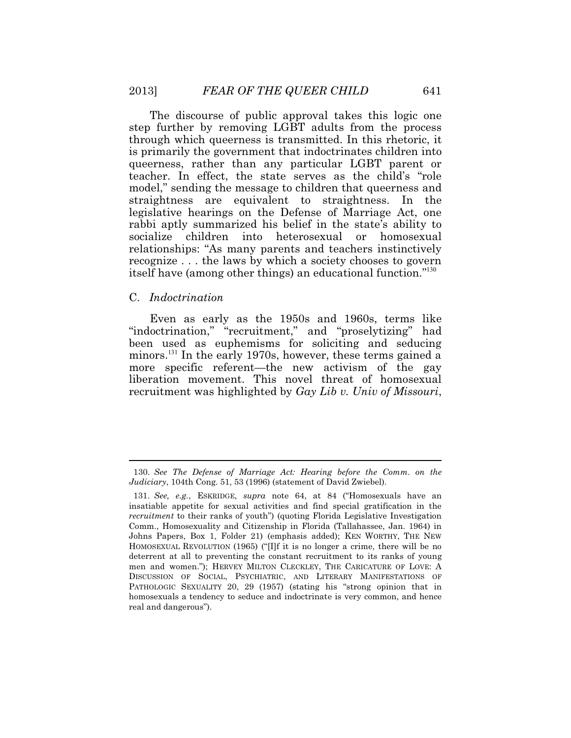itself have (among other things) an educational function."<sup>130</sup> The discourse of public approval takes this logic one step further by removing LGBT adults from the process through which queerness is transmitted. In this rhetoric, it is primarily the government that indoctrinates children into queerness, rather than any particular LGBT parent or teacher. In effect, the state serves as the child's "role model," sending the message to children that queerness and straightness are equivalent to straightness. In the legislative hearings on the Defense of Marriage Act, one rabbi aptly summarized his belief in the state's ability to socialize children into heterosexual or homosexual relationships: "As many parents and teachers instinctively recognize . . . the laws by which a society chooses to govern

#### C. *Indoctrination*

 $\overline{a}$ 

Even as early as the 1950s and 1960s, terms like "indoctrination," "recruitment," and "proselytizing" had been used as euphemisms for soliciting and seducing minors.<sup>131</sup> In the early 1970s, however, these terms gained a more specific referent—the new activism of the gay liberation movement. This novel threat of homosexual recruitment was highlighted by *Gay Lib v. Univ of Missouri*,

<sup>130.</sup> *See The Defense of Marriage Act: Hearing before the Comm. on the Judiciary*, 104th Cong. 51, 53 (1996) (statement of David Zwiebel).

 men and women."); HERVEY MILTON CLECKLEY, THE CARICATURE OF LOVE: A PATHOLOGIC SEXUALITY 20, 29 (1957) (stating his "strong opinion that in 131. *See, e.g.*, ESKRIDGE, *supra* note 64, at 84 ("Homosexuals have an insatiable appetite for sexual activities and find special gratification in the *recruitment* to their ranks of youth") (quoting Florida Legislative Investigation Comm., Homosexuality and Citizenship in Florida (Tallahassee, Jan. 1964) in Johns Papers, Box 1, Folder 21) (emphasis added); KEN WORTHY, THE NEW HOMOSEXUAL REVOLUTION (1965) ("[I]f it is no longer a crime, there will be no deterrent at all to preventing the constant recruitment to its ranks of young DISCUSSION OF SOCIAL, PSYCHIATRIC, AND LITERARY MANIFESTATIONS OF homosexuals a tendency to seduce and indoctrinate is very common, and hence real and dangerous").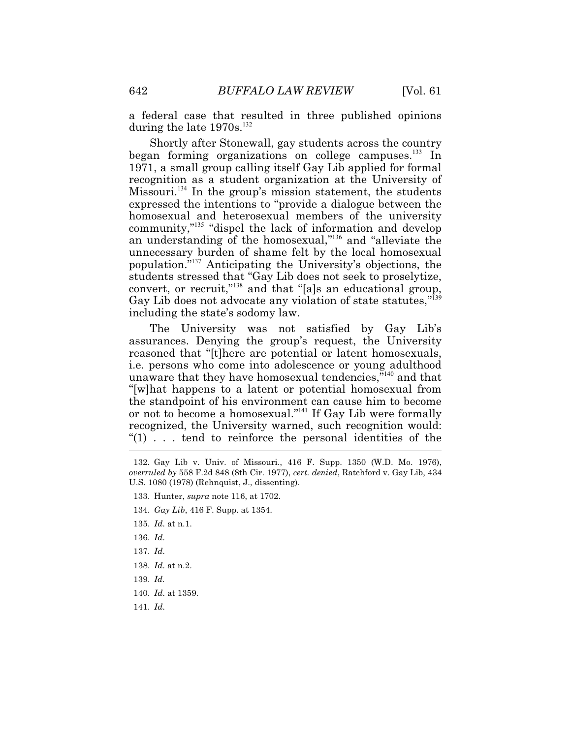a federal case that resulted in three published opinions during the late  $1970$ s.<sup>132</sup>

Shortly after Stonewall, gay students across the country began forming organizations on college campuses.<sup>133</sup> In 1971, a small group calling itself Gay Lib applied for formal recognition as a student organization at the University of Missouri.<sup>134</sup> In the group's mission statement, the students expressed the intentions to "provide a dialogue between the homosexual and heterosexual members of the university community,"<sup>135</sup> "dispel the lack of information and develop an understanding of the homosexual,"<sup>136</sup> and "alleviate the unnecessary burden of shame felt by the local homosexual population."<sup>137</sup> Anticipating the University's objections, the students stressed that "Gay Lib does not seek to proselytize, convert, or recruit,"<sup>138</sup> and that "[a]s an educational group, Gay Lib does not advocate any violation of state statutes,"<sup>139</sup> including the state's sodomy law.

 $\overline{a}$ The University was not satisfied by Gay Lib's assurances. Denying the group's request, the University reasoned that "[t]here are potential or latent homosexuals, i.e. persons who come into adolescence or young adulthood unaware that they have homosexual tendencies,"<sup>140</sup> and that "[w]hat happens to a latent or potential homosexual from the standpoint of his environment can cause him to become or not to become a homosexual."<sup>141</sup> If Gay Lib were formally recognized, the University warned, such recognition would: "(1) . . . tend to reinforce the personal identities of the

- 134. *Gay Lib*, 416 F. Supp. at 1354.
- 135. *Id*. at n.1.
- 136. *Id*.
- 137. *Id*.
- 138. *Id*. at n.2.
- 139. *Id.*
- 140. *Id*. at 1359.
- 141. *Id*.

<sup>132.</sup> Gay Lib v. Univ. of Missouri., 416 F. Supp. 1350 (W.D. Mo. 1976), *overruled by* 558 F.2d 848 (8th Cir. 1977), *cert. denied*, Ratchford v. Gay Lib, 434 U.S. 1080 (1978) (Rehnquist, J., dissenting).

<sup>133.</sup> Hunter, *supra* note 116, at 1702.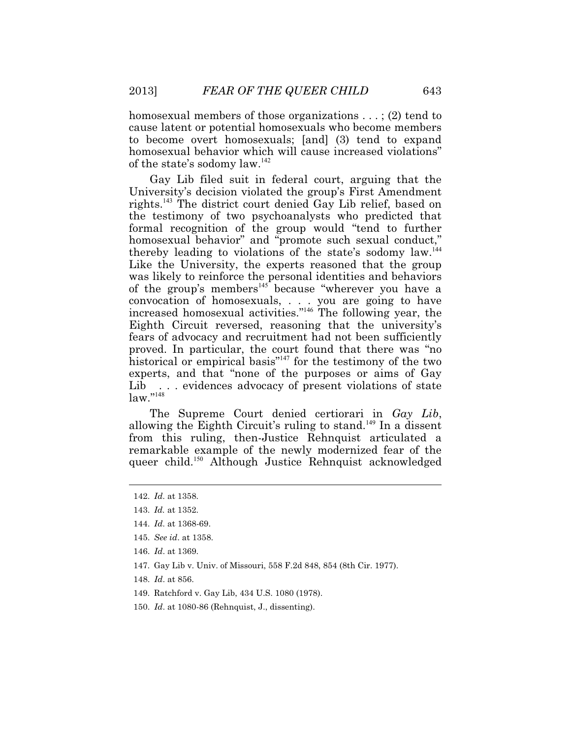homosexual members of those organizations . . . ; (2) tend to cause latent or potential homosexuals who become members to become overt homosexuals; [and] (3) tend to expand homosexual behavior which will cause increased violations" of the state's sodomy law.<sup>142</sup>

Lib Gay Lib filed suit in federal court, arguing that the University's decision violated the group's First Amendment rights.<sup>143</sup> The district court denied Gay Lib relief, based on the testimony of two psychoanalysts who predicted that formal recognition of the group would "tend to further homosexual behavior" and "promote such sexual conduct," thereby leading to violations of the state's sodomy law.<sup>144</sup> Like the University, the experts reasoned that the group was likely to reinforce the personal identities and behaviors of the group's members<sup>145</sup> because "wherever you have a convocation of homosexuals, . . . you are going to have increased homosexual activities."<sup>146</sup> The following year, the Eighth Circuit reversed, reasoning that the university's fears of advocacy and recruitment had not been sufficiently proved. In particular, the court found that there was "no historical or empirical basis" $147$  for the testimony of the two experts, and that "none of the purposes or aims of Gay ... evidences advocacy of present violations of state  $law.$ "<sup>148</sup>

The Supreme Court denied certiorari in *Gay Lib*, allowing the Eighth Circuit's ruling to stand.<sup>149</sup> In a dissent from this ruling, then-Justice Rehnquist articulated a remarkable example of the newly modernized fear of the queer child.<sup>150</sup> Although Justice Rehnquist acknowledged

- 147. Gay Lib v. Univ. of Missouri, 558 F.2d 848, 854 (8th Cir. 1977).
- 148. *Id*. at 856.
- 149. Ratchford v. Gay Lib, 434 U.S. 1080 (1978).
- 150. *Id*. at 1080-86 (Rehnquist, J., dissenting).

<sup>142.</sup> *Id*. at 1358.

 <sup>143.</sup> *Id.* at 1352.

 <sup>144.</sup> *Id*. at 1368-69.

 <sup>145.</sup> *See id*. at 1358.

 <sup>146.</sup> *Id*. at 1369.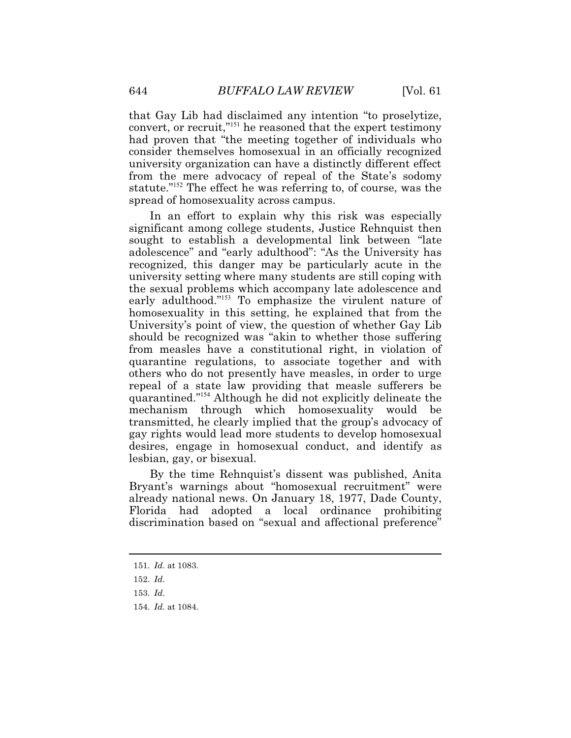that Gay Lib had disclaimed any intention "to proselytize, convert, or recruit,"<sup>151</sup> he reasoned that the expert testimony had proven that "the meeting together of individuals who consider themselves homosexual in an officially recognized university organization can have a distinctly different effect from the mere advocacy of repeal of the State's sodomy statute."<sup>152</sup> The effect he was referring to, of course, was the spread of homosexuality across campus.

In an effort to explain why this risk was especially significant among college students, Justice Rehnquist then sought to establish a developmental link between "late adolescence" and "early adulthood": "As the University has recognized, this danger may be particularly acute in the university setting where many students are still coping with the sexual problems which accompany late adolescence and early adulthood."<sup>153</sup> To emphasize the virulent nature of homosexuality in this setting, he explained that from the University's point of view, the question of whether Gay Lib should be recognized was "akin to whether those suffering from measles have a constitutional right, in violation of quarantine regulations, to associate together and with others who do not presently have measles, in order to urge repeal of a state law providing that measle sufferers be quarantined."<sup>154</sup> Although he did not explicitly delineate the mechanism through which homosexuality would be transmitted, he clearly implied that the group's advocacy of gay rights would lead more students to develop homosexual desires, engage in homosexual conduct, and identify as lesbian, gay, or bisexual.

By the time Rehnquist's dissent was published, Anita Bryant's warnings about "homosexual recruitment" were already national news. On January 18, 1977, Dade County, Florida had adopted a local ordinance prohibiting discrimination based on "sexual and affectional preference"

<sup>151.</sup> *Id*. at 1083.

 <sup>152.</sup> *Id*.

<sup>153.</sup> *Id*.

<sup>154.</sup> *Id*. at 1084.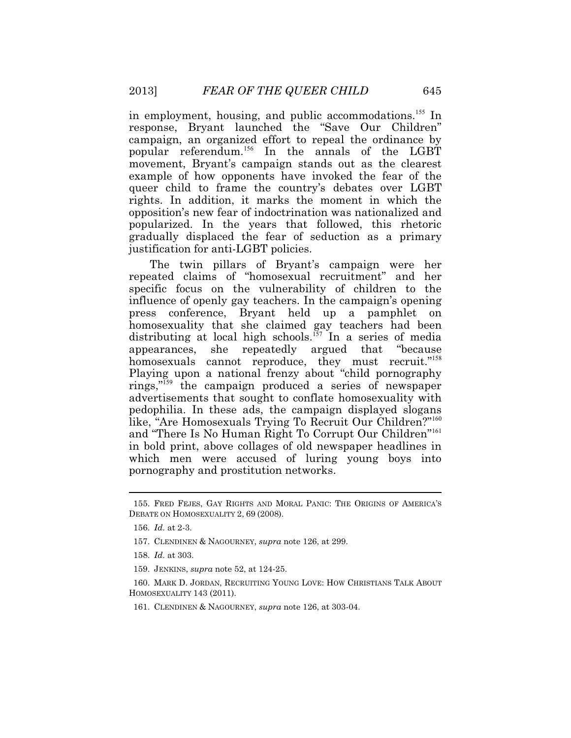in employment, housing, and public accommodations.<sup>155</sup> In response, Bryant launched the "Save Our Children" campaign, an organized effort to repeal the ordinance by popular referendum.<sup>156</sup> In the annals of the LGBT movement, Bryant's campaign stands out as the clearest example of how opponents have invoked the fear of the queer child to frame the country's debates over LGBT rights. In addition, it marks the moment in which the opposition's new fear of indoctrination was nationalized and popularized. In the years that followed, this rhetoric gradually displaced the fear of seduction as a primary justification for anti-LGBT policies.

The twin pillars of Bryant's campaign were her repeated claims of "homosexual recruitment" and her specific focus on the vulnerability of children to the influence of openly gay teachers. In the campaign's opening press conference, Bryant held up a pamphlet on homosexuality that she claimed gay teachers had been distributing at local high schools.<sup>157</sup> In a series of media appearances, she repeatedly argued that "because homosexuals cannot reproduce, they must recruit."<sup>158</sup> Playing upon a national frenzy about "child pornography rings,"<sup>159</sup> the campaign produced a series of newspaper advertisements that sought to conflate homosexuality with pedophilia. In these ads, the campaign displayed slogans like, "Are Homosexuals Trying To Recruit Our Children?"<sup>160</sup> and "There Is No Human Right To Corrupt Our Children"<sup>161</sup> in bold print, above collages of old newspaper headlines in which men were accused of luring young boys into pornography and prostitution networks.

 $\overline{a}$ 

157. CLENDINEN & NAGOURNEY, *supra* note 126, at 299.

159. JENKINS, *supra* note 52, at 124-25.

 160. MARK D. JORDAN, RECRUITING YOUNG LOVE: HOW CHRISTIANS TALK ABOUT HOMOSEXUALITY 143 (2011).

161. CLENDINEN & NAGOURNEY, *supra* note 126, at 303-04.

 155. FRED FEJES, GAY RIGHTS AND MORAL PANIC: THE ORIGINS OF AMERICA'S DEBATE ON HOMOSEXUALITY 2, 69 (2008).

 <sup>156.</sup> *Id*. at 2-3.

<sup>158.</sup> *Id*. at 303.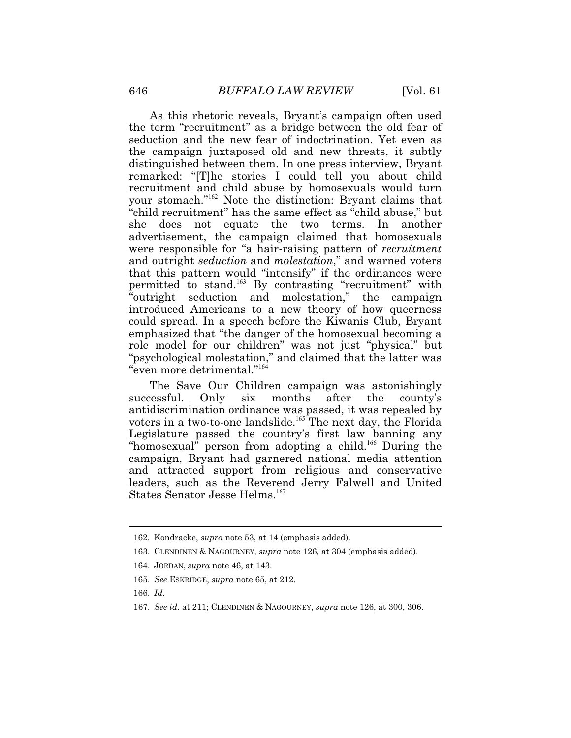As this rhetoric reveals, Bryant's campaign often used the term "recruitment" as a bridge between the old fear of seduction and the new fear of indoctrination. Yet even as the campaign juxtaposed old and new threats, it subtly distinguished between them. In one press interview, Bryant remarked: "[T]he stories I could tell you about child recruitment and child abuse by homosexuals would turn your stomach."<sup>162</sup> Note the distinction: Bryant claims that "child recruitment" has the same effect as "child abuse," but she does not equate the two terms. In another advertisement, the campaign claimed that homosexuals were responsible for "a hair-raising pattern of *recruitment*  and outright *seduction* and *molestation*," and warned voters that this pattern would "intensify" if the ordinances were permitted to stand.<sup>163</sup> By contrasting "recruitment" with "outright seduction and molestation," the campaign introduced Americans to a new theory of how queerness could spread. In a speech before the Kiwanis Club, Bryant emphasized that "the danger of the homosexual becoming a role model for our children" was not just "physical" but "psychological molestation," and claimed that the latter was "even more detrimental."<sup>164</sup>

The Save Our Children campaign was astonishingly successful. Only six months after the county's antidiscrimination ordinance was passed, it was repealed by voters in a two-to-one landslide.<sup>165</sup> The next day, the Florida Legislature passed the country's first law banning any "homosexual" person from adopting a child.<sup>166</sup> During the campaign, Bryant had garnered national media attention and attracted support from religious and conservative leaders, such as the Reverend Jerry Falwell and United States Senator Jesse Helms.<sup>167</sup>

<sup>162.</sup> Kondracke, *supra* note 53, at 14 (emphasis added).

 <sup>163.</sup> CLENDINEN & NAGOURNEY, *supra* note 126, at 304 (emphasis added).

<sup>164.</sup> JORDAN, *supra* note 46, at 143.

<sup>165.</sup> *See* ESKRIDGE, *supra* note 65, at 212.

 <sup>166.</sup> *Id*.

<sup>167.</sup> *See id*. at 211; CLENDINEN & NAGOURNEY, *supra* note 126, at 300, 306.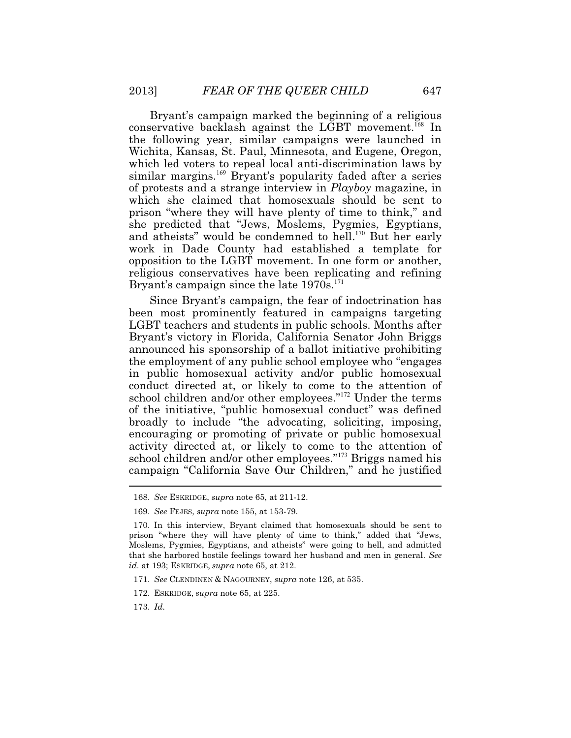Bryant's campaign marked the beginning of a religious conservative backlash against the LGBT movement.<sup>168</sup> In the following year, similar campaigns were launched in Wichita, Kansas, St. Paul, Minnesota, and Eugene, Oregon, which led voters to repeal local anti-discrimination laws by similar margins.<sup>169</sup> Bryant's popularity faded after a series of protests and a strange interview in *Playboy* magazine, in which she claimed that homosexuals should be sent to prison "where they will have plenty of time to think," and she predicted that "Jews, Moslems, Pygmies, Egyptians, and atheists" would be condemned to hell.<sup>170</sup> But her early work in Dade County had established a template for opposition to the LGBT movement. In one form or another, religious conservatives have been replicating and refining Bryant's campaign since the late  $1970s$ .<sup>171</sup>

 $\ddot{\phantom{a}}$ Since Bryant's campaign, the fear of indoctrination has been most prominently featured in campaigns targeting LGBT teachers and students in public schools. Months after Bryant's victory in Florida, California Senator John Briggs announced his sponsorship of a ballot initiative prohibiting the employment of any public school employee who "engages in public homosexual activity and/or public homosexual conduct directed at, or likely to come to the attention of school children and/or other employees."<sup>172</sup> Under the terms of the initiative, "public homosexual conduct" was defined broadly to include "the advocating, soliciting, imposing, encouraging or promoting of private or public homosexual activity directed at, or likely to come to the attention of school children and/or other employees."<sup>173</sup> Briggs named his campaign "California Save Our Children," and he justified

- 171. *See* CLENDINEN & NAGOURNEY, *supra* note 126, at 535.
- 172. ESKRIDGE, *supra* note 65, at 225.

173. *Id*.

<sup>168.</sup> *See* ESKRIDGE, *supra* note 65, at 211-12.

 <sup>169.</sup> *See* FEJES, *supra* note 155, at 153-79.

 <sup>170.</sup> In this interview, Bryant claimed that homosexuals should be sent to prison "where they will have plenty of time to think," added that "Jews, Moslems, Pygmies, Egyptians, and atheists" were going to hell, and admitted that she harbored hostile feelings toward her husband and men in general. *See id*. at 193; ESKRIDGE, *supra* note 65, at 212.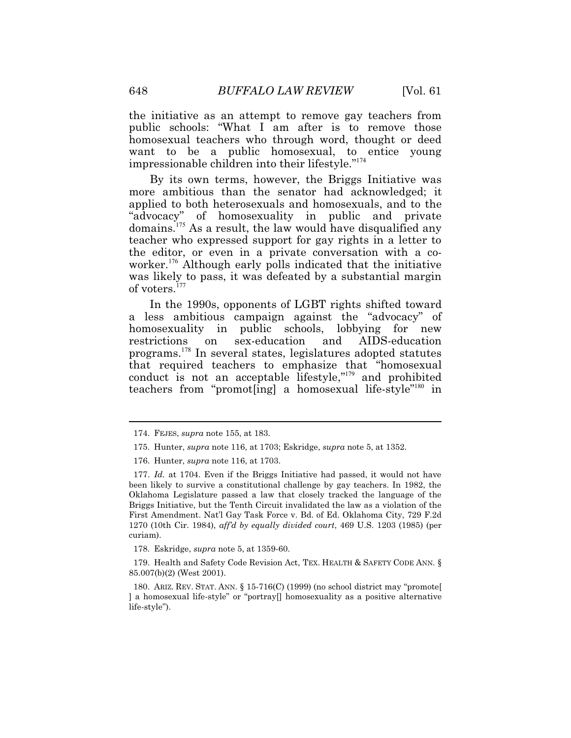the initiative as an attempt to remove gay teachers from public schools: "What I am after is to remove those homosexual teachers who through word, thought or deed want to be a public homosexual, to entice young impressionable children into their lifestyle."<sup>174</sup>

of voters.<sup>177</sup> By its own terms, however, the Briggs Initiative was more ambitious than the senator had acknowledged; it applied to both heterosexuals and homosexuals, and to the "advocacy" of homosexuality in public and private domains.<sup>175</sup> As a result, the law would have disqualified any teacher who expressed support for gay rights in a letter to the editor, or even in a private conversation with a coworker.<sup>176</sup> Although early polls indicated that the initiative was likely to pass, it was defeated by a substantial margin

In the 1990s, opponents of LGBT rights shifted toward a less ambitious campaign against the "advocacy" of homosexuality in public schools, lobbying for new restrictions on sex-education and AIDS-education programs.<sup>178</sup> In several states, legislatures adopted statutes that required teachers to emphasize that "homosexual conduct is not an acceptable lifestyle,"<sup>179</sup> and prohibited teachers from "promot[ing] a homosexual life-style"<sup>180</sup> in

178. Eskridge, *supra* note 5, at 1359-60.

179. Health and Safety Code Revision Act, TEX. HEALTH & SAFETY CODE ANN. § 85.007(b)(2) (West 2001).

 180. ARIZ. REV. STAT. ANN. § 15-716(C) (1999) (no school district may "promote[ ] a homosexual life-style" or "portray[] homosexuality as a positive alternative life-style").

<sup>174.</sup> FEJES, *supra* note 155, at 183.

 175. Hunter, *supra* note 116, at 1703; Eskridge, *supra* note 5, at 1352.

 <sup>176.</sup> Hunter, *supra* note 116, at 1703.

 <sup>177.</sup> *Id.* at 1704. Even if the Briggs Initiative had passed, it would not have been likely to survive a constitutional challenge by gay teachers. In 1982, the Oklahoma Legislature passed a law that closely tracked the language of the Briggs Initiative, but the Tenth Circuit invalidated the law as a violation of the First Amendment. Nat'l Gay Task Force v. Bd. of Ed. Oklahoma City, 729 F.2d 1270 (10th Cir. 1984), *aff'd by equally divided court*, 469 U.S. 1203 (1985) (per curiam).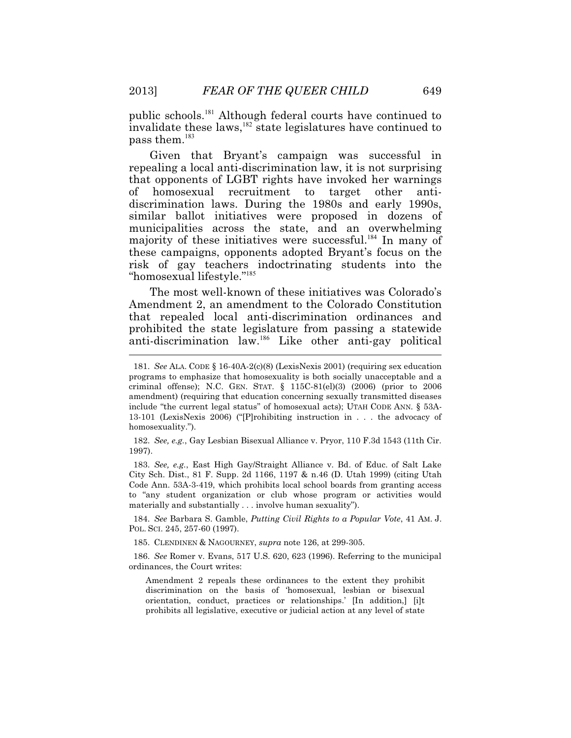$pass them.<sup>183</sup>$ public schools.<sup>181</sup> Although federal courts have continued to invalidate these laws,  $182$  state legislatures have continued to

 repealing a local anti-discrimination law, it is not surprising "homosexual lifestyle."<sup>185</sup> Given that Bryant's campaign was successful in that opponents of LGBT rights have invoked her warnings of homosexual recruitment to target other antidiscrimination laws. During the 1980s and early 1990s, similar ballot initiatives were proposed in dozens of municipalities across the state, and an overwhelming majority of these initiatives were successful.<sup>184</sup> In many of these campaigns, opponents adopted Bryant's focus on the risk of gay teachers indoctrinating students into the

l The most well-known of these initiatives was Colorado's Amendment 2, an amendment to the Colorado Constitution that repealed local anti-discrimination ordinances and prohibited the state legislature from passing a statewide anti-discrimination law.<sup>186</sup> Like other anti-gay political

 182. *See, e.g.*, Gay Lesbian Bisexual Alliance v. Pryor, 110 F.3d 1543 (11th Cir. 1997).

 183. *See, e.g.*, East High Gay/Straight Alliance v. Bd. of Educ. of Salt Lake City Sch. Dist., 81 F. Supp. 2d 1166, 1197 & n.46 (D. Utah 1999) (citing Utah Code Ann. 53A-3-419, which prohibits local school boards from granting access to "any student organization or club whose program or activities would materially and substantially . . . involve human sexuality").

 184. *See* Barbara S. Gamble, *Putting Civil Rights to a Popular Vote*, 41 AM. J. POL. SCI. 245, 257-60 (1997).

185. CLENDINEN & NAGOURNEY, *supra* note 126, at 299-305.

ordinances, the Court writes: 186. *See* Romer v. Evans, 517 U.S. 620, 623 (1996). Referring to the municipal

Amendment 2 repeals these ordinances to the extent they prohibit discrimination on the basis of 'homosexual, lesbian or bisexual orientation, conduct, practices or relationships.' [In addition,] [i]t prohibits all legislative, executive or judicial action at any level of state

 criminal offense); N.C. GEN. STAT. § 115C-81(el)(3) (2006) (prior to 2006 181. *See* ALA. CODE § 16-40A-2(c)(8) (LexisNexis 2001) (requiring sex education programs to emphasize that homosexuality is both socially unacceptable and a amendment) (requiring that education concerning sexually transmitted diseases include "the current legal status" of homosexual acts); UTAH CODE ANN. § 53A-13-101 (LexisNexis 2006) ("[P]rohibiting instruction in . . . the advocacy of homosexuality.").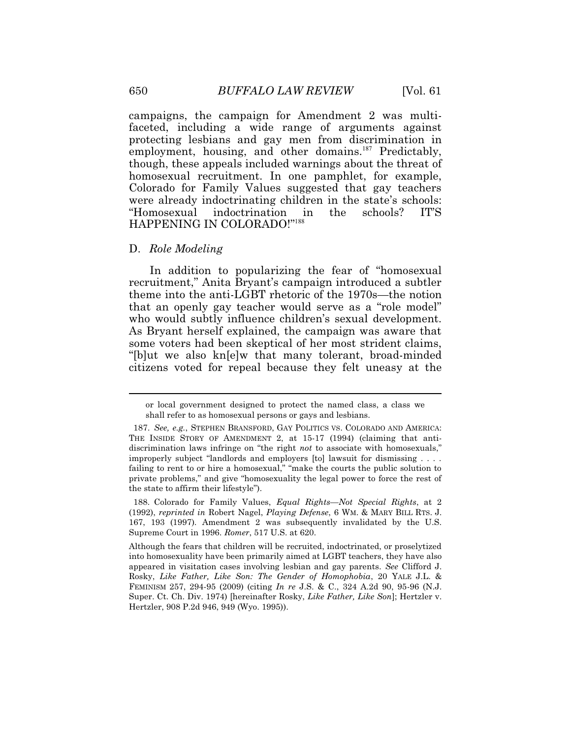campaigns, the campaign for Amendment 2 was multifaceted, including a wide range of arguments against protecting lesbians and gay men from discrimination in employment, housing, and other domains.<sup>187</sup> Predictably, though, these appeals included warnings about the threat of homosexual recruitment. In one pamphlet, for example, Colorado for Family Values suggested that gay teachers were already indoctrinating children in the state's schools: "Homosexual indoctrination in the schools? IT'S HAPPENING IN COLORADO!"<sup>188</sup>

### D. *Role Modeling*

In addition to popularizing the fear of "homosexual recruitment," Anita Bryant's campaign introduced a subtler theme into the anti-LGBT rhetoric of the 1970s—the notion that an openly gay teacher would serve as a "role model" who would subtly influence children's sexual development. As Bryant herself explained, the campaign was aware that some voters had been skeptical of her most strident claims, "[b]ut we also kn[e]w that many tolerant, broad-minded citizens voted for repeal because they felt uneasy at the

or local government designed to protect the named class, a class we shall refer to as homosexual persons or gays and lesbians.

 <sup>187.</sup> *See, e.g.*, STEPHEN BRANSFORD, GAY POLITICS VS. COLORADO AND AMERICA: THE INSIDE STORY OF AMENDMENT 2, at 15-17 (1994) (claiming that antidiscrimination laws infringe on "the right *not* to associate with homosexuals," improperly subject "landlords and employers [to] lawsuit for dismissing . . . . failing to rent to or hire a homosexual," "make the courts the public solution to private problems," and give "homosexuality the legal power to force the rest of the state to affirm their lifestyle").

 (1992), *reprinted in* Robert Nagel, *Playing Defense*, 6 WM. & MARY BILL RTS. J. 188. Colorado for Family Values, *Equal Rights—Not Special Rights*, at 2 167, 193 (1997). Amendment 2 was subsequently invalidated by the U.S. Supreme Court in 1996. *Romer*, 517 U.S. at 620.

 into homosexuality have been primarily aimed at LGBT teachers, they have also Rosky, *Like Father, Like Son: The Gender of Homophobia*, 20 YALE J.L. & Although the fears that children will be recruited, indoctrinated, or proselytized appeared in visitation cases involving lesbian and gay parents. *See* Clifford J. FEMINISM 257, 294-95 (2009) (citing *In re* J.S. & C., 324 A.2d 90, 95-96 (N.J. Super. Ct. Ch. Div. 1974) [hereinafter Rosky, *Like Father, Like Son*]; Hertzler v. Hertzler, 908 P.2d 946, 949 (Wyo. 1995)).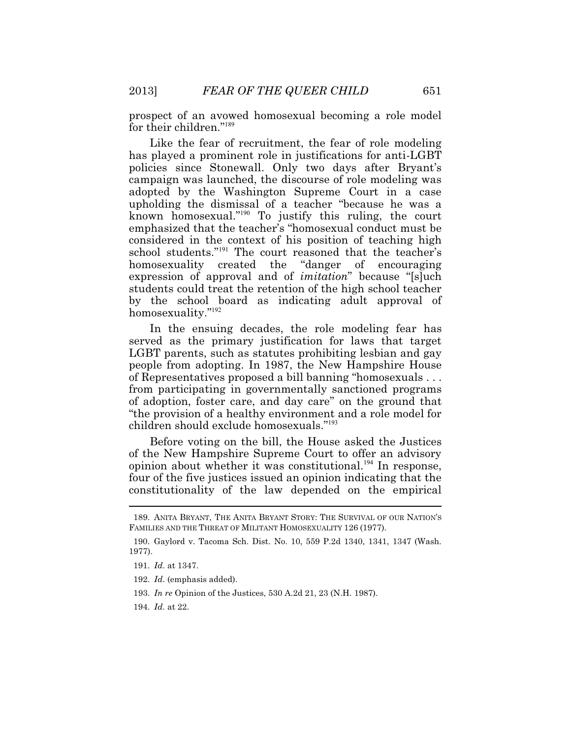prospect of an avowed homosexual becoming a role model for their children."<sup>189</sup>

 policies since Stonewall. Only two days after Bryant's Like the fear of recruitment, the fear of role modeling has played a prominent role in justifications for anti-LGBT campaign was launched, the discourse of role modeling was adopted by the Washington Supreme Court in a case upholding the dismissal of a teacher "because he was a known homosexual."<sup>190</sup> To justify this ruling, the court emphasized that the teacher's "homosexual conduct must be considered in the context of his position of teaching high school students."<sup>191</sup> The court reasoned that the teacher's homosexuality created the "danger of encouraging expression of approval and of *imitation*" because "[s]uch students could treat the retention of the high school teacher by the school board as indicating adult approval of homosexuality."<sup>192</sup>

 children should exclude homosexuals."<sup>193</sup> In the ensuing decades, the role modeling fear has served as the primary justification for laws that target LGBT parents, such as statutes prohibiting lesbian and gay people from adopting. In 1987, the New Hampshire House of Representatives proposed a bill banning "homosexuals . . . from participating in governmentally sanctioned programs of adoption, foster care, and day care" on the ground that "the provision of a healthy environment and a role model for

 $\overline{a}$ Before voting on the bill, the House asked the Justices of the New Hampshire Supreme Court to offer an advisory opinion about whether it was constitutional.<sup>194</sup> In response, four of the five justices issued an opinion indicating that the constitutionality of the law depended on the empirical

<sup>189.</sup> ANITA BRYANT, THE ANITA BRYANT STORY: THE SURVIVAL OF OUR NATION'S FAMILIES AND THE THREAT OF MILITANT HOMOSEXUALITY 126 (1977).

<sup>190.</sup> Gaylord v. Tacoma Sch. Dist. No. 10, 559 P.2d 1340, 1341, 1347 (Wash. 1977).

 <sup>191.</sup> *Id*. at 1347.

 <sup>192.</sup> *Id*. (emphasis added).

<sup>193.</sup> *In re* Opinion of the Justices, 530 A.2d 21, 23 (N.H. 1987).

 <sup>194.</sup> *Id*. at 22.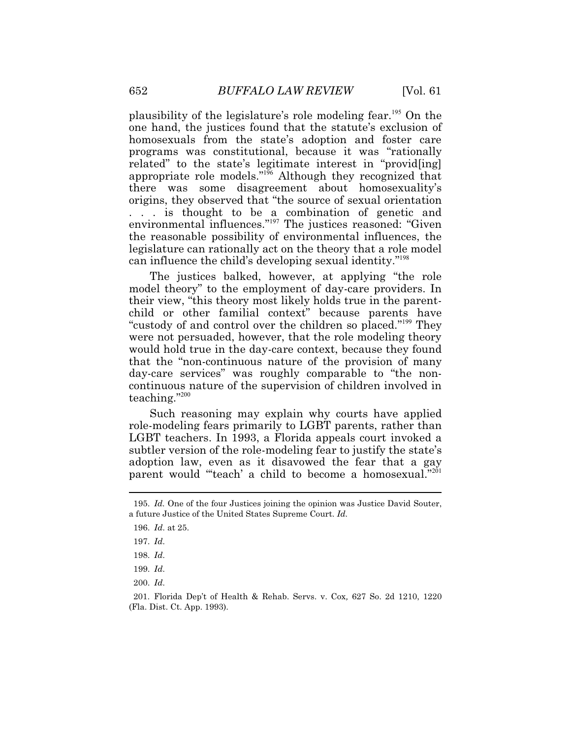can influence the child's developing sexual identity."<sup>198</sup> plausibility of the legislature's role modeling fear.<sup>195</sup> On the one hand, the justices found that the statute's exclusion of homosexuals from the state's adoption and foster care programs was constitutional, because it was "rationally related" to the state's legitimate interest in "provid[ing] appropriate role models."<sup>196</sup> Although they recognized that there was some disagreement about homosexuality's origins, they observed that "the source of sexual orientation . . . is thought to be a combination of genetic and environmental influences."<sup>197</sup> The justices reasoned: "Given the reasonable possibility of environmental influences, the legislature can rationally act on the theory that a role model

The justices balked, however, at applying "the role model theory" to the employment of day-care providers. In their view, "this theory most likely holds true in the parentchild or other familial context" because parents have "custody of and control over the children so placed."<sup>199</sup> They were not persuaded, however, that the role modeling theory would hold true in the day-care context, because they found that the "non-continuous nature of the provision of many day-care services" was roughly comparable to "the noncontinuous nature of the supervision of children involved in teaching."<sup>200</sup>

Such reasoning may explain why courts have applied role-modeling fears primarily to LGBT parents, rather than LGBT teachers. In 1993, a Florida appeals court invoked a subtler version of the role-modeling fear to justify the state's adoption law, even as it disavowed the fear that a gay parent would "'teach' a child to become a homosexual."<sup>201</sup>

 $\overline{a}$ 

200. *Id*.

<sup>195.</sup> *Id.* One of the four Justices joining the opinion was Justice David Souter, a future Justice of the United States Supreme Court. *Id.*

 <sup>196.</sup> *Id*. at 25.

 <sup>197.</sup> *Id*.

<sup>198.</sup> *Id*.

<sup>199.</sup> *Id*.

<sup>201.</sup> Florida Dep't of Health & Rehab. Servs. v. Cox*,* 627 So. 2d 1210, 1220 (Fla. Dist. Ct. App. 1993).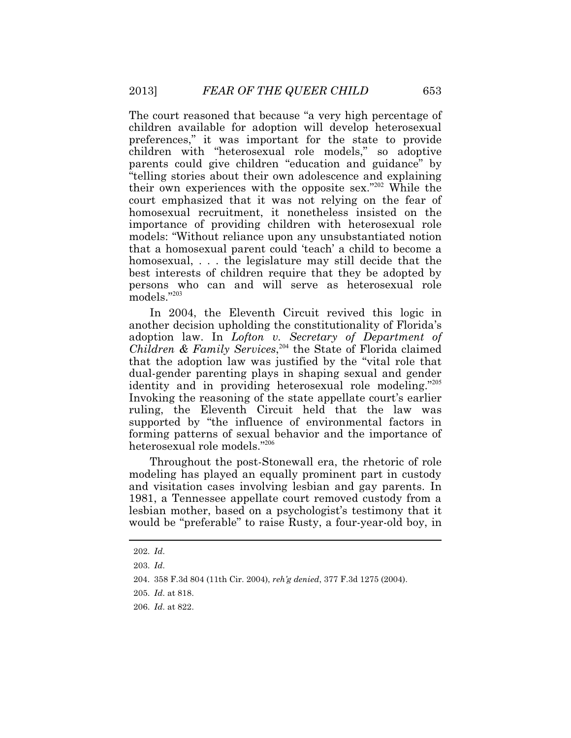models."203 The court reasoned that because "a very high percentage of children available for adoption will develop heterosexual preferences," it was important for the state to provide children with "heterosexual role models," so adoptive parents could give children "education and guidance" by "telling stories about their own adolescence and explaining their own experiences with the opposite sex."<sup>202</sup> While the court emphasized that it was not relying on the fear of homosexual recruitment, it nonetheless insisted on the importance of providing children with heterosexual role models: "Without reliance upon any unsubstantiated notion that a homosexual parent could 'teach' a child to become a homosexual, . . . the legislature may still decide that the best interests of children require that they be adopted by persons who can and will serve as heterosexual role

In 2004, the Eleventh Circuit revived this logic in another decision upholding the constitutionality of Florida's adoption law. In *Lofton v. Secretary of Department of Children & Family Services*, <sup>204</sup> the State of Florida claimed that the adoption law was justified by the "vital role that dual-gender parenting plays in shaping sexual and gender identity and in providing heterosexual role modeling."<sup>205</sup> Invoking the reasoning of the state appellate court's earlier ruling, the Eleventh Circuit held that the law was supported by "the influence of environmental factors in forming patterns of sexual behavior and the importance of heterosexual role models."<sup>206</sup>

Throughout the post-Stonewall era, the rhetoric of role modeling has played an equally prominent part in custody and visitation cases involving lesbian and gay parents. In 1981, a Tennessee appellate court removed custody from a lesbian mother, based on a psychologist's testimony that it would be "preferable" to raise Rusty, a four-year-old boy, in

 $\ddot{\phantom{a}}$ 

<sup>202.</sup> *Id*.

<sup>203.</sup> *Id*.

<sup>204. 358</sup> F.3d 804 (11th Cir. 2004), *reh'g denied*, 377 F.3d 1275 (2004).

<sup>205.</sup> *Id*. at 818.

 <sup>206.</sup> *Id*. at 822.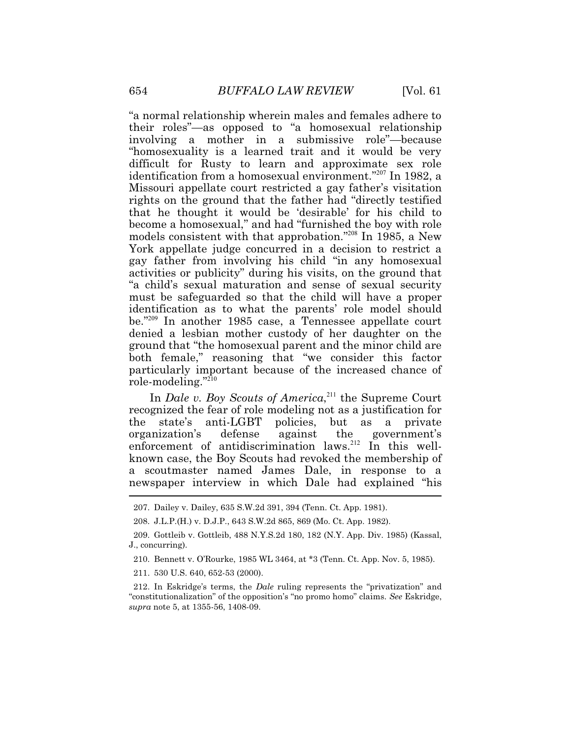"a normal relationship wherein males and females adhere to their roles"—as opposed to "a homosexual relationship involving a mother in a submissive role"—because "homosexuality is a learned trait and it would be very difficult for Rusty to learn and approximate sex role identification from a homosexual environment."<sup>207</sup> In 1982, a Missouri appellate court restricted a gay father's visitation rights on the ground that the father had "directly testified that he thought it would be 'desirable' for his child to become a homosexual," and had "furnished the boy with role models consistent with that approbation."<sup>208</sup> In 1985, a New York appellate judge concurred in a decision to restrict a gay father from involving his child "in any homosexual activities or publicity" during his visits, on the ground that "a child's sexual maturation and sense of sexual security must be safeguarded so that the child will have a proper identification as to what the parents' role model should be."<sup>209</sup> In another 1985 case, a Tennessee appellate court denied a lesbian mother custody of her daughter on the ground that "the homosexual parent and the minor child are both female," reasoning that "we consider this factor particularly important because of the increased chance of role-modeling."<sup>210</sup>

Ì. In *Dale v. Boy Scouts of America*,<sup>211</sup> the Supreme Court recognized the fear of role modeling not as a justification for the state's anti-LGBT policies, but as a private organization's defense against the government's enforcement of antidiscrimination laws.<sup>212</sup> In this wellknown case, the Boy Scouts had revoked the membership of a scoutmaster named James Dale, in response to a newspaper interview in which Dale had explained "his

211. 530 U.S. 640, 652-53 (2000).

 212. In Eskridge's terms, the *Dale* ruling represents the "privatization" and "constitutionalization" of the opposition's "no promo homo" claims. *See* Eskridge, *supra* note 5, at 1355-56, 1408-09.

<sup>207.</sup> Dailey v. Dailey, 635 S.W.2d 391, 394 (Tenn. Ct. App. 1981).

<sup>208.</sup> J.L.P.(H.) v. D.J.P., 643 S.W.2d 865, 869 (Mo. Ct. App. 1982).

<sup>209.</sup> Gottleib v. Gottleib, 488 [N.Y.S.2d](https://N.Y.S.2d) 180, 182 (N.Y. App. Div. 1985) (Kassal, J., concurring).

<sup>210.</sup> Bennett v. O'Rourke, 1985 WL 3464, at \*3 (Tenn. Ct. App. Nov. 5, 1985).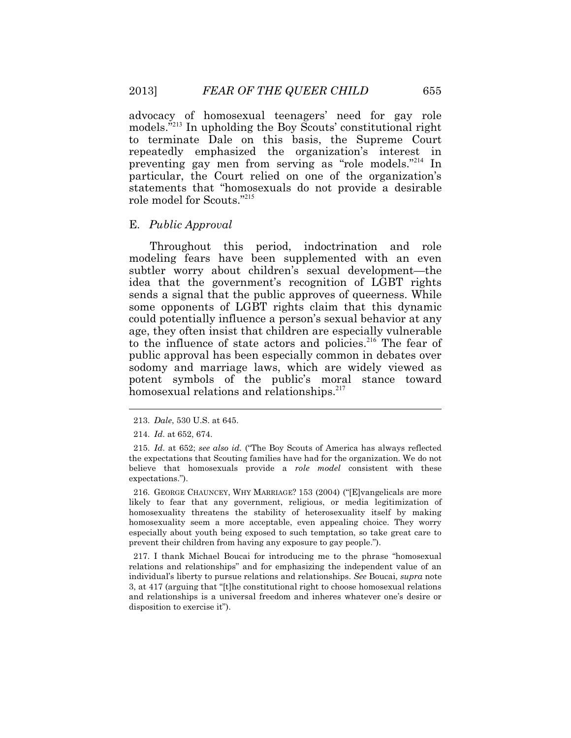advocacy of homosexual teenagers' need for gay role models.<sup>"213</sup> In upholding the Boy Scouts' constitutional right to terminate Dale on this basis, the Supreme Court repeatedly emphasized the organization's interest in preventing gay men from serving as "role models."<sup>214</sup> In particular, the Court relied on one of the organization's statements that "homosexuals do not provide a desirable role model for Scouts."<sup>215</sup>

#### E. *Public Approval*

Throughout this period, indoctrination and role modeling fears have been supplemented with an even subtler worry about children's sexual development—the idea that the government's recognition of LGBT rights sends a signal that the public approves of queerness. While some opponents of LGBT rights claim that this dynamic could potentially influence a person's sexual behavior at any age, they often insist that children are especially vulnerable to the influence of state actors and policies.<sup>216</sup> The fear of public approval has been especially common in debates over sodomy and marriage laws, which are widely viewed as potent symbols of the public's moral stance toward homosexual relations and relationships.<sup>217</sup>

 $\ddot{\phantom{a}}$ 

 likely to fear that any government, religious, or media legitimization of 216. GEORGE CHAUNCEY, WHY MARRIAGE? 153 (2004) ("[E]vangelicals are more homosexuality threatens the stability of heterosexuality itself by making homosexuality seem a more acceptable, even appealing choice. They worry especially about youth being exposed to such temptation, so take great care to prevent their children from having any exposure to gay people.").

 relations and relationships" and for emphasizing the independent value of an and relationships is a universal freedom and inheres whatever one's desire or 217. I thank Michael Boucai for introducing me to the phrase "homosexual individual's liberty to pursue relations and relationships. *See* Boucai, *supra* note 3, at 417 (arguing that "[t]he constitutional right to choose homosexual relations disposition to exercise it").

<sup>213.</sup> *Dale*, 530 U.S. at 645.

<sup>214.</sup> *Id*. at 652, 674.

<sup>215.</sup> *Id*. at 652; *see also id.* ("The Boy Scouts of America has always reflected the expectations that Scouting families have had for the organization. We do not believe that homosexuals provide a *role model* consistent with these expectations.").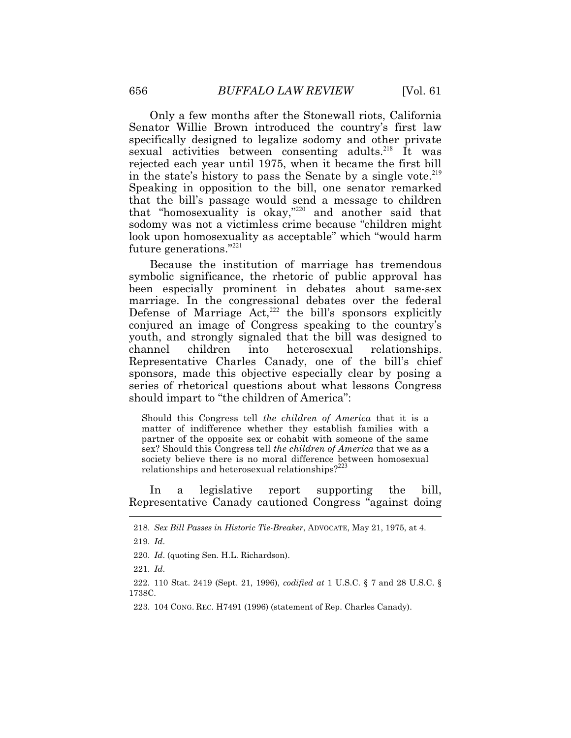Only a few months after the Stonewall riots, California Senator Willie Brown introduced the country's first law specifically designed to legalize sodomy and other private sexual activities between consenting adults.<sup>218</sup> It was rejected each year until 1975, when it became the first bill in the state's history to pass the Senate by a single vote.<sup>219</sup> Speaking in opposition to the bill, one senator remarked that the bill's passage would send a message to children that "homosexuality is okay,"<sup>220</sup> and another said that sodomy was not a victimless crime because "children might look upon homosexuality as acceptable" which "would harm future generations."<sup>221</sup>

Because the institution of marriage has tremendous symbolic significance, the rhetoric of public approval has been especially prominent in debates about same-sex marriage. In the congressional debates over the federal Defense of Marriage  $Act<sub>1</sub><sup>222</sup>$  the bill's sponsors explicitly conjured an image of Congress speaking to the country's youth, and strongly signaled that the bill was designed to channel children into heterosexual relationships. Representative Charles Canady, one of the bill's chief sponsors, made this objective especially clear by posing a series of rhetorical questions about what lessons Congress should impart to "the children of America":

Should this Congress tell *the children of America* that it is a matter of indifference whether they establish families with a partner of the opposite sex or cohabit with someone of the same sex? Should this Congress tell *the children of America* that we as a society believe there is no moral difference between homosexual relationships and heterosexual relationships? $223$ 

I In a legislative report supporting the bill, Representative Canady cautioned Congress "against doing

222. 110 Stat. 2419 (Sept. 21, 1996), *codified at* 1 U.S.C. § 7 and 28 U.S.C. § 1738C.

223. 104 CONG. REC. H7491 (1996) (statement of Rep. Charles Canady).

<sup>218.</sup> *Sex Bill Passes in Historic Tie-Breaker*, ADVOCATE, May 21, 1975, at 4.

 <sup>219.</sup> *Id*.

<sup>220.</sup> *Id*. (quoting Sen. H.L. Richardson).

<sup>221.</sup> *Id*.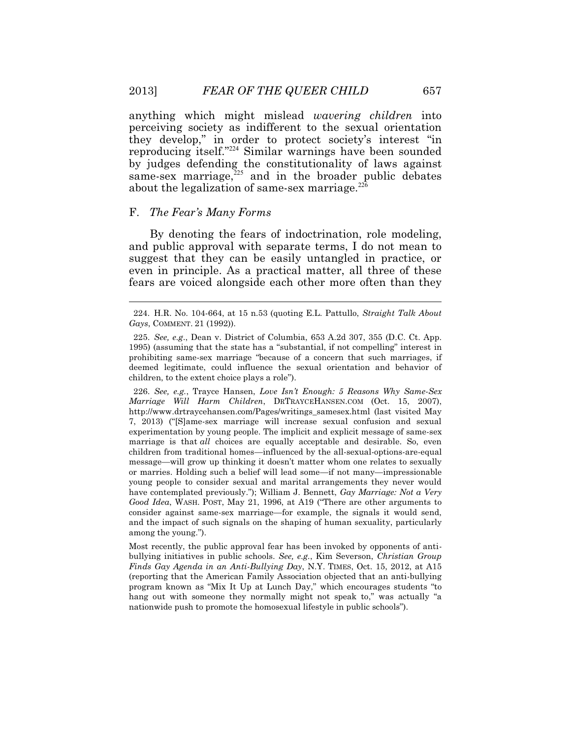anything which might mislead *wavering children* into perceiving society as indifferent to the sexual orientation they develop," in order to protect society's interest "in reproducing itself."<sup>224</sup> Similar warnings have been sounded by judges defending the constitutionality of laws against same-sex marriage, $225$  and in the broader public debates about the legalization of same-sex marriage.<sup>226</sup>

# F. *The Fear's Many Forms*

By denoting the fears of indoctrination, role modeling, and public approval with separate terms, I do not mean to suggest that they can be easily untangled in practice, or even in principle. As a practical matter, all three of these fears are voiced alongside each other more often than they

226. *See, e.g.*, Trayce Hansen, *Love Isn't Enough: 5 Reasons Why Same-Sex Marriage Will Harm Children*, [DRTRAYCEHANSEN.COM](https://DRTRAYCEHANSEN.COM) (Oct. 15, 2007), [http://www.drtraycehansen.com/Pages/writings\\_samesex.html](http://www.drtraycehansen.com/Pages/writings_samesex.html) (last visited May 7, 2013) ("[S]ame-sex marriage will increase sexual confusion and sexual experimentation by young people. The implicit and explicit message of same-sex marriage is that *all* choices are equally acceptable and desirable. So, even children from traditional homes—influenced by the all-sexual-options-are-equal message—will grow up thinking it doesn't matter whom one relates to sexually or marries. Holding such a belief will lead some—if not many—impressionable young people to consider sexual and marital arrangements they never would have contemplated previously."); William J. Bennett, *Gay Marriage: Not a Very Good Idea*, WASH. POST, May 21, 1996, at A19 ("There are other arguments to consider against same-sex marriage—for example, the signals it would send, and the impact of such signals on the shaping of human sexuality, particularly among the young.").

 program known as "Mix It Up at Lunch Day," which encourages students "to Most recently, the public approval fear has been invoked by opponents of antibullying initiatives in public schools. *See, e.g.*, Kim Severson, *Christian Group Finds Gay Agenda in an Anti-Bullying Day*, N.Y. TIMES, Oct. 15, 2012, at A15 (reporting that the American Family Association objected that an anti-bullying hang out with someone they normally might not speak to," was actually "a nationwide push to promote the homosexual lifestyle in public schools").

 $\ddot{\phantom{a}}$ 

<sup>224.</sup> H.R. No. 104-664, at 15 n.53 (quoting E.L. Pattullo, *Straight Talk About Gays*, COMMENT. 21 (1992)).

 <sup>225.</sup> *See, e.g*., Dean v. District of Columbia, 653 A.2d 307, 355 (D.C. Ct. App. 1995) (assuming that the state has a "substantial, if not compelling" interest in prohibiting same-sex marriage "because of a concern that such marriages, if deemed legitimate, could influence the sexual orientation and behavior of children, to the extent choice plays a role").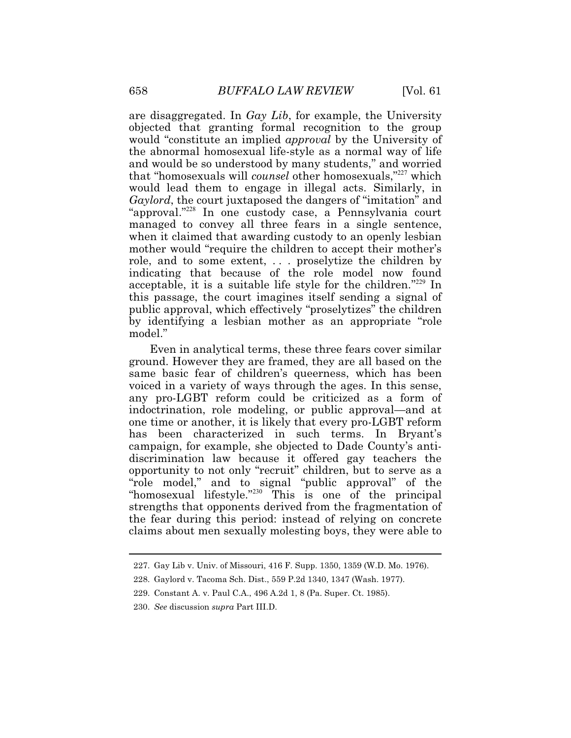are disaggregated. In *Gay Lib*, for example, the University objected that granting formal recognition to the group would "constitute an implied *approval* by the University of the abnormal homosexual life-style as a normal way of life and would be so understood by many students," and worried that "homosexuals will *counsel* other homosexuals,"<sup>227</sup> which would lead them to engage in illegal acts. Similarly, in *Gaylord*, the court juxtaposed the dangers of "imitation" and "approval."<sup>228</sup> In one custody case, a Pennsylvania court managed to convey all three fears in a single sentence, when it claimed that awarding custody to an openly lesbian mother would "require the children to accept their mother's role, and to some extent, . . . proselytize the children by indicating that because of the role model now found acceptable, it is a suitable life style for the children."<sup>229</sup> In this passage, the court imagines itself sending a signal of public approval, which effectively "proselytizes" the children by identifying a lesbian mother as an appropriate "role model."

 any pro-LGBT reform could be criticized as a form of Even in analytical terms, these three fears cover similar ground. However they are framed, they are all based on the same basic fear of children's queerness, which has been voiced in a variety of ways through the ages. In this sense, indoctrination, role modeling, or public approval—and at one time or another, it is likely that every pro-LGBT reform has been characterized in such terms. In Bryant's campaign, for example, she objected to Dade County's antidiscrimination law because it offered gay teachers the opportunity to not only "recruit" children, but to serve as a "role model," and to signal "public approval" of the "homosexual lifestyle."<sup>230</sup> This is one of the principal strengths that opponents derived from the fragmentation of the fear during this period: instead of relying on concrete claims about men sexually molesting boys, they were able to

<sup>227.</sup> Gay Lib v. Univ. of Missouri, 416 F. Supp. 1350, 1359 (W.D. Mo. 1976).

<sup>228.</sup> Gaylord v. Tacoma Sch. Dist., 559 P.2d 1340, 1347 (Wash. 1977).

<sup>229.</sup> Constant A. v. Paul C.A., 496 A.2d 1, 8 (Pa. Super. Ct. 1985).

 <sup>230.</sup> *See* discussion *supra* Part III.D.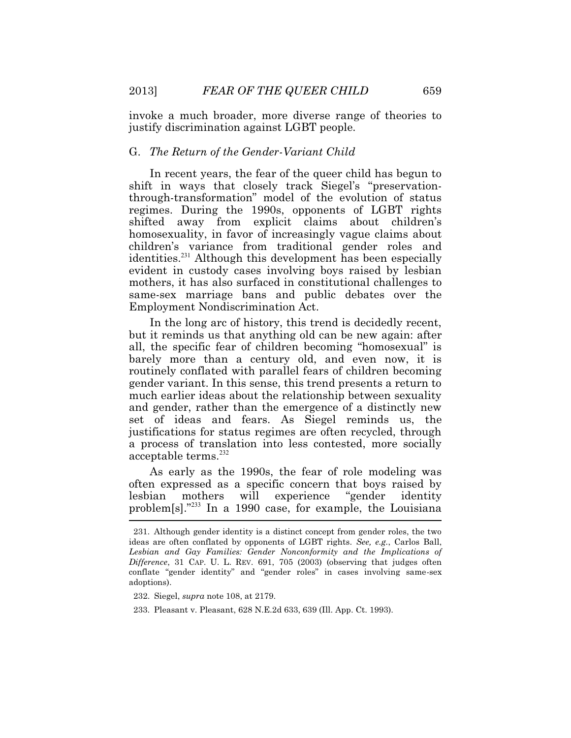invoke a much broader, more diverse range of theories to justify discrimination against LGBT people.

# G. *The Return of the Gender-Variant Child*

In recent years, the fear of the queer child has begun to shift in ways that closely track Siegel's "preservationthrough-transformation" model of the evolution of status regimes. During the 1990s, opponents of LGBT rights shifted away from explicit claims about children's homosexuality, in favor of increasingly vague claims about children's variance from traditional gender roles and identities.<sup>231</sup> Although this development has been especially evident in custody cases involving boys raised by lesbian mothers, it has also surfaced in constitutional challenges to same-sex marriage bans and public debates over the Employment Nondiscrimination Act.

In the long arc of history, this trend is decidedly recent, but it reminds us that anything old can be new again: after all, the specific fear of children becoming "homosexual" is barely more than a century old, and even now, it is routinely conflated with parallel fears of children becoming gender variant. In this sense, this trend presents a return to much earlier ideas about the relationship between sexuality and gender, rather than the emergence of a distinctly new set of ideas and fears. As Siegel reminds us, the justifications for status regimes are often recycled, through a process of translation into less contested, more socially acceptable terms.<sup>232</sup>

problem[s]."<sup>233</sup> In a 1990 case, for example, the Louisiana As early as the 1990s, the fear of role modeling was often expressed as a specific concern that boys raised by lesbian mothers will experience "gender identity

232. Siegel, *supra* note 108, at 2179.

 231. Although gender identity is a distinct concept from gender roles, the two *Difference*, 31 CAP. U. L. REV. 691, 705 (2003) (observing that judges often ideas are often conflated by opponents of LGBT rights. *See, e.g.*, Carlos Ball, *Lesbian and Gay Families: Gender Nonconformity and the Implications of*  conflate "gender identity" and "gender roles" in cases involving same-sex adoptions).

<sup>233.</sup> Pleasant v. Pleasant, 628 N.E.2d 633, 639 (Ill. App. Ct. 1993).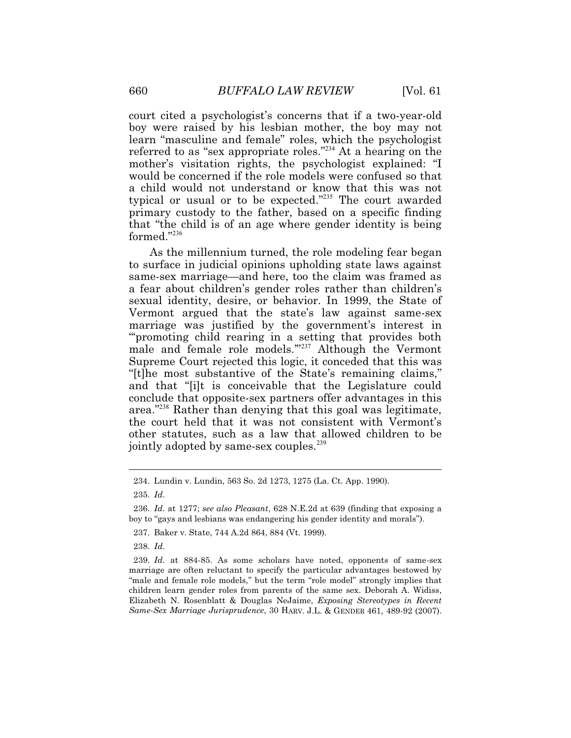formed."<sup>236</sup> court cited a psychologist's concerns that if a two-year-old boy were raised by his lesbian mother, the boy may not learn "masculine and female" roles, which the psychologist referred to as "sex appropriate roles."<sup>234</sup> At a hearing on the mother's visitation rights, the psychologist explained: "I would be concerned if the role models were confused so that a child would not understand or know that this was not typical or usual or to be expected."<sup>235</sup> The court awarded primary custody to the father, based on a specific finding that "the child is of an age where gender identity is being

As the millennium turned, the role modeling fear began to surface in judicial opinions upholding state laws against same-sex marriage—and here, too the claim was framed as a fear about children's gender roles rather than children's sexual identity, desire, or behavior. In 1999, the State of Vermont argued that the state's law against same-sex marriage was justified by the government's interest in "'promoting child rearing in a setting that provides both male and female role models."<sup>237</sup> Although the Vermont Supreme Court rejected this logic, it conceded that this was "[t]he most substantive of the State's remaining claims," and that "[i]t is conceivable that the Legislature could conclude that opposite-sex partners offer advantages in this area."<sup>238</sup> Rather than denying that this goal was legitimate, the court held that it was not consistent with Vermont's other statutes, such as a law that allowed children to be jointly adopted by same-sex couples.<sup>239</sup>

 $\ddot{\phantom{a}}$ 

238. *Id*.

 "male and female role models," but the term "role model" strongly implies that *Same-Sex Marriage Jurisprudence*, 30 HARV. J.L. & GENDER 461, 489-92 (2007). 239. *Id*. at 884-85. As some scholars have noted, opponents of same-sex marriage are often reluctant to specify the particular advantages bestowed by children learn gender roles from parents of the same sex. Deborah A. Widiss, Elizabeth N. Rosenblatt & Douglas NeJaime, *Exposing Stereotypes in Recent* 

<sup>234.</sup> Lundin v. Lundin, 563 So. 2d 1273, 1275 (La. Ct. App. 1990).

<sup>235.</sup> *Id*.

<sup>236.</sup> *Id*. at 1277; *see also Pleasant*, 628 N.E.2d at 639 (finding that exposing a boy to "gays and lesbians was endangering his gender identity and morals").

<sup>237.</sup> Baker v. State, 744 A.2d 864, 884 (Vt. 1999).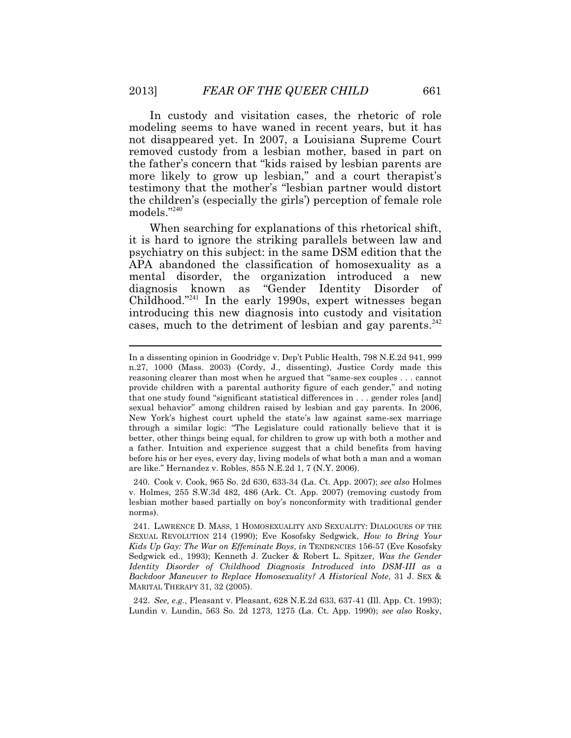In custody and visitation cases, the rhetoric of role modeling seems to have waned in recent years, but it has not disappeared yet. In 2007, a Louisiana Supreme Court removed custody from a lesbian mother, based in part on the father's concern that "kids raised by lesbian parents are more likely to grow up lesbian," and a court therapist's testimony that the mother's "lesbian partner would distort the children's (especially the girls') perception of female role models."<sup>240</sup>

 it is hard to ignore the striking parallels between law and When searching for explanations of this rhetorical shift, psychiatry on this subject: in the same DSM edition that the APA abandoned the classification of homosexuality as a mental disorder, the organization introduced a new diagnosis known as "Gender Identity Disorder of Childhood."<sup>241</sup> In the early 1990s, expert witnesses began introducing this new diagnosis into custody and visitation cases, much to the detriment of lesbian and gay parents.<sup>242</sup>

240. Cook v. Cook, 965 So. 2d 630, 633-34 (La. Ct. App. 2007); *see also* Holmes v. Holmes, 255 S.W.3d 482, 486 (Ark. Ct. App. 2007) (removing custody from lesbian mother based partially on boy's nonconformity with traditional gender norms).

 241. LAWRENCE D. MASS, 1 HOMOSEXUALITY AND SEXUALITY: DIALOGUES OF THE *Backdoor Maneuver to Replace Homosexuality? A Historical Note*, 31 J. SEX & SEXUAL REVOLUTION 214 (1990); Eve Kosofsky Sedgwick, *How to Bring Your Kids Up Gay: The War on Effeminate Boys*, *in* TENDENCIES 156-57 (Eve Kosofsky Sedgwick ed., 1993); Kenneth J. Zucker & Robert L. Spitzer, *Was the Gender Identity Disorder of Childhood Diagnosis Introduced into DSM-III as a*  MARITAL THERAPY 31, 32 (2005).

242. *See, e.g.*, Pleasant v. Pleasant, 628 N.E.2d 633, 637-41 (Ill. App. Ct. 1993); Lundin v. Lundin, 563 So. 2d 1273, 1275 (La. Ct. App. 1990); *see also* Rosky,

In a dissenting opinion in Goodridge v. Dep't Public Health, 798 N.E.2d 941, 999 n.27, 1000 (Mass. 2003) (Cordy, J., dissenting), Justice Cordy made this reasoning clearer than most when he argued that "same-sex couples . . . cannot provide children with a parental authority figure of each gender," and noting that one study found "significant statistical differences in . . . gender roles [and] sexual behavior" among children raised by lesbian and gay parents. In 2006, New York's highest court upheld the state's law against same-sex marriage through a similar logic: "The Legislature could rationally believe that it is better, other things being equal, for children to grow up with both a mother and a father. Intuition and experience suggest that a child benefits from having before his or her eyes, every day, living models of what both a man and a woman are like." Hernandez v. Robles, 855 N.E.2d 1, 7 (N.Y. 2006).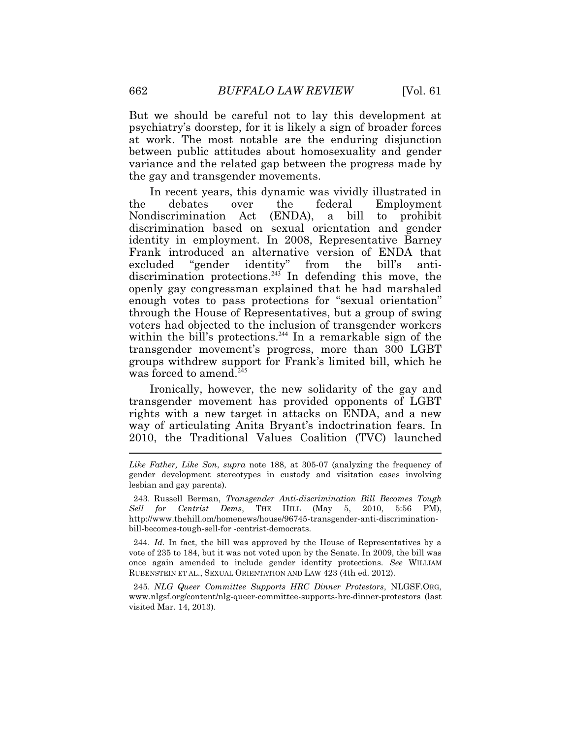But we should be careful not to lay this development at psychiatry's doorstep, for it is likely a sign of broader forces at work. The most notable are the enduring disjunction between public attitudes about homosexuality and gender variance and the related gap between the progress made by the gay and transgender movements.

In recent years, this dynamic was vividly illustrated in the debates over the federal Employment Nondiscrimination Act (ENDA), a bill to prohibit discrimination based on sexual orientation and gender identity in employment. In 2008, Representative Barney Frank introduced an alternative version of ENDA that excluded "gender identity" from the bill's antidiscrimination protections.<sup>243</sup> In defending this move, the openly gay congressman explained that he had marshaled enough votes to pass protections for "sexual orientation" through the House of Representatives, but a group of swing voters had objected to the inclusion of transgender workers within the bill's protections.<sup>244</sup> In a remarkable sign of the transgender movement's progress, more than 300 LGBT groups withdrew support for Frank's limited bill, which he was forced to amend.<sup>245</sup>

 $\ddot{\phantom{a}}$ Ironically, however, the new solidarity of the gay and transgender movement has provided opponents of LGBT rights with a new target in attacks on ENDA, and a new way of articulating Anita Bryant's indoctrination fears. In 2010, the Traditional Values Coalition (TVC) launched

 244. *Id.* In fact, the bill was approved by the House of Representatives by a vote of 235 to 184, but it was not voted upon by the Senate. In 2009, the bill was once again amended to include gender identity protections. *See* WILLIAM RUBENSTEIN ET AL., SEXUAL ORIENTATION AND LAW 423 (4th ed. 2012).

245. *NLG Queer Committee Supports HRC Dinner Protestors*, [NLGSF.ORG](https://NLGSF.ORG), <www.nlgsf.org/content/nlg-queer-committee-supports-hrc-dinner-protestors> (last visited Mar. 14, 2013).

*Like Father, Like Son*, *supra* note 188, at 305-07 (analyzing the frequency of gender development stereotypes in custody and visitation cases involving lesbian and gay parents).

<sup>243.</sup> Russell Berman, *Transgender Anti-discrimination Bill Becomes Tough Sell for Centrist Dems*, THE HILL (May 5, 2010, 5:56 PM), <http://www.thehill.om/homenews/house/96745-transgender-anti-discrimination>bill-becomes-tough-sell-for -centrist-democrats.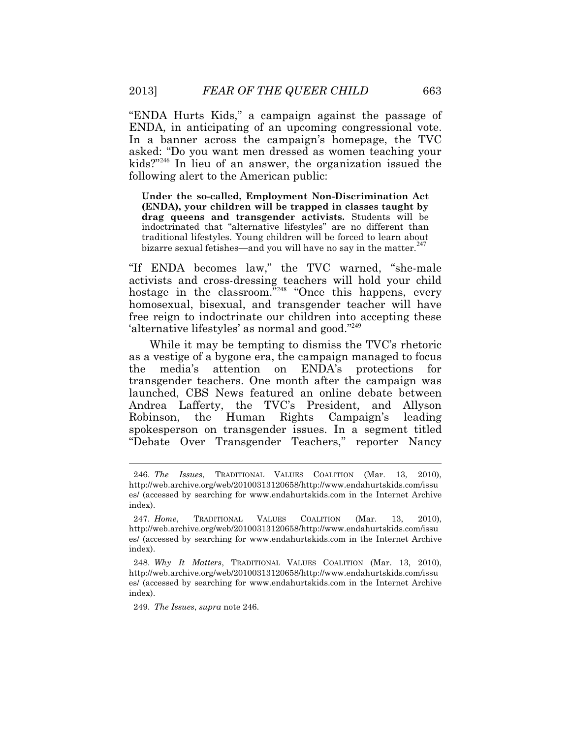"ENDA Hurts Kids," a campaign against the passage of ENDA, in anticipating of an upcoming congressional vote. In a banner across the campaign's homepage, the TVC asked: "Do you want men dressed as women teaching your kids?"<sup>246</sup> In lieu of an answer, the organization issued the following alert to the American public:

**Under the so-called, Employment Non-Discrimination Act (ENDA), your children will be trapped in classes taught by drag queens and transgender activists.** Students will be indoctrinated that "alternative lifestyles" are no different than traditional lifestyles. Young children will be forced to learn about bizarre sexual fetishes—and you will have no say in the matter.<sup>2</sup>

"If ENDA becomes law," the TVC warned, "she-male activists and cross-dressing teachers will hold your child hostage in the classroom.<sup>"248</sup> "Once this happens, every homosexual, bisexual, and transgender teacher will have free reign to indoctrinate our children into accepting these 'alternative lifestyles' as normal and good."<sup>249</sup>

While it may be tempting to dismiss the TVC's rhetoric as a vestige of a bygone era, the campaign managed to focus the media's attention on ENDA's protections for transgender teachers. One month after the campaign was launched, CBS News featured an online debate between Andrea Lafferty, the TVC's President, and Allyson Robinson, the Human Rights Campaign's leading spokesperson on transgender issues. In a segment titled "Debate Over Transgender Teachers," reporter Nancy

249. *The Issues*, *supra* note 246.

<sup>246.</sup> *The Issues*, TRADITIONAL VALUES COALITION (Mar. 13, 2010), <http://web.archive.org/web/20100313120658/http://www.endahurtskids.com/issu> es/ (accessed by searching for <www.endahurtskids.com>in the Internet Archive index).

 <sup>247.</sup> *Home*, TRADITIONAL VALUES COALITION (Mar. 13, 2010), <http://web.archive.org/web/20100313120658/http://www.endahurtskids.com/issu> es/ (accessed by searching for <www.endahurtskids.com>in the Internet Archive index).

 <sup>248.</sup> *Why It Matters*, TRADITIONAL VALUES COALITION (Mar. 13, 2010), <http://web.archive.org/web/20100313120658/http://www.endahurtskids.com/issu> es/ (accessed by searching for <www.endahurtskids.com>in the Internet Archive index).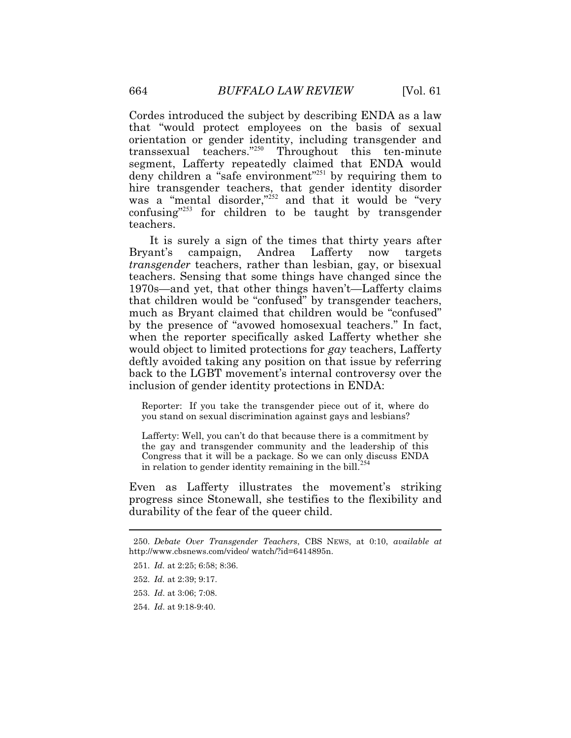Cordes introduced the subject by describing ENDA as a law that "would protect employees on the basis of sexual orientation or gender identity, including transgender and transsexual teachers."<sup>250</sup> Throughout this ten-minute segment, Lafferty repeatedly claimed that ENDA would deny children a "safe environment"<sup>251</sup> by requiring them to hire transgender teachers, that gender identity disorder was a "mental disorder,"<sup>252</sup> and that it would be "very" confusing"<sup>253</sup> for children to be taught by transgender teachers.

It is surely a sign of the times that thirty years after Bryant's campaign, Andrea Lafferty now targets *transgender* teachers, rather than lesbian, gay, or bisexual teachers. Sensing that some things have changed since the 1970s—and yet, that other things haven't—Lafferty claims that children would be "confused" by transgender teachers, much as Bryant claimed that children would be "confused" by the presence of "avowed homosexual teachers." In fact, when the reporter specifically asked Lafferty whether she would object to limited protections for *gay* teachers, Lafferty deftly avoided taking any position on that issue by referring back to the LGBT movement's internal controversy over the inclusion of gender identity protections in ENDA:

Reporter: If you take the transgender piece out of it, where do you stand on sexual discrimination against gays and lesbians?

Lafferty: Well, you can't do that because there is a commitment by the gay and transgender community and the leadership of this Congress that it will be a package. So we can only discuss ENDA in relation to gender identity remaining in the bill.<sup>254</sup>

durability of the fear of the queer child. Even as Lafferty illustrates the movement's striking progress since Stonewall, she testifies to the flexibility and

- durability of the fear of the queer child. 250. *Debate Over Transgender Teachers*, CBS NEWS, at 0:10, *available at*  [http://www.cbsnews.com/video/](http://www.cbsnews.com/video) watch/?id=6414895n.
- 251. *Id.* at 2:25; 6:58; 8:36.
- 252. *Id.* at 2:39; 9:17.

 $\ddot{\phantom{a}}$ 

- 253. *Id*. at 3:06; 7:08.
- 254. *Id*. at 9:18-9:40.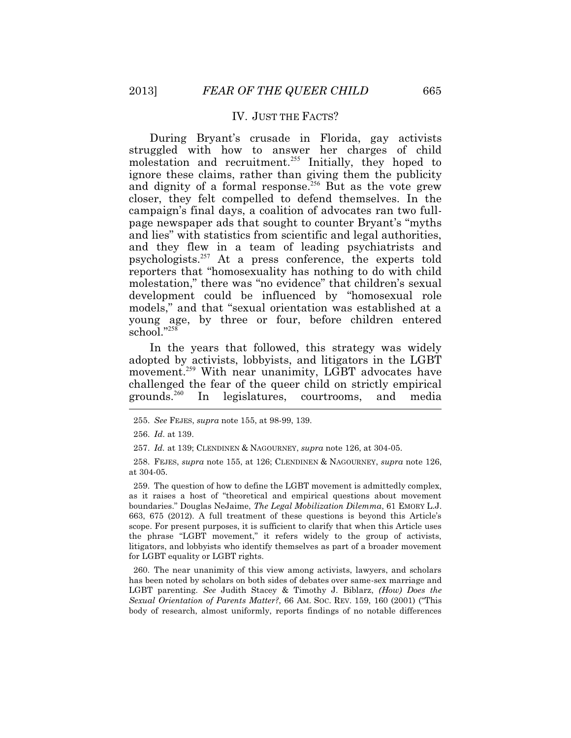# IV. JUST THE FACTS?

During Bryant's crusade in Florida, gay activists struggled with how to answer her charges of child molestation and recruitment.<sup>255</sup> Initially, they hoped to ignore these claims, rather than giving them the publicity and dignity of a formal response.<sup>256</sup> But as the vote grew closer, they felt compelled to defend themselves. In the campaign's final days, a coalition of advocates ran two fullpage newspaper ads that sought to counter Bryant's "myths and lies" with statistics from scientific and legal authorities, and they flew in a team of leading psychiatrists and psychologists.<sup>257</sup> At a press conference, the experts told reporters that "homosexuality has nothing to do with child molestation," there was "no evidence" that children's sexual development could be influenced by "homosexual role models," and that "sexual orientation was established at a young age, by three or four, before children entered school."258

 $\overline{a}$ In the years that followed, this strategy was widely adopted by activists, lobbyists, and litigators in the LGBT movement.<sup>259</sup> With near unanimity, LGBT advocates have challenged the fear of the queer child on strictly empirical grounds.<sup>260</sup> In legislatures, courtrooms, and media

259. The question of how to define the LGBT movement is admittedly complex, as it raises a host of "theoretical and empirical questions about movement boundaries." Douglas NeJaime, *The Legal Mobilization Dilemma*, 61 EMORY L.J. 663, 675 (2012). A full treatment of these questions is beyond this Article's scope. For present purposes, it is sufficient to clarify that when this Article uses the phrase "LGBT movement," it refers widely to the group of activists, litigators, and lobbyists who identify themselves as part of a broader movement for LGBT equality or LGBT rights.

 *Sexual Orientation of Parents Matter?*, 66 AM. SOC. REV. 159, 160 (2001) ("This 260. The near unanimity of this view among activists, lawyers, and scholars has been noted by scholars on both sides of debates over same-sex marriage and LGBT parenting. *See* Judith Stacey & Timothy J. Biblarz, *(How) Does the*  body of research, almost uniformly, reports findings of no notable differences

<sup>255.</sup> *See* FEJES, *supra* note 155, at 98-99, 139.

<sup>256.</sup> *Id*. at 139.

 <sup>257.</sup> *Id.* at 139; CLENDINEN & NAGOURNEY, *supra* note 126, at 304-05.

 <sup>258.</sup> FEJES, *supra* note 155, at 126; CLENDINEN & NAGOURNEY, *supra* note 126, at 304-05.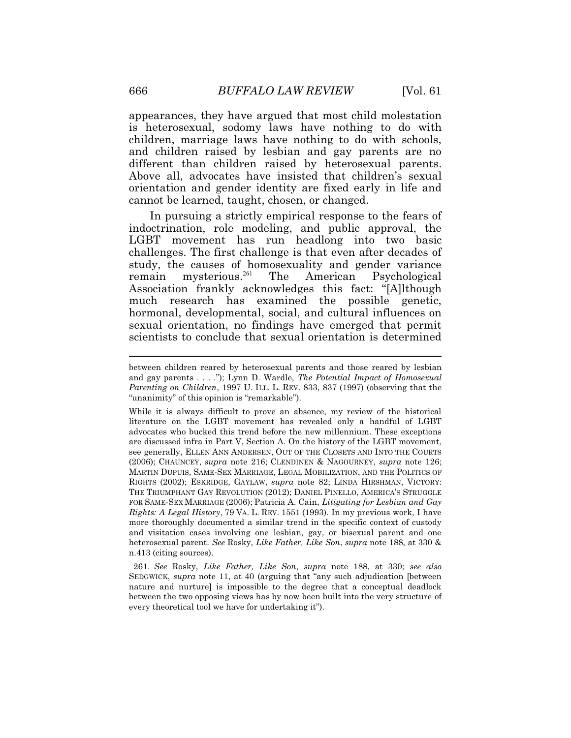is heterosexual, sodomy laws have nothing to do with appearances, they have argued that most child molestation children, marriage laws have nothing to do with schools, and children raised by lesbian and gay parents are no different than children raised by heterosexual parents. Above all, advocates have insisted that children's sexual orientation and gender identity are fixed early in life and cannot be learned, taught, chosen, or changed.

In pursuing a strictly empirical response to the fears of indoctrination, role modeling, and public approval, the LGBT movement has run headlong into two basic challenges. The first challenge is that even after decades of study, the causes of homosexuality and gender variance remain mysterious.<sup>261</sup> The American Psychological Association frankly acknowledges this fact: "[A]lthough much research has examined the possible genetic, hormonal, developmental, social, and cultural influences on sexual orientation, no findings have emerged that permit scientists to conclude that sexual orientation is determined

 MARTIN DUPUIS, SAME-SEX MARRIAGE, LEGAL MOBILIZATION, AND THE POLITICS OF *Rights: A Legal History*, 79 VA. L. REV. 1551 (1993). In my previous work, I have While it is always difficult to prove an absence, my review of the historical literature on the LGBT movement has revealed only a handful of LGBT advocates who bucked this trend before the new millennium. These exceptions are discussed infra in Part V, Section A. On the history of the LGBT movement, see generally, ELLEN ANN ANDERSEN, OUT OF THE CLOSETS AND INTO THE COURTS (2006); CHAUNCEY, *supra* note 216; CLENDINEN & NAGOURNEY, *supra* note 126; RIGHTS (2002); ESKRIDGE, GAYLAW, *supra* note 82; LINDA HIRSHMAN, VICTORY: THE TRIUMPHANT GAY REVOLUTION (2012); DANIEL PINELLO, AMERICA'S STRUGGLE FOR SAME-SEX MARRIAGE (2006); Patricia A. Cain, *Litigating for Lesbian and Gay*  more thoroughly documented a similar trend in the specific context of custody and visitation cases involving one lesbian, gay, or bisexual parent and one heterosexual parent. *See* Rosky, *Like Father, Like Son*, *supra* note 188, at 330 & n.413 (citing sources).

261. *See* Rosky, *Like Father, Like Son*, *supra* note 188, at 330; *see also*  SEDGWICK, *supra* note 11, at 40 (arguing that "any such adjudication [between nature and nurture] is impossible to the degree that a conceptual deadlock between the two opposing views has by now been built into the very structure of every theoretical tool we have for undertaking it").

 *Parenting on Children*, 1997 U. ILL. L. REV. 833, 837 (1997) (observing that the between children reared by heterosexual parents and those reared by lesbian and gay parents . . . ."); Lynn D. Wardle, *The Potential Impact of Homosexual*  "unanimity" of this opinion is "remarkable").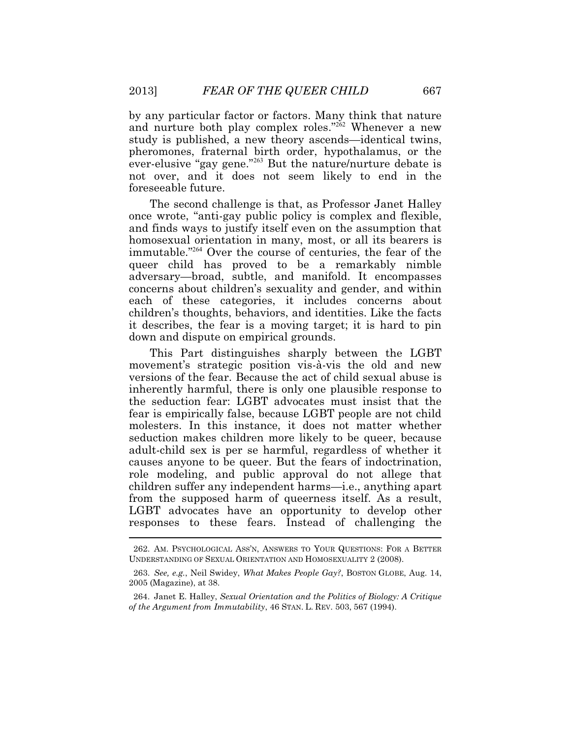by any particular factor or factors. Many think that nature and nurture both play complex roles."<sup>262</sup> Whenever a new study is published, a new theory ascends—identical twins, pheromones, fraternal birth order, hypothalamus, or the ever-elusive "gay gene."<sup>263</sup> But the nature/nurture debate is not over, and it does not seem likely to end in the foreseeable future.

The second challenge is that, as Professor Janet Halley once wrote, "anti-gay public policy is complex and flexible, and finds ways to justify itself even on the assumption that homosexual orientation in many, most, or all its bearers is immutable."<sup>264</sup> Over the course of centuries, the fear of the queer child has proved to be a remarkably nimble adversary—broad, subtle, and manifold. It encompasses concerns about children's sexuality and gender, and within each of these categories, it includes concerns about children's thoughts, behaviors, and identities. Like the facts it describes, the fear is a moving target; it is hard to pin down and dispute on empirical grounds.

 $\overline{a}$ This Part distinguishes sharply between the LGBT movement's strategic position vis-à-vis the old and new versions of the fear. Because the act of child sexual abuse is inherently harmful, there is only one plausible response to the seduction fear: LGBT advocates must insist that the fear is empirically false, because LGBT people are not child molesters. In this instance, it does not matter whether seduction makes children more likely to be queer, because adult-child sex is per se harmful, regardless of whether it causes anyone to be queer. But the fears of indoctrination, role modeling, and public approval do not allege that children suffer any independent harms—i.e., anything apart from the supposed harm of queerness itself. As a result, LGBT advocates have an opportunity to develop other responses to these fears. Instead of challenging the

<sup>262.</sup> AM. PSYCHOLOGICAL ASS'N, ANSWERS TO YOUR QUESTIONS: FOR A BETTER UNDERSTANDING OF SEXUAL ORIENTATION AND HOMOSEXUALITY 2 (2008).

 <sup>263.</sup> *See, e.g.*, Neil Swidey, *What Makes People Gay?*, BOSTON GLOBE, Aug. 14, 2005 (Magazine), at 38.

 *of the Argument from Immutability*, 46 STAN. L. REV. 503, 567 (1994). 264. Janet E. Halley, *Sexual Orientation and the Politics of Biology: A Critique*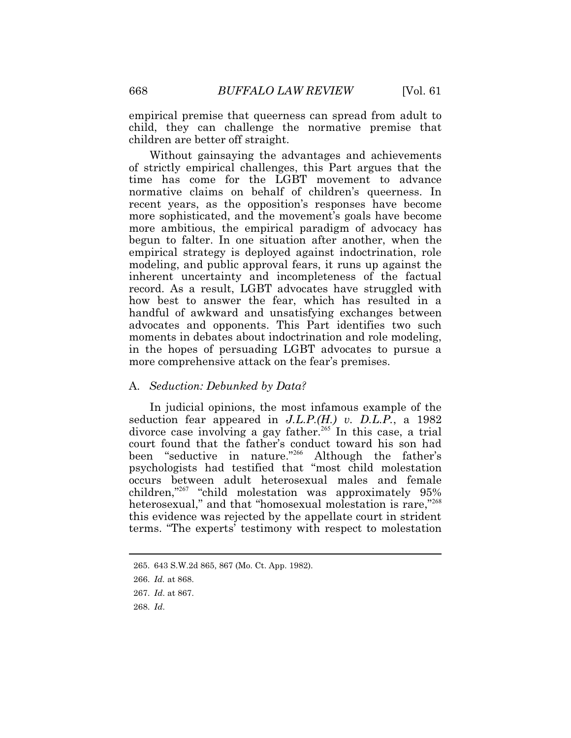empirical premise that queerness can spread from adult to child, they can challenge the normative premise that children are better off straight.

Without gainsaying the advantages and achievements of strictly empirical challenges, this Part argues that the time has come for the LGBT movement to advance normative claims on behalf of children's queerness. In recent years, as the opposition's responses have become more sophisticated, and the movement's goals have become more ambitious, the empirical paradigm of advocacy has begun to falter. In one situation after another, when the empirical strategy is deployed against indoctrination, role modeling, and public approval fears, it runs up against the inherent uncertainty and incompleteness of the factual record. As a result, LGBT advocates have struggled with how best to answer the fear, which has resulted in a handful of awkward and unsatisfying exchanges between advocates and opponents. This Part identifies two such moments in debates about indoctrination and role modeling, in the hopes of persuading LGBT advocates to pursue a more comprehensive attack on the fear's premises.

# A. *Seduction: Debunked by Data?*

 children,"<sup>267</sup> "child molestation was approximately 95% In judicial opinions, the most infamous example of the seduction fear appeared in *J.L.P.(H.) v. D.L.P.*, a 1982 divorce case involving a gay father.<sup>265</sup> In this case, a trial court found that the father's conduct toward his son had been "seductive in nature."<sup>266</sup> Although the father's psychologists had testified that "most child molestation occurs between adult heterosexual males and female heterosexual," and that "homosexual molestation is rare,"268 this evidence was rejected by the appellate court in strident terms. "The experts' testimony with respect to molestation

<sup>265. 643</sup> S.W.2d 865, 867 (Mo. Ct. App. 1982).

 <sup>266.</sup> *Id.* at 868.

 <sup>267.</sup> *Id*. at 867.

 <sup>268.</sup> *Id*.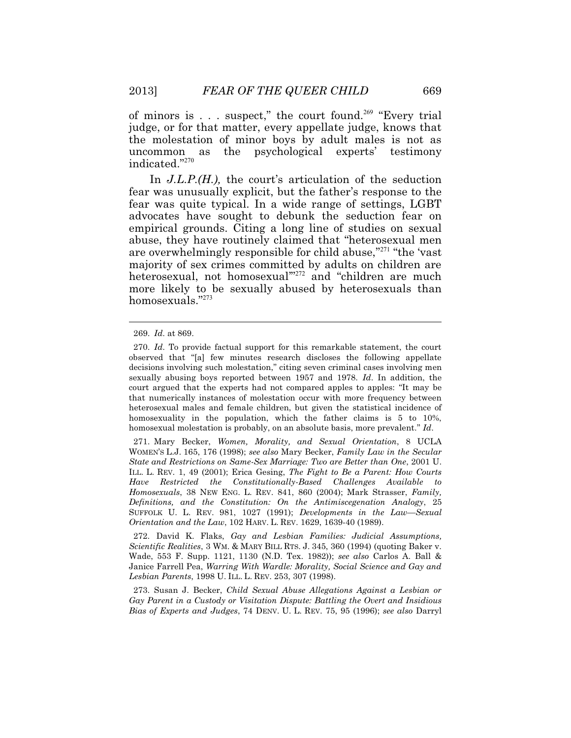of minors is  $\ldots$  suspect," the court found.<sup>269</sup> "Every trial judge, or for that matter, every appellate judge, knows that the molestation of minor boys by adult males is not as uncommon as the psychological experts' testimony indicated."<sup>270</sup>

In *J.L.P.(H.)*, the court's articulation of the seduction fear was unusually explicit, but the father's response to the fear was quite typical. In a wide range of settings, LGBT advocates have sought to debunk the seduction fear on empirical grounds. Citing a long line of studies on sexual abuse, they have routinely claimed that "heterosexual men are overwhelmingly responsible for child abuse,"<sup>271</sup> "the 'vast majority of sex crimes committed by adults on children are heterosexual, not homosexual'"<sup>272</sup> and "children are much more likely to be sexually abused by heterosexuals than homosexuals."273

 $\overline{a}$ 

 272. David K. Flaks, *Gay and Lesbian Families: Judicial Assumptions, Scientific Realities*, 3 WM. & MARY BILL RTS. J. 345, 360 (1994) (quoting Baker v. *Lesbian Parents*, 1998 U. ILL. L. REV. 253, 307 (1998). Wade, 553 F. Supp. 1121, 1130 (N.D. Tex. 1982)); *see also* Carlos A. Ball & Janice Farrell Pea, *Warring With Wardle: Morality, Social Science and Gay and* 

 *Bias of Experts and Judges*, 74 DENV. U. L. REV. 75, 95 (1996); *see also* Darryl 273. Susan J. Becker, *Child Sexual Abuse Allegations Against a Lesbian or Gay Parent in a Custody or Visitation Dispute: Battling the Overt and Insidious* 

<sup>269.</sup> *Id*. at 869.

 heterosexual males and female children, but given the statistical incidence of 270. *Id*. To provide factual support for this remarkable statement, the court observed that "[a] few minutes research discloses the following appellate decisions involving such molestation," citing seven criminal cases involving men sexually abusing boys reported between 1957 and 1978. *Id*. In addition, the court argued that the experts had not compared apples to apples: "It may be that numerically instances of molestation occur with more frequency between homosexuality in the population, which the father claims is 5 to 10%, homosexual molestation is probably, on an absolute basis, more prevalent." *Id*.

 ILL. L. REV. 1, 49 (2001); Erica Gesing, *The Fight to Be a Parent: How Courts Homosexuals*, 38 NEW ENG. L. REV. 841, 860 (2004); Mark Strasser, *Family,*  SUFFOLK U. L. REV. 981, 1027 (1991); *Developments in the Law—Sexual Orientation and the Law*, 102 HARV. L. REV. 1629, 1639-40 (1989). 271. Mary Becker, *Women, Morality, and Sexual Orientation*, 8 UCLA WOMEN'S L.J. 165, 176 (1998); *see also* Mary Becker, *Family Law in the Secular State and Restrictions on Same-Sex Marriage: Two are Better than One*, 2001 U. *Have Restricted the Constitutionally-Based Challenges Available to Definitions, and the Constitution: On the Antimiscegenation Analogy*, 25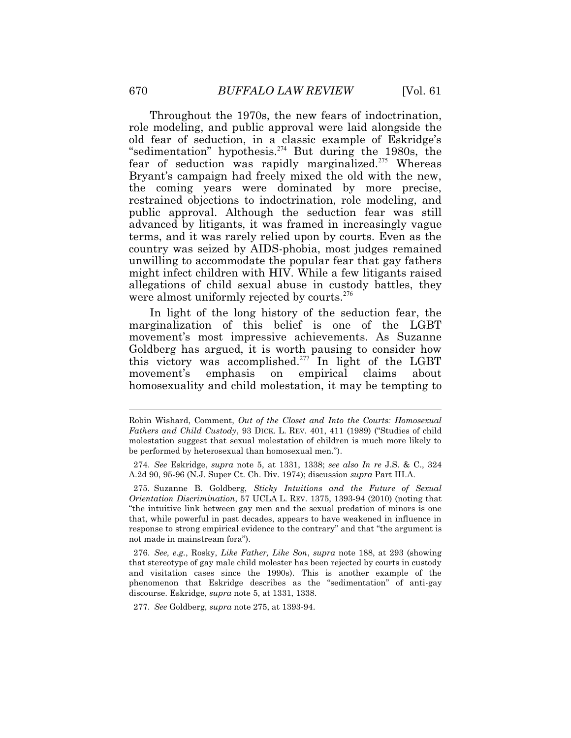Throughout the 1970s, the new fears of indoctrination, role modeling, and public approval were laid alongside the old fear of seduction, in a classic example of Eskridge's "sedimentation" hypothesis.<sup>274</sup> But during the 1980s, the fear of seduction was rapidly marginalized.<sup>275</sup> Whereas Bryant's campaign had freely mixed the old with the new, the coming years were dominated by more precise, restrained objections to indoctrination, role modeling, and public approval. Although the seduction fear was still advanced by litigants, it was framed in increasingly vague terms, and it was rarely relied upon by courts. Even as the country was seized by AIDS-phobia, most judges remained unwilling to accommodate the popular fear that gay fathers might infect children with HIV. While a few litigants raised allegations of child sexual abuse in custody battles, they were almost uniformly rejected by courts. $276$ 

In light of the long history of the seduction fear, the marginalization of this belief is one of the LGBT movement's most impressive achievements. As Suzanne Goldberg has argued, it is worth pausing to consider how this victory was accomplished.<sup>277</sup> In light of the LGBT movement's emphasis on empirical claims about homosexuality and child molestation, it may be tempting to

277. *See* Goldberg, *supra* note 275, at 1393-94.

 $\ddot{\phantom{a}}$ 

 *Fathers and Child Custody*, 93 DICK. L. REV. 401, 411 (1989) ("Studies of child Robin Wishard, Comment, *Out of the Closet and Into the Courts: Homosexual*  molestation suggest that sexual molestation of children is much more likely to be performed by heterosexual than homosexual men.").

 <sup>274.</sup> *See* Eskridge, *supra* note 5, at 1331, 1338; *see also In re* J.S. & C., 324 A.2d 90, 95-96 (N.J. Super Ct. Ch. Div. 1974); discussion *supra* Part III.A.

 *Orientation Discrimination*, 57 UCLA L. REV. 1375, 1393-94 (2010) (noting that 275. Suzanne B. Goldberg, *Sticky Intuitions and the Future of Sexual*  "the intuitive link between gay men and the sexual predation of minors is one that, while powerful in past decades, appears to have weakened in influence in response to strong empirical evidence to the contrary" and that "the argument is not made in mainstream fora").

<sup>276.</sup> *See, e.g.*, Rosky, *Like Father, Like Son*, *supra* note 188, at 293 (showing that stereotype of gay male child molester has been rejected by courts in custody and visitation cases since the 1990s). This is another example of the phenomenon that Eskridge describes as the "sedimentation" of anti-gay discourse. Eskridge, *supra* note 5, at 1331, 1338.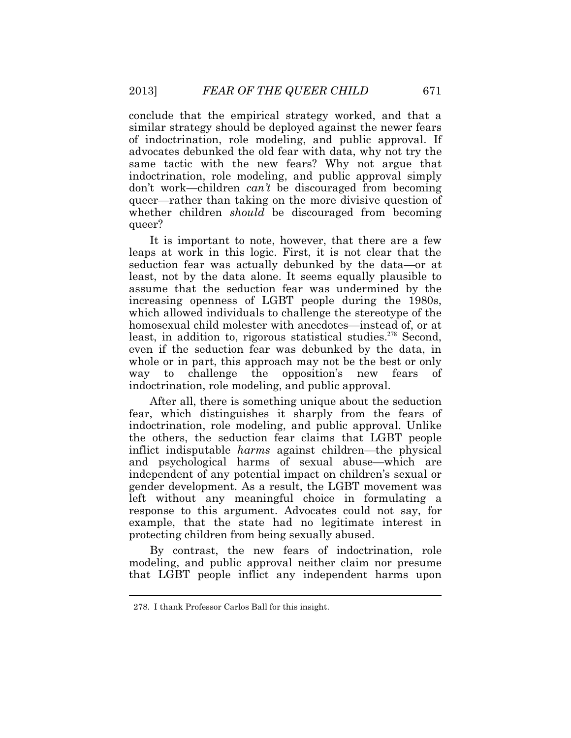conclude that the empirical strategy worked, and that a similar strategy should be deployed against the newer fears of indoctrination, role modeling, and public approval. If advocates debunked the old fear with data, why not try the same tactic with the new fears? Why not argue that indoctrination, role modeling, and public approval simply don't work—children *can't* be discouraged from becoming queer—rather than taking on the more divisive question of whether children *should* be discouraged from becoming queer?

It is important to note, however, that there are a few leaps at work in this logic. First, it is not clear that the seduction fear was actually debunked by the data—or at least, not by the data alone. It seems equally plausible to assume that the seduction fear was undermined by the increasing openness of LGBT people during the 1980s, which allowed individuals to challenge the stereotype of the homosexual child molester with anecdotes—instead of, or at least, in addition to, rigorous statistical studies.<sup>278</sup> Second, even if the seduction fear was debunked by the data, in whole or in part, this approach may not be the best or only way to challenge the opposition's new fears of indoctrination, role modeling, and public approval.

After all, there is something unique about the seduction fear, which distinguishes it sharply from the fears of indoctrination, role modeling, and public approval. Unlike the others, the seduction fear claims that LGBT people inflict indisputable *harms* against children—the physical and psychological harms of sexual abuse—which are independent of any potential impact on children's sexual or gender development. As a result, the LGBT movement was left without any meaningful choice in formulating a response to this argument. Advocates could not say, for example, that the state had no legitimate interest in protecting children from being sexually abused.

By contrast, the new fears of indoctrination, role modeling, and public approval neither claim nor presume that LGBT people inflict any independent harms upon

 $\ddot{\phantom{a}}$ 

<sup>278.</sup> I thank Professor Carlos Ball for this insight.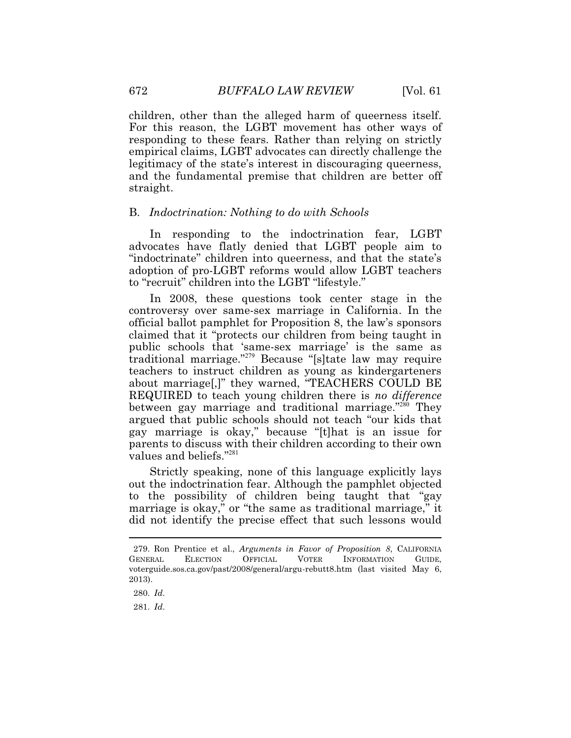children, other than the alleged harm of queerness itself. For this reason, the LGBT movement has other ways of responding to these fears. Rather than relying on strictly empirical claims, LGBT advocates can directly challenge the legitimacy of the state's interest in discouraging queerness, and the fundamental premise that children are better off straight.

### B. *Indoctrination: Nothing to do with Schools*

In responding to the indoctrination fear, LGBT advocates have flatly denied that LGBT people aim to "indoctrinate" children into queerness, and that the state's adoption of pro-LGBT reforms would allow LGBT teachers to "recruit" children into the LGBT "lifestyle."

In 2008, these questions took center stage in the controversy over same-sex marriage in California. In the official ballot pamphlet for Proposition 8, the law's sponsors claimed that it "protects our children from being taught in public schools that 'same-sex marriage' is the same as traditional marriage."<sup>279</sup> Because "[s]tate law may require teachers to instruct children as young as kindergarteners about marriage[,]" they warned, "TEACHERS COULD BE REQUIRED to teach young children there is *no difference*  between gay marriage and traditional marriage."<sup>280</sup> They argued that public schools should not teach "our kids that gay marriage is okay," because "[t]hat is an issue for parents to discuss with their children according to their own values and beliefs."<sup>281</sup>

 to the possibility of children being taught that "gay Strictly speaking, none of this language explicitly lays out the indoctrination fear. Although the pamphlet objected marriage is okay," or "the same as traditional marriage," it did not identify the precise effect that such lessons would

 279. Ron Prentice et al., *Arguments in Favor of Proposition 8*, CALIFORNIA GENERAL ELECTION OFFICIAL VOTER INFORMATION GUIDE, [voterguide.sos.ca.gov/past/2008/general/argu-rebutt8.htm](https://voterguide.sos.ca.gov/past/2008/general/argu-rebutt8.htm) (last visited May 6, 2013).

 <sup>280.</sup> *Id*.

<sup>281.</sup> *Id*.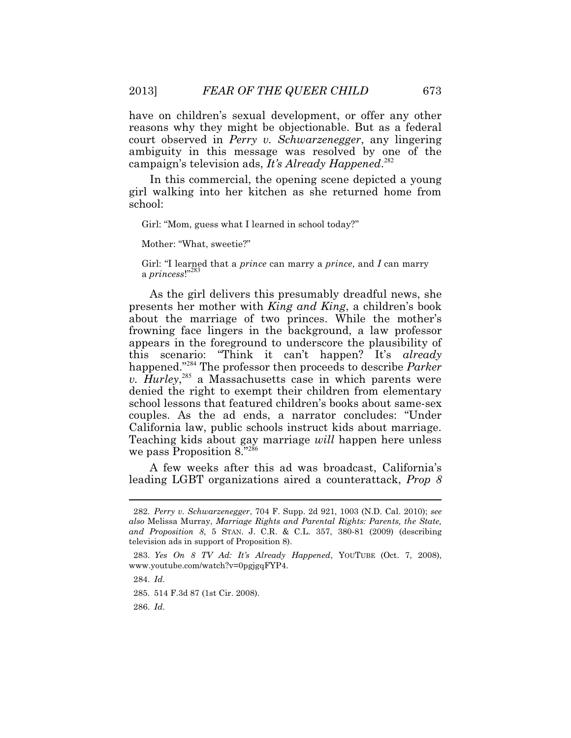have on children's sexual development, or offer any other reasons why they might be objectionable. But as a federal court observed in *Perry v. Schwarzenegger*, any lingering ambiguity in this message was resolved by one of the campaign's television ads, *It's Already Happened*.<sup>282</sup>

In this commercial, the opening scene depicted a young girl walking into her kitchen as she returned home from school:

Girl: "Mom, guess what I learned in school today?"

Mother: "What, sweetie?"

Girl: "I learned that a *prince* can marry a *prince*, and *I* can marry a *princess!*"<sup>28</sup>

As the girl delivers this presumably dreadful news, she presents her mother with *King and King*, a children's book about the marriage of two princes. While the mother's frowning face lingers in the background, a law professor appears in the foreground to underscore the plausibility of this scenario: "Think it can't happen? It's *already*  happened."<sup>284</sup> The professor then proceeds to describe *Parker*  v. Hurley,<sup>285</sup> a Massachusetts case in which parents were denied the right to exempt their children from elementary school lessons that featured children's books about same-sex couples. As the ad ends, a narrator concludes: "Under California law, public schools instruct kids about marriage. Teaching kids about gay marriage *will* happen here unless we pass Proposition 8."286

A few weeks after this ad was broadcast, California's leading LGBT organizations aired a counterattack, *Prop 8* 

284. *Id*.

 $\overline{a}$ 

285. 514 F.3d 87 (1st Cir. 2008).

286. *Id*.

 *and Proposition 8*, 5 STAN. J. C.R. & C.L. 357, 380-81 (2009) (describing 282. *Perry v. Schwarzenegger*, 704 F. Supp. 2d 921, 1003 (N.D. Cal. 2010); *see also* Melissa Murray, *Marriage Rights and Parental Rights: Parents, the State,*  television ads in support of Proposition 8).

 <sup>283.</sup> *Yes On 8 TV Ad: It's Already Happened*, YOUTUBE (Oct. 7, 2008), [www.youtube.com/watch?v=0pgjgqFYP4.](www.youtube.com/watch?v=0pgjgqFYP4)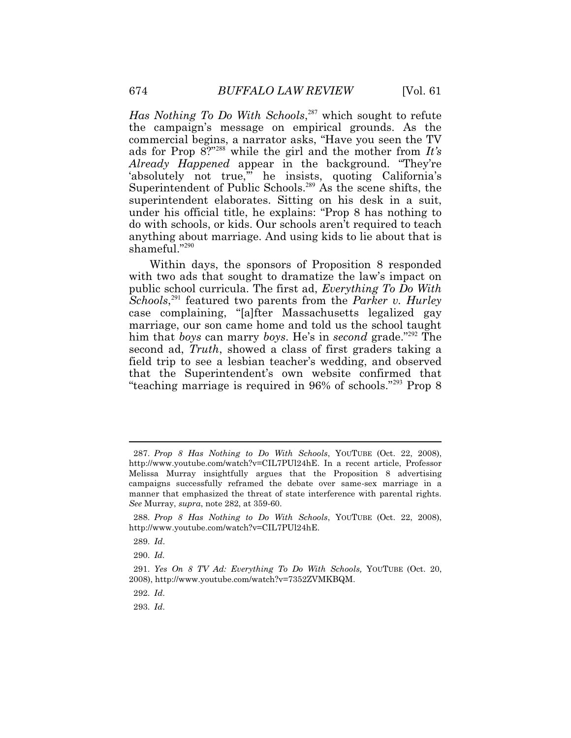Has Nothing To Do With Schools,<sup>287</sup> which sought to refute the campaign's message on empirical grounds. As the commercial begins, a narrator asks, "Have you seen the TV ads for Prop 8?"<sup>288</sup> while the girl and the mother from *It's Already Happened* appear in the background. "They're 'absolutely not true," he insists, quoting California's Superintendent of Public Schools.<sup>289</sup> As the scene shifts, the superintendent elaborates. Sitting on his desk in a suit, under his official title, he explains: "Prop 8 has nothing to do with schools, or kids. Our schools aren't required to teach anything about marriage. And using kids to lie about that is shameful."290

Within days, the sponsors of Proposition 8 responded with two ads that sought to dramatize the law's impact on public school curricula. The first ad, *Everything To Do With* Schools,<sup>291</sup> featured two parents from the *Parker v. Hurley* case complaining, "[a]fter Massachusetts legalized gay marriage, our son came home and told us the school taught him that *boys* can marry *boys*. He's in *second* grade."<sup>292</sup> The second ad, *Truth*, showed a class of first graders taking a field trip to see a lesbian teacher's wedding, and observed that the Superintendent's own website confirmed that "teaching marriage is required in 96% of schools."<sup>293</sup> Prop 8

 $\ddot{\phantom{a}}$ 

292. *Id*.

293. *Id*.

 campaigns successfully reframed the debate over same-sex marriage in a *See* Murray, *supra*, note 282, at 359-60. 287. *Prop 8 Has Nothing to Do With Schools*, YOUTUBE (Oct. 22, 2008), <http://www.youtube.com/watch?v=CIL7PUl24hE>. In a recent article, Professor Melissa Murray insightfully argues that the Proposition 8 advertising manner that emphasized the threat of state interference with parental rights.

 288. *Prop 8 Has Nothing to Do With Schools*, YOUTUBE (Oct. 22, 2008), <http://www.youtube.com/watch?v=CIL7PUl24hE>.

 <sup>289.</sup> *Id*.

<sup>290.</sup> *Id.*

 <sup>291.</sup> *Yes On 8 TV Ad: Everything To Do With Schools,* YOUTUBE (Oct. 20, 2008),<http://www.youtube.com/watch?v=7352ZVMKBQM>.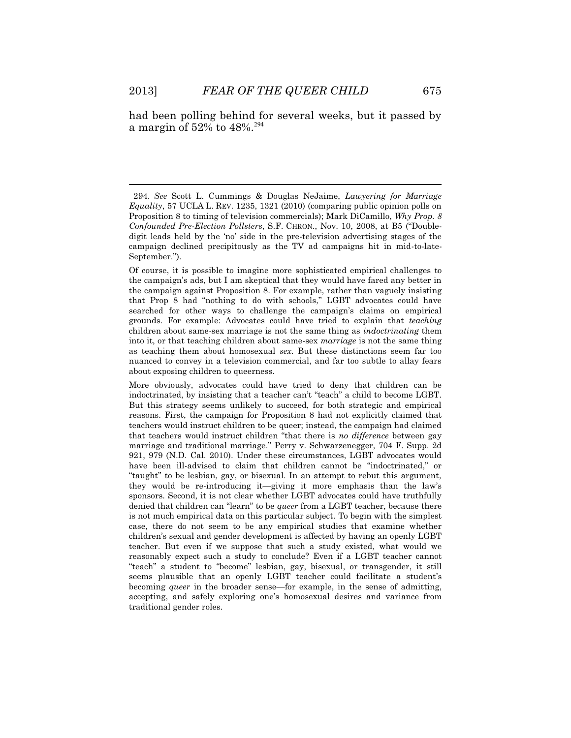$\overline{a}$ 

had been polling behind for several weeks, but it passed by a margin of  $52\%$  to  $48\%$ <sup>294</sup>

 teacher. But even if we suppose that such a study existed, what would we More obviously, advocates could have tried to deny that children can be indoctrinated, by insisting that a teacher can't "teach" a child to become LGBT. But this strategy seems unlikely to succeed, for both strategic and empirical reasons. First, the campaign for Proposition 8 had not explicitly claimed that teachers would instruct children to be queer; instead, the campaign had claimed that teachers would instruct children "that there is *no difference* between gay marriage and traditional marriage." Perry v. Schwarzenegger, 704 F. Supp. 2d 921, 979 (N.D. Cal. 2010). Under these circumstances, LGBT advocates would have been ill-advised to claim that children cannot be "indoctrinated," or "taught" to be lesbian, gay, or bisexual. In an attempt to rebut this argument, they would be re-introducing it—giving it more emphasis than the law's sponsors. Second, it is not clear whether LGBT advocates could have truthfully denied that children can "learn" to be *queer* from a LGBT teacher, because there is not much empirical data on this particular subject. To begin with the simplest case, there do not seem to be any empirical studies that examine whether children's sexual and gender development is affected by having an openly LGBT reasonably expect such a study to conclude? Even if a LGBT teacher cannot "teach" a student to "become" lesbian, gay, bisexual, or transgender, it still seems plausible that an openly LGBT teacher could facilitate a student's becoming *queer* in the broader sense—for example, in the sense of admitting, accepting, and safely exploring one's homosexual desires and variance from traditional gender roles.

 *Equality*, 57 UCLA L. REV. 1235, 1321 (2010) (comparing public opinion polls on 294. *See* Scott L. Cummings & Douglas NeJaime, *Lawyering for Marriage*  Proposition 8 to timing of television commercials); Mark DiCamillo, *Why Prop. 8 Confounded Pre-Election Pollsters*, S.F. CHRON., Nov. 10, 2008, at B5 ("Doubledigit leads held by the 'no' side in the pre-television advertising stages of the campaign declined precipitously as the TV ad campaigns hit in mid-to-late-September.").

Of course, it is possible to imagine more sophisticated empirical challenges to the campaign's ads, but I am skeptical that they would have fared any better in the campaign against Proposition 8. For example, rather than vaguely insisting that Prop 8 had "nothing to do with schools," LGBT advocates could have searched for other ways to challenge the campaign's claims on empirical grounds. For example: Advocates could have tried to explain that *teaching* children about same-sex marriage is not the same thing as *indoctrinating* them into it, or that teaching children about same-sex *marriage* is not the same thing as teaching them about homosexual *sex*. But these distinctions seem far too nuanced to convey in a television commercial, and far too subtle to allay fears about exposing children to queerness.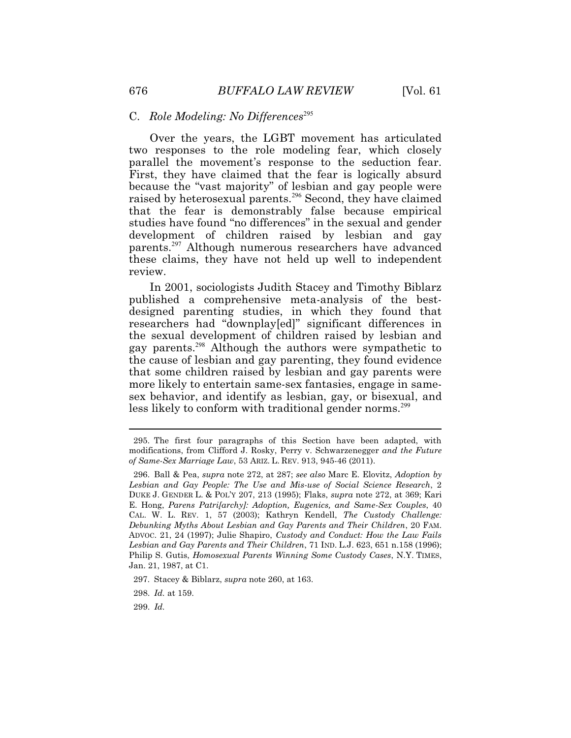# <sup>295</sup>C. *Role Modeling: No Differences*

Over the years, the LGBT movement has articulated two responses to the role modeling fear, which closely parallel the movement's response to the seduction fear. First, they have claimed that the fear is logically absurd because the "vast majority" of lesbian and gay people were raised by heterosexual parents.<sup>296</sup> Second, they have claimed that the fear is demonstrably false because empirical studies have found "no differences" in the sexual and gender development of children raised by lesbian and gay parents.<sup>297</sup> Although numerous researchers have advanced these claims, they have not held up well to independent review.

less likely to conform with traditional gender norms.<sup>299</sup> In 2001, sociologists Judith Stacey and Timothy Biblarz published a comprehensive meta-analysis of the bestdesigned parenting studies, in which they found that researchers had "downplay[ed]" significant differences in the sexual development of children raised by lesbian and gay parents.<sup>298</sup> Although the authors were sympathetic to the cause of lesbian and gay parenting, they found evidence that some children raised by lesbian and gay parents were more likely to entertain same-sex fantasies, engage in samesex behavior, and identify as lesbian, gay, or bisexual, and

299. *Id.* 

 *of Same-Sex Marriage Law*, 53 ARIZ. L. REV. 913, 945-46 (2011). 295. The first four paragraphs of this Section have been adapted, with modifications, from Clifford J. Rosky, Perry v. Schwarzenegger *and the Future* 

 DUKE J. GENDER L. & POL'Y 207, 213 (1995); Flaks, *supra* note 272, at 369; Kari CAL. W. L. REV. 1, 57 (2003); Kathryn Kendell, *The Custody Challenge:*  296. Ball & Pea, *supra* note 272, at 287; *see also* Marc E. Elovitz, *Adoption by Lesbian and Gay People: The Use and Mis-use of Social Science Research*, 2 E. Hong, *Parens Patri[archy]: Adoption, Eugenics, and Same-Sex Couples*, 40 *Debunking Myths About Lesbian and Gay Parents and Their Children*, 20 FAM. ADVOC. 21, 24 (1997); Julie Shapiro, *Custody and Conduct: How the Law Fails Lesbian and Gay Parents and Their Children*, 71 IND. L.J. 623, 651 n.158 (1996); Philip S. Gutis, *Homosexual Parents Winning Some Custody Cases*, N.Y. TIMES, Jan. 21, 1987, at C1.

<sup>297.</sup> Stacey & Biblarz, *supra* note 260, at 163.

 <sup>298.</sup> *Id.* at 159.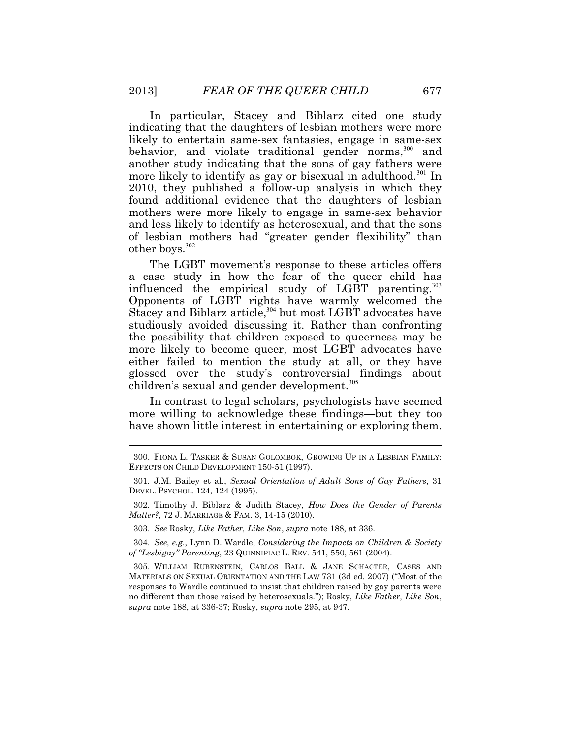In particular, Stacey and Biblarz cited one study indicating that the daughters of lesbian mothers were more likely to entertain same-sex fantasies, engage in same-sex behavior, and violate traditional gender norms,<sup>300</sup> and another study indicating that the sons of gay fathers were more likely to identify as gay or bisexual in adulthood.<sup>301</sup> In 2010, they published a follow-up analysis in which they found additional evidence that the daughters of lesbian mothers were more likely to engage in same-sex behavior and less likely to identify as heterosexual, and that the sons of lesbian mothers had "greater gender flexibility" than other boys.<sup>302</sup>

The LGBT movement's response to these articles offers a case study in how the fear of the queer child has influenced the empirical study of LGBT parenting. $303$ Opponents of LGBT rights have warmly welcomed the Stacey and Biblarz article,  $304$  but most LGBT advocates have studiously avoided discussing it. Rather than confronting the possibility that children exposed to queerness may be more likely to become queer, most LGBT advocates have either failed to mention the study at all, or they have glossed over the study's controversial findings about children's sexual and gender development.<sup>305</sup>

In contrast to legal scholars, psychologists have seemed more willing to acknowledge these findings—but they too have shown little interest in entertaining or exploring them.

 304. *See, e.g*., Lynn D. Wardle, *Considering the Impacts on Children & Society of "Lesbigay" Parenting*, 23 QUINNIPIAC L. REV. 541, 550, 561 (2004).

<sup>300.</sup> FIONA L. TASKER & SUSAN GOLOMBOK, GROWING UP IN A LESBIAN FAMILY: EFFECTS ON CHILD DEVELOPMENT 150-51 (1997).

 301. J.M. Bailey et al., *Sexual Orientation of Adult Sons of Gay Fathers*, 31 DEVEL. PSYCHOL. 124, 124 (1995).

<sup>302.</sup> Timothy J. Biblarz & Judith Stacey, *How Does the Gender of Parents Matter?*, 72 J. MARRIAGE & FAM. 3, 14-15 (2010).

 <sup>303.</sup> *See* Rosky, *Like Father, Like Son*, *supra* note 188, at 336.

 <sup>305.</sup> WILLIAM RUBENSTEIN, CARLOS BALL & JANE SCHACTER, CASES AND MATERIALS ON SEXUAL ORIENTATION AND THE LAW 731 (3d ed. 2007) ("Most of the responses to Wardle continued to insist that children raised by gay parents were no different than those raised by heterosexuals."); Rosky, *Like Father, Like Son*, *supra* note 188, at 336-37; Rosky, *supra* note 295, at 947.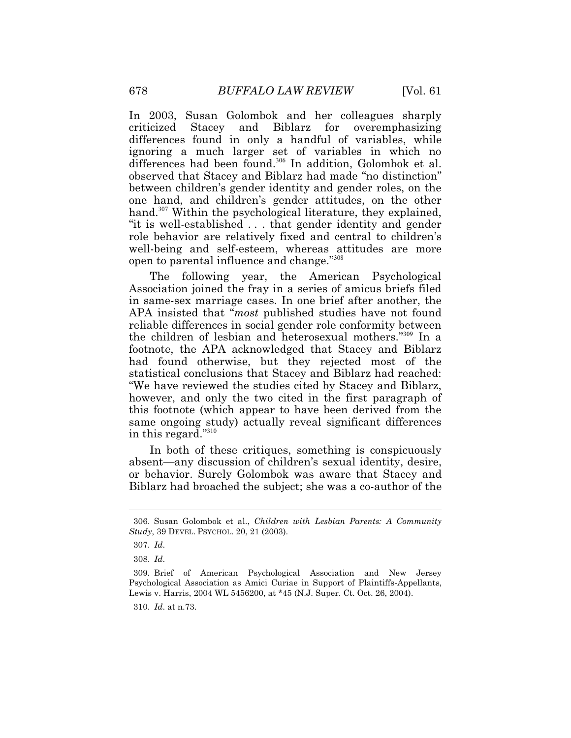In 2003, Susan Golombok and her colleagues sharply criticized Stacey and Biblarz for overemphasizing differences found in only a handful of variables, while ignoring a much larger set of variables in which no differences had been found.<sup>306</sup> In addition, Golombok et al. observed that Stacey and Biblarz had made "no distinction" between children's gender identity and gender roles, on the one hand, and children's gender attitudes, on the other hand.<sup>307</sup> Within the psychological literature, they explained, "it is well-established . . . that gender identity and gender role behavior are relatively fixed and central to children's well-being and self-esteem, whereas attitudes are more open to parental influence and change."<sup>308</sup>

The following year, the American Psychological Association joined the fray in a series of amicus briefs filed in same-sex marriage cases. In one brief after another, the APA insisted that "*most* published studies have not found reliable differences in social gender role conformity between the children of lesbian and heterosexual mothers."<sup>309</sup> In a footnote, the APA acknowledged that Stacey and Biblarz had found otherwise, but they rejected most of the statistical conclusions that Stacey and Biblarz had reached: "We have reviewed the studies cited by Stacey and Biblarz, however, and only the two cited in the first paragraph of this footnote (which appear to have been derived from the same ongoing study) actually reveal significant differences in this regard."<sup>310</sup>

In both of these critiques, something is conspicuously absent—any discussion of children's sexual identity, desire, or behavior. Surely Golombok was aware that Stacey and Biblarz had broached the subject; she was a co-author of the

 306. Susan Golombok et al., *Children with Lesbian Parents: A Community Study*, 39 DEVEL. PSYCHOL. 20, 21 (2003).

 <sup>307.</sup> *Id*.

<sup>308.</sup> *Id*.

<sup>309.</sup> Brief of American Psychological Association and New Jersey Psychological Association as Amici Curiae in Support of Plaintiffs-Appellants, Lewis v. Harris, 2004 WL 5456200, at \*45 (N.J. Super. Ct. Oct. 26, 2004).

 <sup>310.</sup> *Id*. at n.73.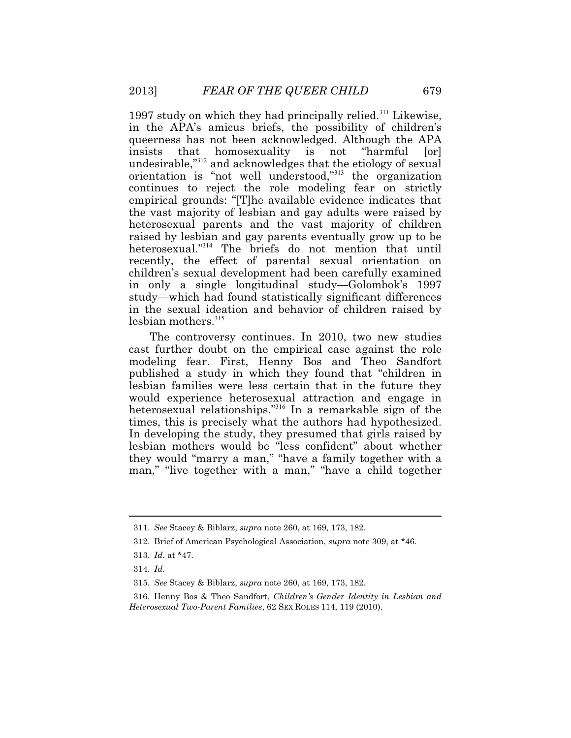1997 study on which they had principally relied.<sup>311</sup> Likewise, in the APA's amicus briefs, the possibility of children's queerness has not been acknowledged. Although the APA insists that homosexuality is not "harmful [or] undesirable,"<sup>312</sup> and acknowledges that the etiology of sexual orientation is "not well understood,"<sup>313</sup> the organization continues to reject the role modeling fear on strictly empirical grounds: "[T]he available evidence indicates that the vast majority of lesbian and gay adults were raised by heterosexual parents and the vast majority of children raised by lesbian and gay parents eventually grow up to be heterosexual."<sup>314</sup> The briefs do not mention that until recently, the effect of parental sexual orientation on children's sexual development had been carefully examined in only a single longitudinal study—Golombok's 1997 study—which had found statistically significant differences in the sexual ideation and behavior of children raised by lesbian mothers.<sup>315</sup>

 In developing the study, they presumed that girls raised by The controversy continues. In 2010, two new studies cast further doubt on the empirical case against the role modeling fear. First, Henny Bos and Theo Sandfort published a study in which they found that "children in lesbian families were less certain that in the future they would experience heterosexual attraction and engage in heterosexual relationships."<sup>316</sup> In a remarkable sign of the times, this is precisely what the authors had hypothesized. lesbian mothers would be "less confident" about whether they would "marry a man," "have a family together with a man," "live together with a man," "have a child together

<sup>311.</sup> *See* Stacey & Biblarz, *supra* note 260, at 169, 173, 182.

<sup>312.</sup> Brief of American Psychological Association, *supra* note 309, at \*46.

 <sup>313.</sup> *Id*. at \*47.

 <sup>314.</sup> *Id*.

<sup>315.</sup> *See* Stacey & Biblarz, *supra* note 260, at 169, 173, 182.

<sup>316.</sup> Henny Bos & Theo Sandfort, *Children's Gender Identity in Lesbian and Heterosexual Two-Parent Families*, 62 SEX ROLES 114, 119 (2010).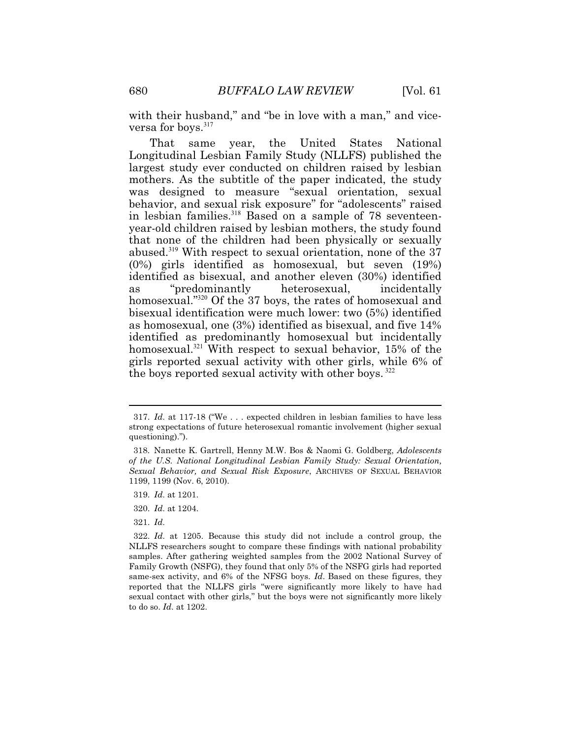with their husband," and "be in love with a man," and viceversa for boys.<sup>317</sup>

 Longitudinal Lesbian Family Study (NLLFS) published the That same year, the United States National largest study ever conducted on children raised by lesbian mothers. As the subtitle of the paper indicated, the study was designed to measure "sexual orientation, sexual behavior, and sexual risk exposure" for "adolescents" raised in lesbian families.<sup>318</sup> Based on a sample of 78 seventeenyear-old children raised by lesbian mothers, the study found that none of the children had been physically or sexually abused.<sup>319</sup> With respect to sexual orientation, none of the  $37$ (0%) girls identified as homosexual, but seven (19%) identified as bisexual, and another eleven (30%) identified as "predominantly heterosexual, incidentally homosexual."<sup>320</sup> Of the 37 boys, the rates of homosexual and bisexual identification were much lower: two (5%) identified as homosexual, one (3%) identified as bisexual, and five 14% identified as predominantly homosexual but incidentally homosexual.<sup>321</sup> With respect to sexual behavior, 15% of the girls reported sexual activity with other girls, while 6% of the boys reported sexual activity with other boys.<sup>322</sup>

<sup>317.</sup> *Id*. at 117-18 ("We . . . expected children in lesbian families to have less strong expectations of future heterosexual romantic involvement (higher sexual questioning).").

<sup>318.</sup> Nanette K. Gartrell, Henny M.W. Bos & Naomi G. Goldberg, *Adolescents of the U.S. National Longitudinal Lesbian Family Study: Sexual Orientation, Sexual Behavior, and Sexual Risk Exposure*, ARCHIVES OF SEXUAL BEHAVIOR 1199, 1199 (Nov. 6, 2010).

 <sup>319.</sup> *Id*. at 1201.

 <sup>320.</sup> *Id*. at 1204.

 <sup>321.</sup> *Id*.

 Family Growth (NSFG), they found that only 5% of the NSFG girls had reported sexual contact with other girls," but the boys were not significantly more likely to do so. *Id*. at 1202. 322. *Id*. at 1205. Because this study did not include a control group, the NLLFS researchers sought to compare these findings with national probability samples. After gathering weighted samples from the 2002 National Survey of same-sex activity, and 6% of the NFSG boys. *Id*. Based on these figures, they reported that the NLLFS girls "were significantly more likely to have had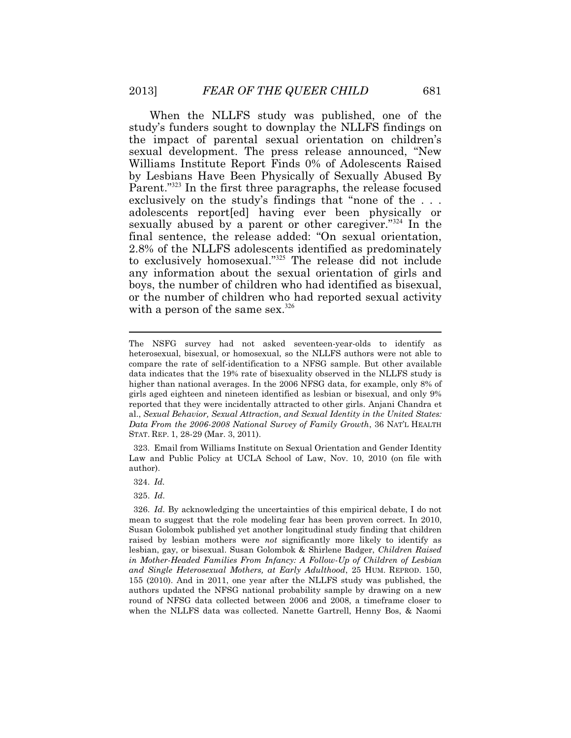When the NLLFS study was published, one of the study's funders sought to downplay the NLLFS findings on the impact of parental sexual orientation on children's sexual development. The press release announced, "New Williams Institute Report Finds 0% of Adolescents Raised by Lesbians Have Been Physically of Sexually Abused By Parent."<sup>323</sup> In the first three paragraphs, the release focused exclusively on the study's findings that "none of the . . . adolescents report[ed] having ever been physically or sexually abused by a parent or other caregiver."<sup>324</sup> In the final sentence, the release added: "On sexual orientation, 2.8% of the NLLFS adolescents identified as predominately to exclusively homosexual."<sup>325</sup> The release did not include any information about the sexual orientation of girls and boys, the number of children who had identified as bisexual, or the number of children who had reported sexual activity with a person of the same sex. $326$ 

323. Email from Williams Institute on Sexual Orientation and Gender Identity Law and Public Policy at UCLA School of Law, Nov. 10, 2010 (on file with author).

324. *Id.*

 $\overline{a}$ 

 higher than national averages. In the 2006 NFSG data, for example, only 8% of STAT. REP. 1, 28-29 (Mar. 3, 2011). The NSFG survey had not asked seventeen-year-olds to identify as heterosexual, bisexual, or homosexual, so the NLLFS authors were not able to compare the rate of self-identification to a NFSG sample. But other available data indicates that the 19% rate of bisexuality observed in the NLLFS study is girls aged eighteen and nineteen identified as lesbian or bisexual, and only 9% reported that they were incidentally attracted to other girls. Anjani Chandra et al., *Sexual Behavior, Sexual Attraction, and Sexual Identity in the United States: Data From the 2006-2008 National Survey of Family Growth*, 36 NAT'L HEALTH

<sup>326.</sup> *Id*. By acknowledging the uncertainties of this empirical debate, I do not mean to suggest that the role modeling fear has been proven correct. In 2010, Susan Golombok published yet another longitudinal study finding that children raised by lesbian mothers were *not* significantly more likely to identify as lesbian, gay, or bisexual. Susan Golombok & Shirlene Badger, *Children Raised in Mother-Headed Families From Infancy: A Follow-Up of Children of Lesbian and Single Heterosexual Mothers, at Early Adulthood*, 25 HUM. REPROD. 150, 155 (2010). And in 2011, one year after the NLLFS study was published, the authors updated the NFSG national probability sample by drawing on a new round of NFSG data collected between 2006 and 2008, a timeframe closer to when the NLLFS data was collected. Nanette Gartrell, Henny Bos, & Naomi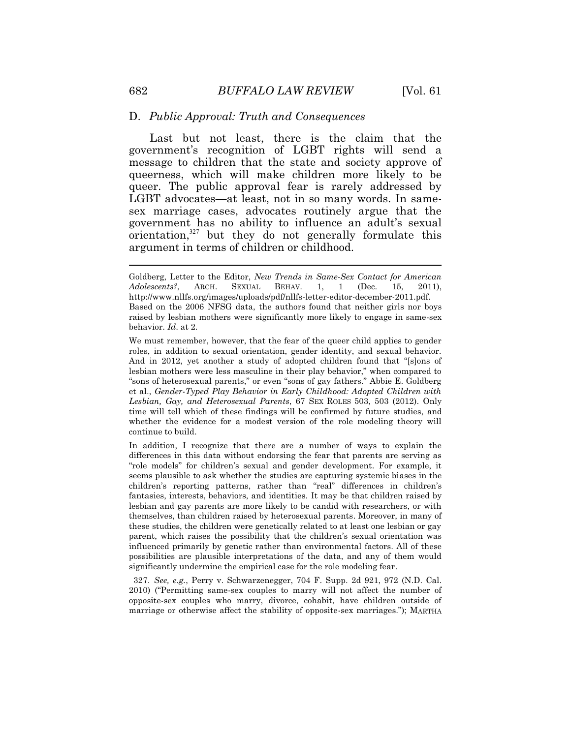#### D. *Public Approval: Truth and Consequences*

argument in terms of children or childhood. Last but not least, there is the claim that the government's recognition of LGBT rights will send a message to children that the state and society approve of queerness, which will make children more likely to be queer. The public approval fear is rarely addressed by LGBT advocates—at least, not in so many words. In samesex marriage cases, advocates routinely argue that the government has no ability to influence an adult's sexual  $orientation$ , $327}$  but they do not generally formulate this

 2010) ("Permitting same-sex couples to marry will not affect the number of opposite-sex couples who marry, divorce, cohabit, have children outside of 327. *See, e.g.*, Perry v. Schwarzenegger, 704 F. Supp. 2d 921, 972 (N.D. Cal. marriage or otherwise affect the stability of opposite-sex marriages."); MARTHA

Goldberg, Letter to the Editor, *New Trends in Same-Sex Contact for American Adolescents?*, ARCH. SEXUAL BEHAV. 1, 1 (Dec. 15, 2011), <http://www.nllfs.org/images/uploads/pdf/nllfs-letter-editor-december-2011.pdf>. Based on the 2006 NFSG data, the authors found that neither girls nor boys raised by lesbian mothers were significantly more likely to engage in same-sex behavior. *Id*. at 2.<br>We must remember, however, that the fear of the queer child applies to gender

 *Lesbian, Gay, and Heterosexual Parents*, 67 SEX ROLES 503, 503 (2012). Only roles, in addition to sexual orientation, gender identity, and sexual behavior. And in 2012, yet another a study of adopted children found that "[s]ons of lesbian mothers were less masculine in their play behavior," when compared to "sons of heterosexual parents," or even "sons of gay fathers." Abbie E. Goldberg et al., *Gender-Typed Play Behavior in Early Childhood: Adopted Children with*  time will tell which of these findings will be confirmed by future studies, and whether the evidence for a modest version of the role modeling theory will continue to build.

 fantasies, interests, behaviors, and identities. It may be that children raised by In addition, I recognize that there are a number of ways to explain the differences in this data without endorsing the fear that parents are serving as "role models" for children's sexual and gender development. For example, it seems plausible to ask whether the studies are capturing systemic biases in the children's reporting patterns, rather than "real" differences in children's lesbian and gay parents are more likely to be candid with researchers, or with themselves, than children raised by heterosexual parents. Moreover, in many of these studies, the children were genetically related to at least one lesbian or gay parent, which raises the possibility that the children's sexual orientation was influenced primarily by genetic rather than environmental factors. All of these possibilities are plausible interpretations of the data, and any of them would significantly undermine the empirical case for the role modeling fear.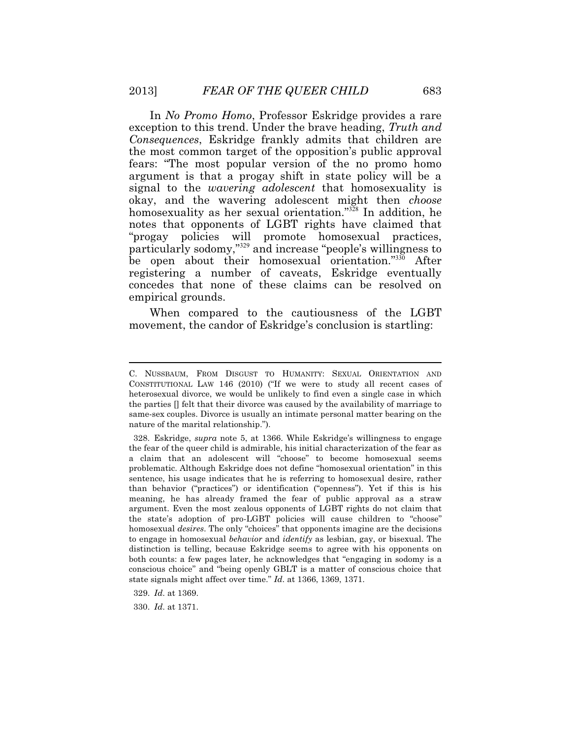In *No Promo Homo*, Professor Eskridge provides a rare exception to this trend. Under the brave heading, *Truth and Consequences*, Eskridge frankly admits that children are the most common target of the opposition's public approval fears: "The most popular version of the no promo homo argument is that a progay shift in state policy will be a signal to the *wavering adolescent* that homosexuality is okay, and the wavering adolescent might then *choose*  homosexuality as her sexual orientation."<sup>328</sup> In addition, he notes that opponents of LGBT rights have claimed that "progay policies will promote homosexual practices, particularly sodomy,"<sup>329</sup> and increase "people's willingness to be open about their homosexual orientation."<sup>330</sup> After registering a number of caveats, Eskridge eventually concedes that none of these claims can be resolved on empirical grounds.

movement, the candor of Eskridge's conclusion is startling:<br>C. NUSSBAUM, FROM DISGUST TO HUMANITY: SEXUAL ORIENTATION AND When compared to the cautiousness of the LGBT

 heterosexual divorce, we would be unlikely to find even a single case in which CONSTITUTIONAL LAW 146 (2010) ("If we were to study all recent cases of the parties [] felt that their divorce was caused by the availability of marriage to same-sex couples. Divorce is usually an intimate personal matter bearing on the nature of the marital relationship.").

 the fear of the queer child is admirable, his initial characterization of the fear as the state's adoption of pro-LGBT policies will cause children to "choose" homosexual *desires*. The only "choices" that opponents imagine are the decisions distinction is telling, because Eskridge seems to agree with his opponents on 328. Eskridge, *supra* note 5, at 1366. While Eskridge's willingness to engage a claim that an adolescent will "choose" to become homosexual seems problematic. Although Eskridge does not define "homosexual orientation" in this sentence, his usage indicates that he is referring to homosexual desire, rather than behavior ("practices") or identification ("openness"). Yet if this is his meaning, he has already framed the fear of public approval as a straw argument. Even the most zealous opponents of LGBT rights do not claim that to engage in homosexual *behavior* and *identify* as lesbian, gay, or bisexual. The both counts: a few pages later, he acknowledges that "engaging in sodomy is a conscious choice" and "being openly GBLT is a matter of conscious choice that state signals might affect over time." *Id*. at 1366, 1369, 1371.

<sup>329.</sup> *Id*. at 1369.

 <sup>330.</sup> *Id*. at 1371.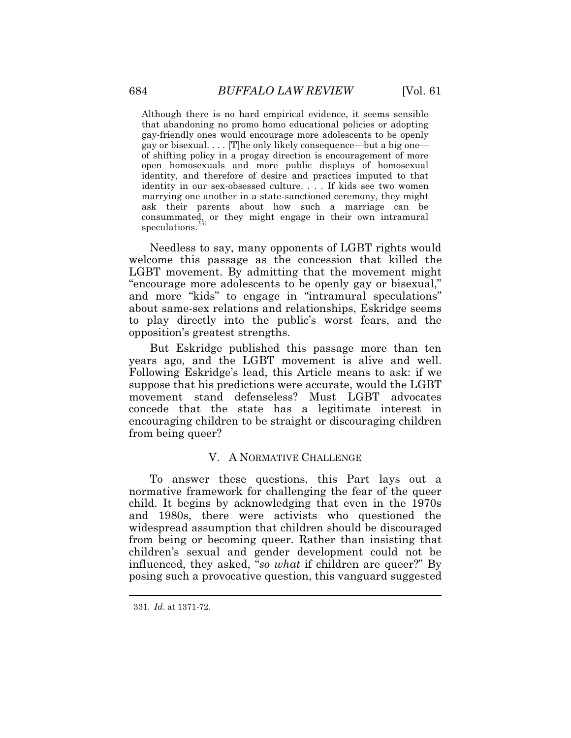Although there is no hard empirical evidence, it seems sensible that abandoning no promo homo educational policies or adopting gay-friendly ones would encourage more adolescents to be openly gay or bisexual. . . . [T]he only likely consequence—but a big one of shifting policy in a progay direction is encouragement of more open homosexuals and more public displays of homosexual identity, and therefore of desire and practices imputed to that identity in our sex-obsessed culture. . . . If kids see two women marrying one another in a state-sanctioned ceremony, they might ask their parents about how such a marriage can be consummated, or they might engage in their own intramural speculations.

Needless to say, many opponents of LGBT rights would welcome this passage as the concession that killed the LGBT movement. By admitting that the movement might "encourage more adolescents to be openly gay or bisexual," and more "kids" to engage in "intramural speculations" about same-sex relations and relationships, Eskridge seems to play directly into the public's worst fears, and the opposition's greatest strengths.

 Following Eskridge's lead, this Article means to ask: if we But Eskridge published this passage more than ten years ago, and the LGBT movement is alive and well. suppose that his predictions were accurate, would the LGBT movement stand defenseless? Must LGBT advocates concede that the state has a legitimate interest in encouraging children to be straight or discouraging children from being queer?

# V. A NORMATIVE CHALLENGE

To answer these questions, this Part lays out a normative framework for challenging the fear of the queer child. It begins by acknowledging that even in the 1970s and 1980s, there were activists who questioned the widespread assumption that children should be discouraged from being or becoming queer. Rather than insisting that children's sexual and gender development could not be influenced, they asked, "*so what* if children are queer?" By posing such a provocative question, this vanguard suggested

 $\ddot{\phantom{a}}$ 

<sup>331.</sup> *Id*. at 1371-72.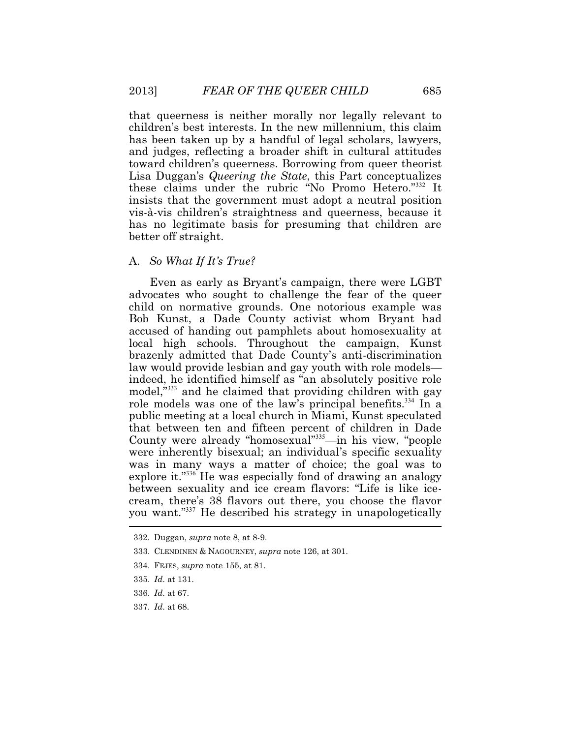that queerness is neither morally nor legally relevant to children's best interests. In the new millennium, this claim has been taken up by a handful of legal scholars, lawyers, and judges, reflecting a broader shift in cultural attitudes toward children's queerness. Borrowing from queer theorist Lisa Duggan's *Queering the State*, this Part conceptualizes these claims under the rubric "No Promo Hetero."<sup>332</sup> It insists that the government must adopt a neutral position vis-à-vis children's straightness and queerness, because it has no legitimate basis for presuming that children are better off straight.

# A. *So What If It's True?*

 $\overline{\phantom{a}}$ Even as early as Bryant's campaign, there were LGBT advocates who sought to challenge the fear of the queer child on normative grounds. One notorious example was Bob Kunst, a Dade County activist whom Bryant had accused of handing out pamphlets about homosexuality at local high schools. Throughout the campaign, Kunst brazenly admitted that Dade County's anti-discrimination law would provide lesbian and gay youth with role models indeed, he identified himself as "an absolutely positive role model,"<sup>333</sup> and he claimed that providing children with gay role models was one of the law's principal benefits.<sup>334</sup> In a public meeting at a local church in Miami, Kunst speculated that between ten and fifteen percent of children in Dade County were already "homosexual"<sup>335</sup>—in his view, "people were inherently bisexual; an individual's specific sexuality was in many ways a matter of choice; the goal was to explore it."<sup>336</sup> He was especially fond of drawing an analogy between sexuality and ice cream flavors: "Life is like icecream, there's 38 flavors out there, you choose the flavor you want."<sup>337</sup> He described his strategy in unapologetically

337. *Id*. at 68.

<sup>332.</sup> Duggan, *supra* note 8, at 8-9.

 <sup>333.</sup> CLENDINEN & NAGOURNEY, *supra* note 126, at 301.

<sup>334.</sup> FEJES, *supra* note 155, at 81.

<sup>335.</sup> *Id*. at 131.

 <sup>336.</sup> *Id*. at 67.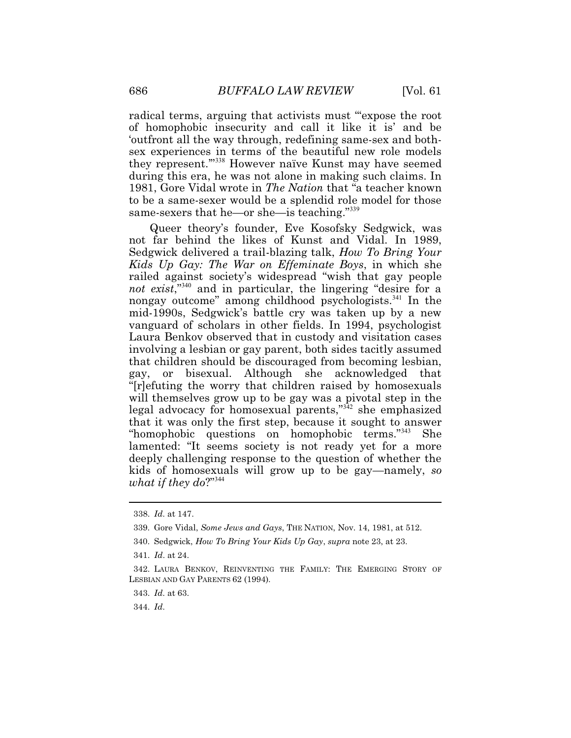same-sexers that he—or she—is teaching."<sup>339</sup> radical terms, arguing that activists must "expose the root" of homophobic insecurity and call it like it is' and be 'outfront all the way through, redefining same-sex and bothsex experiences in terms of the beautiful new role models they represent.'"<sup>338</sup> However naïve Kunst may have seemed during this era, he was not alone in making such claims. In 1981, Gore Vidal wrote in *The Nation* that "a teacher known to be a same-sexer would be a splendid role model for those

Queer theory's founder, Eve Kosofsky Sedgwick, was not far behind the likes of Kunst and Vidal. In 1989, Sedgwick delivered a trail-blazing talk, *How To Bring Your Kids Up Gay: The War on Effeminate Boys*, in which she railed against society's widespread "wish that gay people *not exist*,"<sup>340</sup> and in particular, the lingering "desire for a nongay outcome" among childhood psychologists.<sup>341</sup> In the mid-1990s, Sedgwick's battle cry was taken up by a new vanguard of scholars in other fields. In 1994, psychologist Laura Benkov observed that in custody and visitation cases involving a lesbian or gay parent, both sides tacitly assumed that children should be discouraged from becoming lesbian, gay, or bisexual. Although she acknowledged that "[r]efuting the worry that children raised by homosexuals will themselves grow up to be gay was a pivotal step in the legal advocacy for homosexual parents,"<sup>342</sup> she emphasized that it was only the first step, because it sought to answer "homophobic questions on homophobic terms."<sup>343</sup> She lamented: "It seems society is not ready yet for a more deeply challenging response to the question of whether the kids of homosexuals will grow up to be gay—namely, *so what if they do*?"<sup>344</sup>

 $\ddot{\phantom{a}}$ 

<sup>338.</sup> *Id*. at 147.

 339. Gore Vidal, *Some Jews and Gays*, THE NATION, Nov. 14, 1981, at 512.

<sup>340.</sup> Sedgwick, *How To Bring Your Kids Up Gay*, *supra* note 23, at 23.

 <sup>341.</sup> *Id*. at 24.

 <sup>342.</sup> LAURA BENKOV, REINVENTING THE FAMILY: THE EMERGING STORY OF LESBIAN AND GAY PARENTS 62 (1994).

 <sup>343.</sup> *Id*. at 63.

 <sup>344.</sup> *Id*.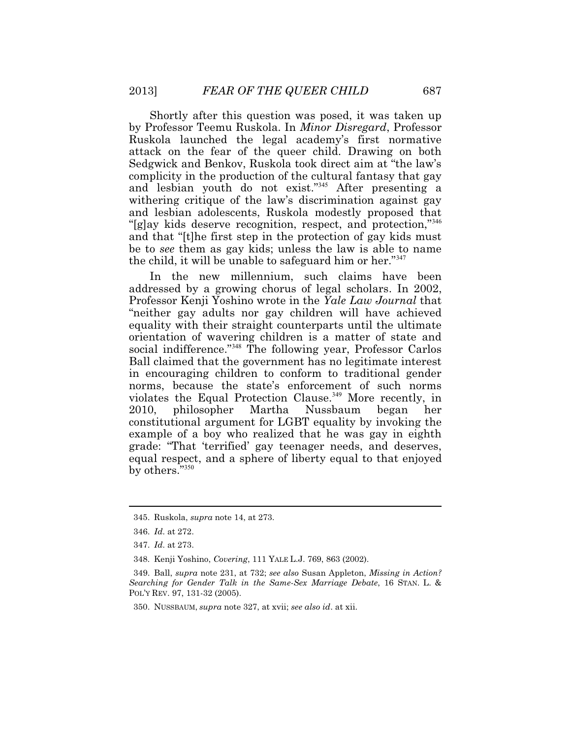Shortly after this question was posed, it was taken up by Professor Teemu Ruskola. In *Minor Disregard*, Professor Ruskola launched the legal academy's first normative attack on the fear of the queer child. Drawing on both Sedgwick and Benkov, Ruskola took direct aim at "the law's complicity in the production of the cultural fantasy that gay and lesbian youth do not exist."<sup>345</sup> After presenting a withering critique of the law's discrimination against gay and lesbian adolescents, Ruskola modestly proposed that "[g]ay kids deserve recognition, respect, and protection,"<sup>346</sup> and that "[t]he first step in the protection of gay kids must be to *see* them as gay kids; unless the law is able to name the child, it will be unable to safeguard him or her."<sup>347</sup>

In the new millennium, such claims have been addressed by a growing chorus of legal scholars. In 2002, Professor Kenji Yoshino wrote in the *Yale Law Journal* that "neither gay adults nor gay children will have achieved equality with their straight counterparts until the ultimate orientation of wavering children is a matter of state and social indifference."<sup>348</sup> The following year, Professor Carlos Ball claimed that the government has no legitimate interest in encouraging children to conform to traditional gender norms, because the state's enforcement of such norms violates the Equal Protection Clause.<sup>349</sup> More recently, in 2010, philosopher Martha Nussbaum began her constitutional argument for LGBT equality by invoking the example of a boy who realized that he was gay in eighth grade: "That 'terrified' gay teenager needs, and deserves, equal respect, and a sphere of liberty equal to that enjoyed by others."350

<sup>345.</sup> Ruskola, *supra* note 14, at 273.

 <sup>346.</sup> *Id*. at 272.

 <sup>347.</sup> *Id*. at 273.

 <sup>348.</sup> Kenji Yoshino, *Covering*, 111 YALE L.J. 769, 863 (2002).

 349. Ball, *supra* note 231, at 732; *see also* Susan Appleton, *Missing in Action? Searching for Gender Talk in the Same-Sex Marriage Debate*, 16 STAN. L. & POL'Y REV. 97, 131-32 (2005).

 <sup>350.</sup> NUSSBAUM, *supra* note 327, at xvii; *see also id*. at xii.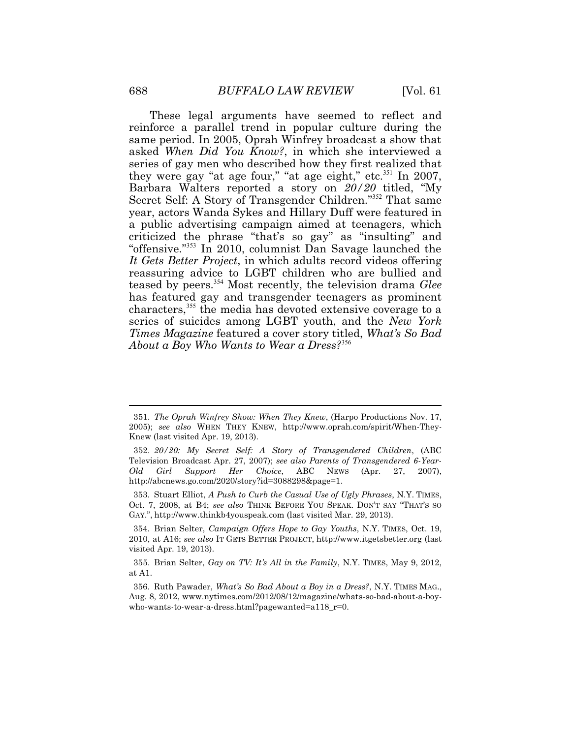These legal arguments have seemed to reflect and reinforce a parallel trend in popular culture during the same period. In 2005, Oprah Winfrey broadcast a show that asked *When Did You Know?*, in which she interviewed a series of gay men who described how they first realized that they were gay "at age four," "at age eight," etc.<sup>351</sup> In 2007, Barbara Walters reported a story on *20/20* titled, "My Secret Self: A Story of Transgender Children."<sup>352</sup> That same year, actors Wanda Sykes and Hillary Duff were featured in a public advertising campaign aimed at teenagers, which criticized the phrase "that's so gay" as "insulting" and "offensive."<sup>353</sup> In 2010, columnist Dan Savage launched the *It Gets Better Project*, in which adults record videos offering reassuring advice to LGBT children who are bullied and teased by peers.<sup>354</sup> Most recently, the television drama *Glee*  has featured gay and transgender teenagers as prominent characters,<sup>355</sup> the media has devoted extensive coverage to a series of suicides among LGBT youth, and the *New York Times Magazine* featured a cover story titled, *What's So Bad About a Boy Who Wants to Wear a Dress?*<sup>356</sup>

<sup>351.</sup> *The Oprah Winfrey Show: When They Knew*, (Harpo Productions Nov. 17, 2005); *see also* WHEN THEY KNEW, [http://www.oprah.com/spirit/When-They-](http://www.oprah.com/spirit/When-They)Knew (last visited Apr. 19, 2013).

<sup>352.</sup> *20/20: My Secret Self: A Story of Transgendered Children*, (ABC Television Broadcast Apr. 27, 2007); *see also Parents of Transgendered 6-Year-Old Girl Support Her Choice*, ABC NEWS (Apr. 27, 2007), <http://abcnews.go.com/2020/story?id=3088298&page=1>.

 <sup>353.</sup> Stuart Elliot, *A Push to Curb the Casual Use of Ugly Phrases*, N.Y. TIMES, Oct. 7, 2008, at B4; *see also* THINK BEFORE YOU SPEAK. DON'T SAY "THAT'S SO GAY.",<http://www.thinkb4youspeak.com> (last visited Mar. 29, 2013).

<sup>354.</sup> Brian Selter, *Campaign Offers Hope to Gay Youths*, N.Y. TIMES, Oct. 19, 2010, at A16; *see also* IT GETS BETTER PROJECT,<http://www.itgetsbetter.org>(last visited Apr. 19, 2013).

<sup>355.</sup> Brian Selter, *Gay on TV: It's All in the Family*, N.Y. TIMES, May 9, 2012, at A1.

 356. Ruth Pawader, *What's So Bad About a Boy in a Dress?*, N.Y. TIMES MAG., Aug. 8, 2012,<www.nytimes.com/2012/08/12/magazine/whats-so-bad-about-a-boy>who-wants-to-wear-a-dress.html?pagewanted=a118 r=0.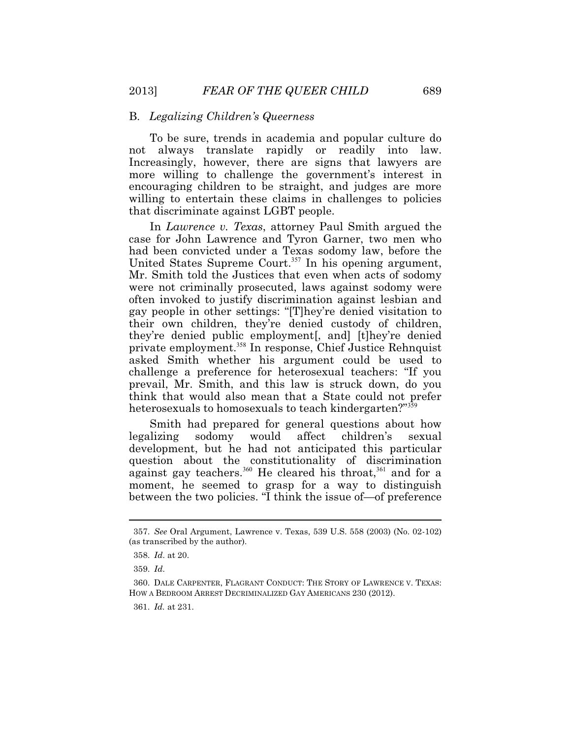### B. *Legalizing Children's Queerness*

To be sure, trends in academia and popular culture do not always translate rapidly or readily into law. Increasingly, however, there are signs that lawyers are more willing to challenge the government's interest in encouraging children to be straight, and judges are more willing to entertain these claims in challenges to policies that discriminate against LGBT people.

heterosexuals to homosexuals to teach kindergarten?"<sup>359</sup> In *Lawrence v. Texas*, attorney Paul Smith argued the case for John Lawrence and Tyron Garner, two men who had been convicted under a Texas sodomy law, before the United States Supreme Court.<sup>357</sup> In his opening argument, Mr. Smith told the Justices that even when acts of sodomy were not criminally prosecuted, laws against sodomy were often invoked to justify discrimination against lesbian and gay people in other settings: "[T]hey're denied visitation to their own children, they're denied custody of children, they're denied public employment[, and] [t]hey're denied private employment.<sup>358</sup> In response, Chief Justice Rehnquist asked Smith whether his argument could be used to challenge a preference for heterosexual teachers: "If you prevail, Mr. Smith, and this law is struck down, do you think that would also mean that a State could not prefer

against gay teachers.<sup>360</sup> He cleared his throat,<sup>361</sup> and for a Smith had prepared for general questions about how legalizing sodomy would affect children's sexual development, but he had not anticipated this particular question about the constitutionality of discrimination moment, he seemed to grasp for a way to distinguish between the two policies. "I think the issue of—of preference

 (as transcribed by the author). 357. *See* Oral Argument, Lawrence v. Texas, 539 U.S. 558 (2003) (No. 02-102)

 <sup>358.</sup> *Id*. at 20.

 <sup>359.</sup> *Id*.

 360. DALE CARPENTER, FLAGRANT CONDUCT: THE STORY OF LAWRENCE V. TEXAS: HOW A BEDROOM ARREST DECRIMINALIZED GAY AMERICANS 230 (2012).

 <sup>361.</sup> *Id.* at 231.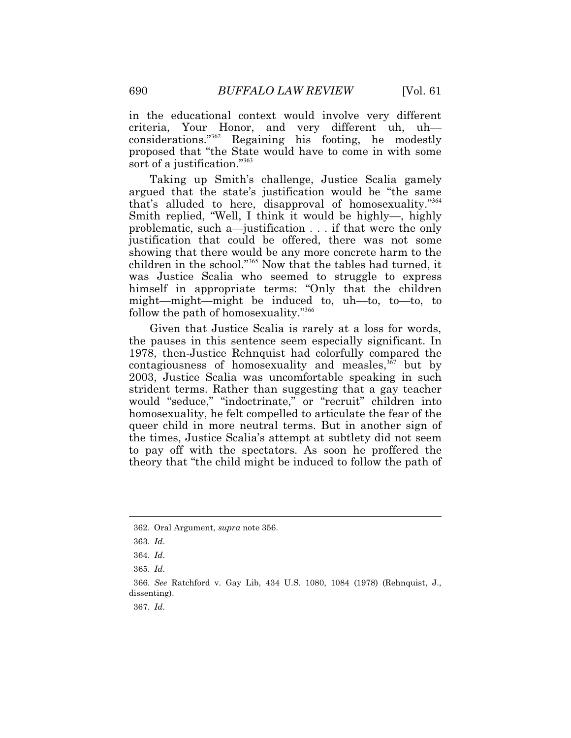in the educational context would involve very different criteria, Your Honor, and very different uh, uh considerations."<sup>362</sup> Regaining his footing, he modestly proposed that "the State would have to come in with some sort of a justification."<sup>363</sup>

follow the path of homosexuality."<sup>366</sup> Taking up Smith's challenge, Justice Scalia gamely argued that the state's justification would be "the same that's alluded to here, disapproval of homosexuality."<sup>364</sup> Smith replied, "Well, I think it would be highly—, highly problematic, such a—justification . . . if that were the only justification that could be offered, there was not some showing that there would be any more concrete harm to the children in the school."<sup>365</sup> Now that the tables had turned, it was Justice Scalia who seemed to struggle to express himself in appropriate terms: "Only that the children might—might—might be induced to, uh—to, to—to, to

Given that Justice Scalia is rarely at a loss for words, the pauses in this sentence seem especially significant. In 1978, then-Justice Rehnquist had colorfully compared the contagiousness of homosexuality and measles, $367$  but by 2003, Justice Scalia was uncomfortable speaking in such strident terms. Rather than suggesting that a gay teacher would "seduce," "indoctrinate," or "recruit" children into homosexuality, he felt compelled to articulate the fear of the queer child in more neutral terms. But in another sign of the times, Justice Scalia's attempt at subtlety did not seem to pay off with the spectators. As soon he proffered the theory that "the child might be induced to follow the path of

 $\overline{a}$ 

<sup>362.</sup> Oral Argument, *supra* note 356.

 <sup>363.</sup> *Id*.

<sup>364.</sup> *Id*.

<sup>365.</sup> *Id*.

<sup>366.</sup> *See* Ratchford v. Gay Lib, 434 U.S. 1080, 1084 (1978) (Rehnquist, J., dissenting).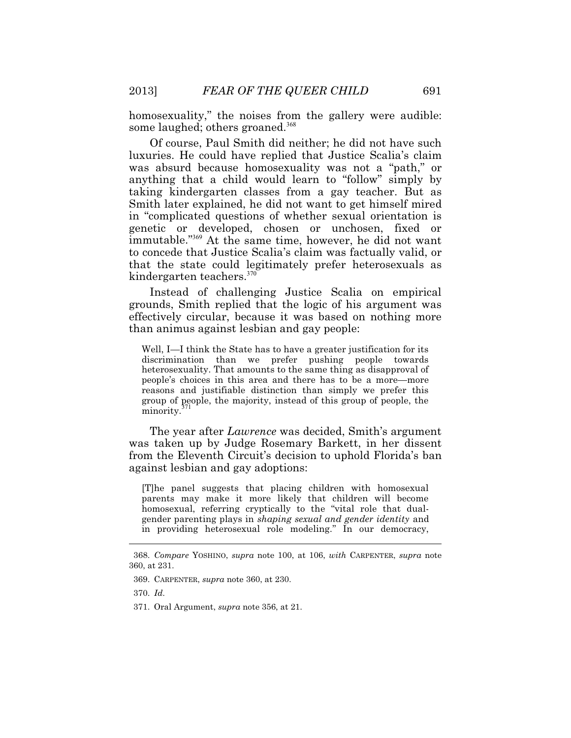some laughed; others groaned.<sup>368</sup> homosexuality," the noises from the gallery were audible:

Of course, Paul Smith did neither; he did not have such luxuries. He could have replied that Justice Scalia's claim was absurd because homosexuality was not a "path," or anything that a child would learn to "follow" simply by taking kindergarten classes from a gay teacher. But as Smith later explained, he did not want to get himself mired in "complicated questions of whether sexual orientation is genetic or developed, chosen or unchosen, fixed or immutable."<sup>369</sup> At the same time, however, he did not want to concede that Justice Scalia's claim was factually valid, or that the state could legitimately prefer heterosexuals as kindergarten teachers.<sup>370</sup>

Instead of challenging Justice Scalia on empirical grounds, Smith replied that the logic of his argument was effectively circular, because it was based on nothing more than animus against lesbian and gay people:

Well, I—I think the State has to have a greater justification for its discrimination than we prefer pushing people towards heterosexuality. That amounts to the same thing as disapproval of people's choices in this area and there has to be a more—more reasons and justifiable distinction than simply we prefer this group of people, the majority, instead of this group of people, the minority.<sup>3</sup>

The year after *Lawrence* was decided, Smith's argument was taken up by Judge Rosemary Barkett, in her dissent from the Eleventh Circuit's decision to uphold Florida's ban against lesbian and gay adoptions:

[T]he panel suggests that placing children with homosexual parents may make it more likely that children will become homosexual, referring cryptically to the "vital role that dualgender parenting plays in *shaping sexual and gender identity* and in providing heterosexual role modeling." In our democracy,

<sup>368.</sup> *Compare* YOSHINO, *supra* note 100, at 106, *with* CARPENTER, *supra* note 360, at 231.

 <sup>369.</sup> CARPENTER, *supra* note 360, at 230.

 <sup>370.</sup> *Id*.

<sup>371.</sup> Oral Argument, *supra* note 356, at 21.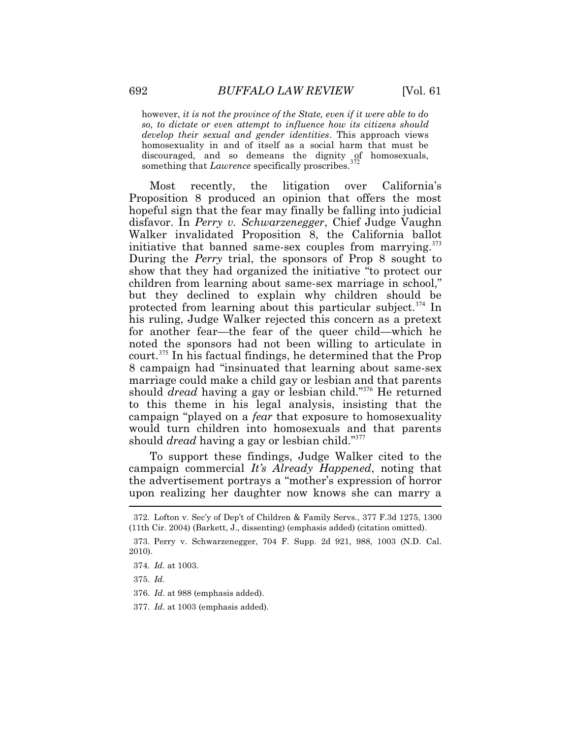homosexuality in and of itself as a social harm that must be however, *it is not the province of the State, even if it were able to do so, to dictate or even attempt to influence how its citizens should develop their sexual and gender identities*. This approach views discouraged, and so demeans the dignity of homosexuals, something that *Lawrence* specifically proscribes.<sup>372</sup>

Most recently, the litigation over California's Proposition 8 produced an opinion that offers the most hopeful sign that the fear may finally be falling into judicial disfavor. In *Perry v. Schwarzenegger*, Chief Judge Vaughn Walker invalidated Proposition 8, the California ballot initiative that banned same-sex couples from marrying. $373$ During the *Perry* trial, the sponsors of Prop 8 sought to show that they had organized the initiative "to protect our children from learning about same-sex marriage in school," but they declined to explain why children should be protected from learning about this particular subject.<sup> $374$ </sup> In his ruling, Judge Walker rejected this concern as a pretext for another fear—the fear of the queer child—which he noted the sponsors had not been willing to articulate in court.<sup>375</sup> In his factual findings, he determined that the Prop 8 campaign had "insinuated that learning about same-sex marriage could make a child gay or lesbian and that parents should *dread* having a gay or lesbian child."<sup>376</sup> He returned to this theme in his legal analysis, insisting that the campaign "played on a *fear* that exposure to homosexuality would turn children into homosexuals and that parents should *dread* having a gay or lesbian child."<sup>377</sup>

 $\overline{\phantom{a}}$ To support these findings, Judge Walker cited to the campaign commercial *It's Already Happened*, noting that the advertisement portrays a "mother's expression of horror upon realizing her daughter now knows she can marry a

<sup>372.</sup> Lofton v. Sec'y of Dep't of Children & Family Servs*.*, 377 F.3d 1275, 1300 (11th Cir. 2004) (Barkett, J., dissenting) (emphasis added) (citation omitted).

<sup>373.</sup> Perry v. Schwarzenegger, 704 F. Supp. 2d 921, 988, 1003 (N.D. Cal. 2010).

 <sup>374.</sup> *Id.* at 1003.

 <sup>375.</sup> *Id.*

 <sup>376.</sup> *Id*. at 988 (emphasis added).

 <sup>377.</sup> *Id*. at 1003 (emphasis added).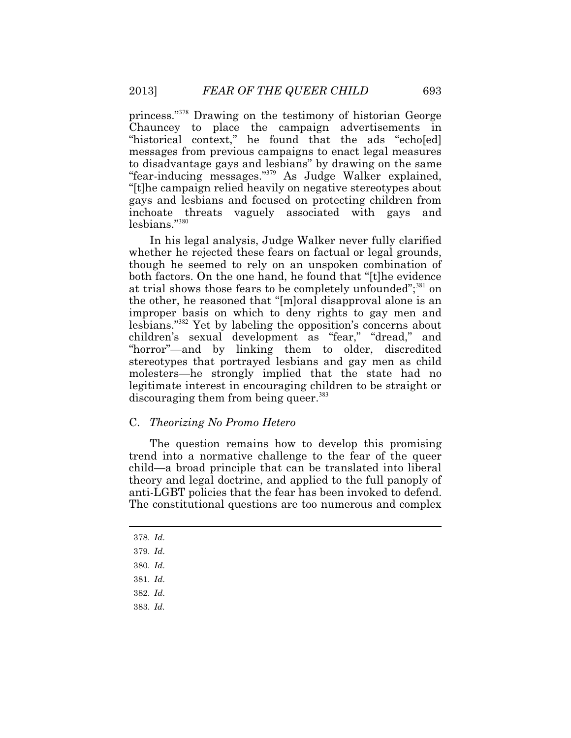princess."<sup>378</sup> Drawing on the testimony of historian George Chauncey to place the campaign advertisements in "historical context," he found that the ads "echo[ed] messages from previous campaigns to enact legal measures to disadvantage gays and lesbians" by drawing on the same "fear-inducing messages."<sup>379</sup> As Judge Walker explained, "[t]he campaign relied heavily on negative stereotypes about gays and lesbians and focused on protecting children from inchoate threats vaguely associated with gays and lesbians."<sup>380</sup>

In his legal analysis, Judge Walker never fully clarified whether he rejected these fears on factual or legal grounds, though he seemed to rely on an unspoken combination of both factors. On the one hand, he found that "[t]he evidence at trial shows those fears to be completely unfounded";<sup>381</sup> on the other, he reasoned that "[m]oral disapproval alone is an improper basis on which to deny rights to gay men and lesbians."<sup>382</sup> Yet by labeling the opposition's concerns about children's sexual development as "fear," "dread," and "horror"—and by linking them to older, discredited stereotypes that portrayed lesbians and gay men as child molesters—he strongly implied that the state had no legitimate interest in encouraging children to be straight or discouraging them from being queer.<sup>383</sup>

## C. *Theorizing No Promo Hetero*

The question remains how to develop this promising trend into a normative challenge to the fear of the queer child—a broad principle that can be translated into liberal theory and legal doctrine, and applied to the full panoply of anti-LGBT policies that the fear has been invoked to defend. The constitutional questions are too numerous and complex

 $\overline{a}$ 

<sup>378.</sup> *Id*.

<sup>379.</sup> *Id*.

<sup>380.</sup> *Id*.

<sup>381.</sup> *Id*.

<sup>382.</sup> *Id*.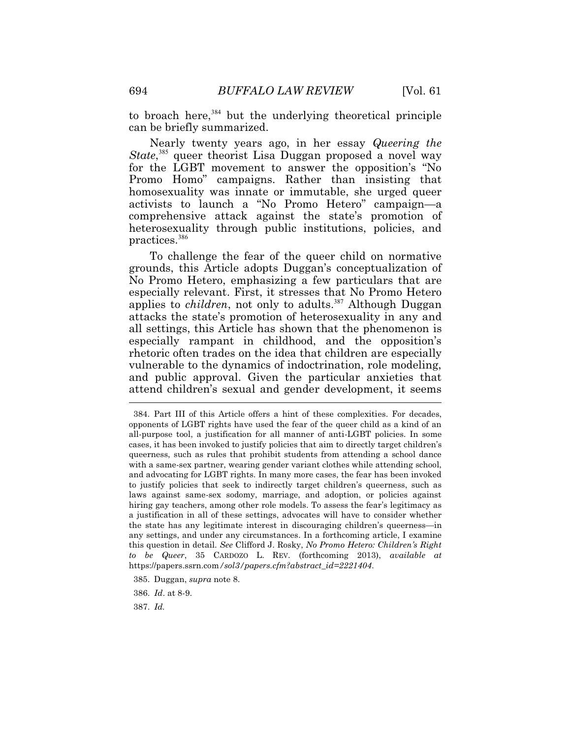to broach here,  $384$  but the underlying theoretical principle can be briefly summarized.

practices.<sup>386</sup> Nearly twenty years ago, in her essay *Queering the*  State,<sup>385</sup> queer theorist Lisa Duggan proposed a novel way for the LGBT movement to answer the opposition's "No Promo Homo" campaigns. Rather than insisting that homosexuality was innate or immutable, she urged queer activists to launch a "No Promo Hetero" campaign—a comprehensive attack against the state's promotion of heterosexuality through public institutions, policies, and

 $\overline{\phantom{a}}$ To challenge the fear of the queer child on normative grounds, this Article adopts Duggan's conceptualization of No Promo Hetero, emphasizing a few particulars that are especially relevant. First, it stresses that No Promo Hetero applies to *children*, not only to adults.<sup>387</sup> Although Duggan attacks the state's promotion of heterosexuality in any and all settings, this Article has shown that the phenomenon is especially rampant in childhood, and the opposition's rhetoric often trades on the idea that children are especially vulnerable to the dynamics of indoctrination, role modeling, and public approval. Given the particular anxieties that attend children's sexual and gender development, it seems

 cases, it has been invoked to justify policies that aim to directly target children's and advocating for LGBT rights. In many more cases, the fear has been invoked any settings, and under any circumstances. In a forthcoming article, I examine *to be Queer*, 35 CARDOZO L. REV. (forthcoming 2013), *available at*  384. Part III of this Article offers a hint of these complexities. For decades, opponents of LGBT rights have used the fear of the queer child as a kind of an all-purpose tool, a justification for all manner of anti-LGBT policies. In some queerness, such as rules that prohibit students from attending a school dance with a same-sex partner, wearing gender variant clothes while attending school, to justify policies that seek to indirectly target children's queerness, such as laws against same-sex sodomy, marriage, and adoption, or policies against hiring gay teachers, among other role models. To assess the fear's legitimacy as a justification in all of these settings, advocates will have to consider whether the state has any legitimate interest in discouraging children's queerness—in this question in detail. *See* Clifford J. Rosky, *No Promo Hetero: Children's Right*  https://papers.ssrn.com*[/sol3/papers.cfm?abstract\\_id=2221404](https://papers.ssrn.com/sol3/papers.cfm?abstract_id=2221404)*.

<sup>385.</sup> Duggan, *supra* note 8.

 <sup>386.</sup> *Id*. at 8-9.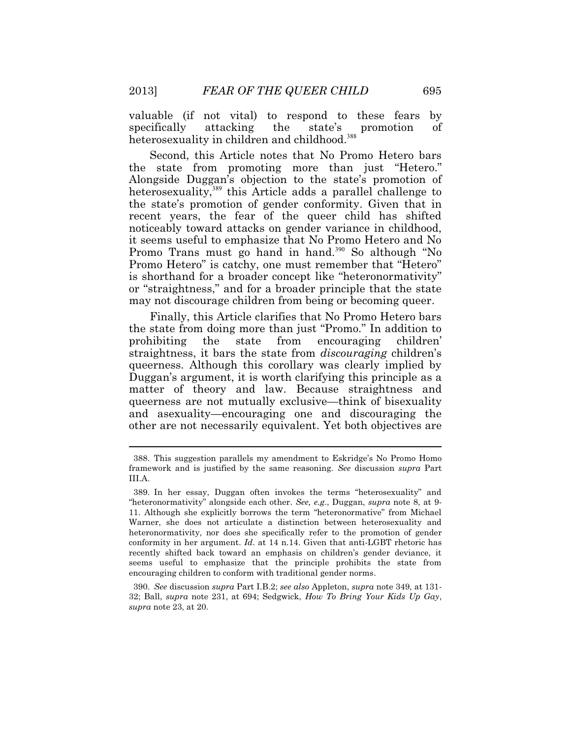valuable (if not vital) to respond to these fears by specifically attacking the state's promotion of heterosexuality in children and childhood.<sup>388</sup>

Second, this Article notes that No Promo Hetero bars the state from promoting more than just "Hetero." Alongside Duggan's objection to the state's promotion of heterosexuality,<sup>389</sup> this Article adds a parallel challenge to the state's promotion of gender conformity. Given that in recent years, the fear of the queer child has shifted noticeably toward attacks on gender variance in childhood, it seems useful to emphasize that No Promo Hetero and No Promo Trans must go hand in hand.<sup>390</sup> So although "No Promo Hetero" is catchy, one must remember that "Hetero" is shorthand for a broader concept like "heteronormativity" or "straightness," and for a broader principle that the state may not discourage children from being or becoming queer.

Finally, this Article clarifies that No Promo Hetero bars the state from doing more than just "Promo." In addition to prohibiting the state from encouraging children' straightness, it bars the state from *discouraging* children's queerness. Although this corollary was clearly implied by Duggan's argument, it is worth clarifying this principle as a matter of theory and law. Because straightness and queerness are not mutually exclusive—think of bisexuality and asexuality—encouraging one and discouraging the other are not necessarily equivalent. Yet both objectives are

<sup>388.</sup> This suggestion parallels my amendment to Eskridge's No Promo Homo framework and is justified by the same reasoning. *See* discussion *supra* Part III.A.

 11. Although she explicitly borrows the term "heteronormative" from Michael heteronormativity, nor does she specifically refer to the promotion of gender 389. In her essay, Duggan often invokes the terms "heterosexuality" and "heteronormativity" alongside each other. *See, e.g.*, Duggan, *supra* note 8, at 9- Warner, she does not articulate a distinction between heterosexuality and conformity in her argument. *Id*. at 14 n.14. Given that anti-LGBT rhetoric has recently shifted back toward an emphasis on children's gender deviance, it seems useful to emphasize that the principle prohibits the state from encouraging children to conform with traditional gender norms.

 <sup>390.</sup> *See* discussion *supra* Part I.B.2; *see also* Appleton, *supra* note 349, at 131- 32; Ball, *supra* note 231, at 694; Sedgwick, *How To Bring Your Kids Up Gay*, *supra* note 23, at 20.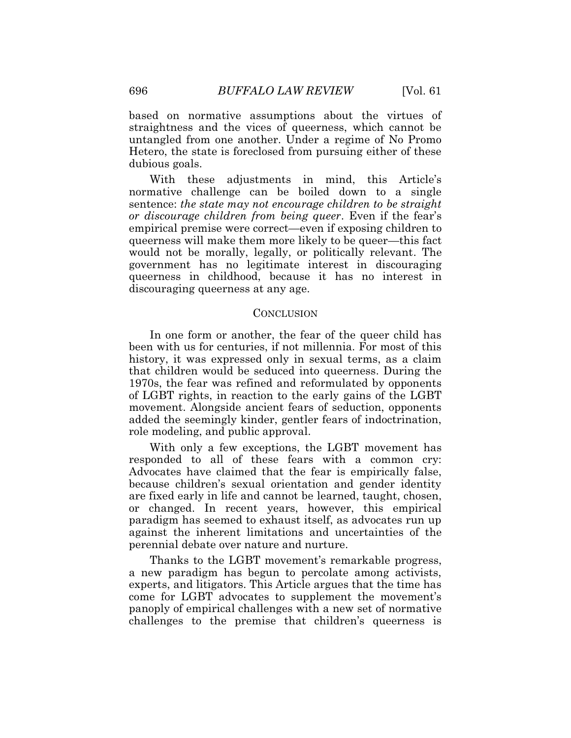based on normative assumptions about the virtues of straightness and the vices of queerness, which cannot be untangled from one another. Under a regime of No Promo Hetero, the state is foreclosed from pursuing either of these dubious goals.

 discouraging queerness at any age. CONCLUSION With these adjustments in mind, this Article's normative challenge can be boiled down to a single sentence: *the state may not encourage children to be straight or discourage children from being queer*. Even if the fear's empirical premise were correct—even if exposing children to queerness will make them more likely to be queer—this fact would not be morally, legally, or politically relevant. The government has no legitimate interest in discouraging queerness in childhood, because it has no interest in

 role modeling, and public approval. In one form or another, the fear of the queer child has been with us for centuries, if not millennia. For most of this history, it was expressed only in sexual terms, as a claim that children would be seduced into queerness. During the 1970s, the fear was refined and reformulated by opponents of LGBT rights, in reaction to the early gains of the LGBT movement. Alongside ancient fears of seduction, opponents added the seemingly kinder, gentler fears of indoctrination,

With only a few exceptions, the LGBT movement has responded to all of these fears with a common cry: Advocates have claimed that the fear is empirically false, because children's sexual orientation and gender identity are fixed early in life and cannot be learned, taught, chosen, or changed. In recent years, however, this empirical paradigm has seemed to exhaust itself, as advocates run up against the inherent limitations and uncertainties of the perennial debate over nature and nurture.

Thanks to the LGBT movement's remarkable progress, a new paradigm has begun to percolate among activists, experts, and litigators. This Article argues that the time has come for LGBT advocates to supplement the movement's panoply of empirical challenges with a new set of normative challenges to the premise that children's queerness is